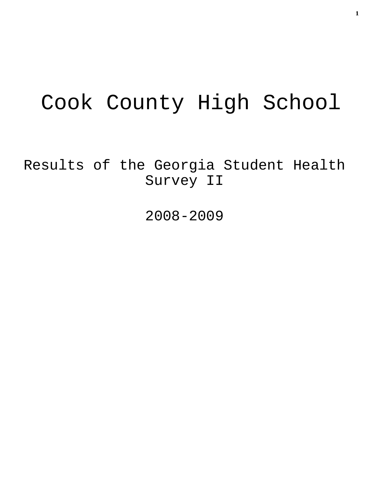# Cook County High School

Results of the Georgia Student Health Survey II

2008-2009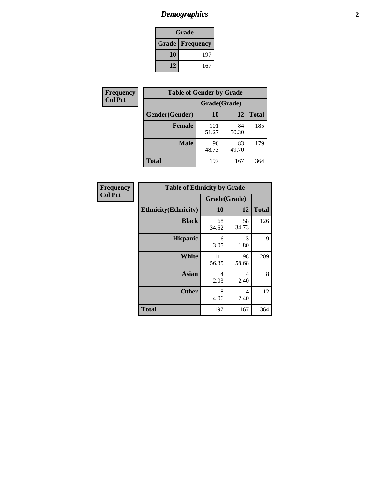# *Demographics* **2**

| Grade                    |     |  |  |  |
|--------------------------|-----|--|--|--|
| <b>Grade   Frequency</b> |     |  |  |  |
| 10                       | 197 |  |  |  |
| 12                       | 167 |  |  |  |

| Frequency      | <b>Table of Gender by Grade</b> |              |             |              |  |
|----------------|---------------------------------|--------------|-------------|--------------|--|
| <b>Col Pct</b> |                                 | Grade(Grade) |             |              |  |
|                | Gender(Gender)                  | 10           | 12          | <b>Total</b> |  |
|                | <b>Female</b>                   | 101<br>51.27 | 84<br>50.30 | 185          |  |
|                | <b>Male</b>                     | 96<br>48.73  | 83<br>49.70 | 179          |  |
|                | <b>Total</b>                    | 197          | 167         | 364          |  |

| Frequency<br>Col Pct |
|----------------------|
|                      |

| <b>Table of Ethnicity by Grade</b> |              |             |              |  |  |
|------------------------------------|--------------|-------------|--------------|--|--|
|                                    | Grade(Grade) |             |              |  |  |
| <b>Ethnicity</b> (Ethnicity)       | 10           | 12          | <b>Total</b> |  |  |
| <b>Black</b>                       | 68<br>34.52  | 58<br>34.73 | 126          |  |  |
| <b>Hispanic</b>                    | 6<br>3.05    | 3<br>1.80   | 9            |  |  |
| White                              | 111<br>56.35 | 98<br>58.68 | 209          |  |  |
| <b>Asian</b>                       | 4<br>2.03    | 4<br>2.40   | 8            |  |  |
| <b>Other</b>                       | 8<br>4.06    | 4<br>2.40   | 12           |  |  |
| <b>Total</b>                       | 197          | 167         | 364          |  |  |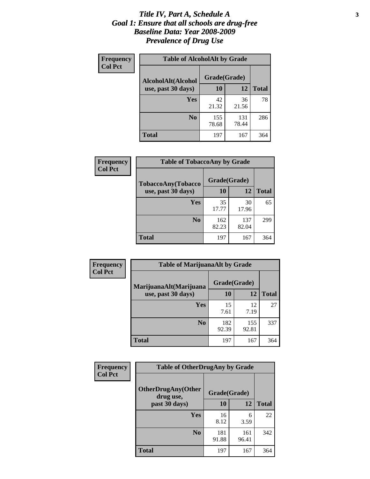#### *Title IV, Part A, Schedule A* **3** *Goal 1: Ensure that all schools are drug-free Baseline Data: Year 2008-2009 Prevalence of Drug Use*

| Frequency<br><b>Col Pct</b> | <b>Table of AlcoholAlt by Grade</b> |              |              |              |  |
|-----------------------------|-------------------------------------|--------------|--------------|--------------|--|
|                             | AlcoholAlt(Alcohol                  | Grade(Grade) |              |              |  |
|                             | use, past 30 days)                  | <b>10</b>    | 12           | <b>Total</b> |  |
|                             | Yes                                 | 42<br>21.32  | 36<br>21.56  | 78           |  |
|                             | N <sub>0</sub>                      | 155<br>78.68 | 131<br>78.44 | 286          |  |
|                             | Total                               | 197          | 167          | 364          |  |

| Frequency      | <b>Table of TobaccoAny by Grade</b> |              |              |              |  |
|----------------|-------------------------------------|--------------|--------------|--------------|--|
| <b>Col Pct</b> | TobaccoAny(Tobacco                  | Grade(Grade) |              |              |  |
|                | use, past 30 days)                  | <b>10</b>    | 12           | <b>Total</b> |  |
|                | <b>Yes</b>                          | 35<br>17.77  | 30<br>17.96  | 65           |  |
|                | N <sub>0</sub>                      | 162<br>82.23 | 137<br>82.04 | 299          |  |
|                | Total                               | 197          | 167          | 364          |  |

| Frequency<br><b>Col Pct</b> | <b>Table of MarijuanaAlt by Grade</b> |              |              |              |
|-----------------------------|---------------------------------------|--------------|--------------|--------------|
|                             | MarijuanaAlt(Marijuana                | Grade(Grade) |              |              |
|                             | use, past 30 days)                    | <b>10</b>    | 12           | <b>Total</b> |
|                             | <b>Yes</b>                            | 15<br>7.61   | 12<br>7.19   | 27           |
|                             | N <sub>0</sub>                        | 182<br>92.39 | 155<br>92.81 | 337          |
|                             | <b>Total</b>                          | 197          | 167          | 364          |

| <b>Frequency</b> | <b>Table of OtherDrugAny by Grade</b>  |              |              |              |  |
|------------------|----------------------------------------|--------------|--------------|--------------|--|
| <b>Col Pct</b>   | <b>OtherDrugAny(Other</b><br>drug use, | Grade(Grade) |              |              |  |
|                  | past 30 days)                          | 10           | 12           | <b>Total</b> |  |
|                  | Yes                                    | 16<br>8.12   | 6<br>3.59    | 22           |  |
|                  | N <sub>0</sub>                         | 181<br>91.88 | 161<br>96.41 | 342          |  |
|                  | <b>Total</b>                           | 197          | 167          | 364          |  |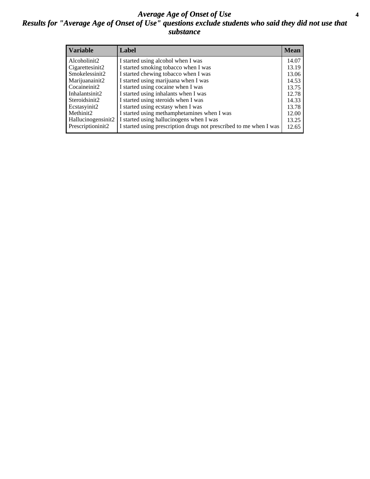#### *Average Age of Onset of Use* **4** *Results for "Average Age of Onset of Use" questions exclude students who said they did not use that substance*

| <b>Variable</b>    | Label                                                              | <b>Mean</b> |
|--------------------|--------------------------------------------------------------------|-------------|
| Alcoholinit2       | I started using alcohol when I was                                 | 14.07       |
| Cigarettesinit2    | I started smoking tobacco when I was                               | 13.19       |
| Smokelessinit2     | I started chewing tobacco when I was                               | 13.06       |
| Marijuanainit2     | I started using marijuana when I was                               | 14.53       |
| Cocaineinit2       | I started using cocaine when I was                                 | 13.75       |
| Inhalantsinit2     | I started using inhalants when I was                               | 12.78       |
| Steroidsinit2      | I started using steroids when I was                                | 14.33       |
| Ecstasyinit2       | I started using ecstasy when I was                                 | 13.78       |
| Methinit2          | I started using methamphetamines when I was                        | 12.00       |
| Hallucinogensinit2 | I started using hallucinogens when I was                           | 13.25       |
| Prescriptioninit2  | I started using prescription drugs not prescribed to me when I was | 12.65       |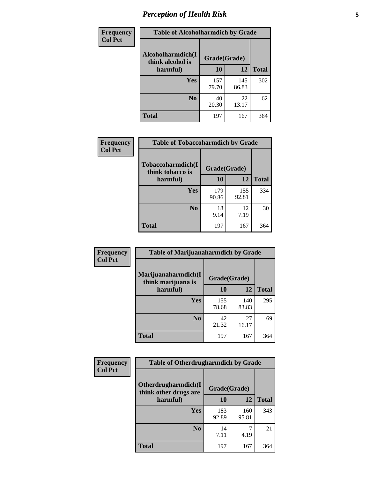# *Perception of Health Risk* **5**

| <b>Frequency</b> | <b>Table of Alcoholharmdich by Grade</b> |              |              |              |
|------------------|------------------------------------------|--------------|--------------|--------------|
| <b>Col Pct</b>   | Alcoholharmdich(I<br>think alcohol is    | Grade(Grade) |              |              |
|                  | harmful)                                 | 10           | 12           | <b>Total</b> |
|                  | <b>Yes</b>                               | 157<br>79.70 | 145<br>86.83 | 302          |
|                  | N <sub>0</sub>                           | 40<br>20.30  | 22<br>13.17  | 62           |
|                  | <b>Total</b>                             | 197          | 167          | 364          |

| Frequency      | <b>Table of Tobaccoharmdich by Grade</b> |              |              |              |  |
|----------------|------------------------------------------|--------------|--------------|--------------|--|
| <b>Col Pct</b> | Tobaccoharmdich(I<br>think tobacco is    | Grade(Grade) |              |              |  |
|                | harmful)                                 | 10           | 12           | <b>Total</b> |  |
|                | Yes                                      | 179<br>90.86 | 155<br>92.81 | 334          |  |
|                | N <sub>0</sub>                           | 18<br>9.14   | 12<br>7.19   | 30           |  |
|                | Total                                    | 197          | 167          | 364          |  |

| Frequency      | <b>Table of Marijuanaharmdich by Grade</b> |              |              |              |  |
|----------------|--------------------------------------------|--------------|--------------|--------------|--|
| <b>Col Pct</b> | Marijuanaharmdich(I<br>think marijuana is  | Grade(Grade) |              |              |  |
|                | harmful)                                   | 10           | 12           | <b>Total</b> |  |
|                | Yes                                        | 155<br>78.68 | 140<br>83.83 | 295          |  |
|                | N <sub>0</sub>                             | 42<br>21.32  | 27<br>16.17  | 69           |  |
|                | <b>Total</b>                               | 197          | 167          | 364          |  |

| <b>Frequency</b> | <b>Table of Otherdrugharmdich by Grade</b>                   |              |              |              |  |  |
|------------------|--------------------------------------------------------------|--------------|--------------|--------------|--|--|
| <b>Col Pct</b>   | Otherdrugharmdich(I<br>Grade(Grade)<br>think other drugs are |              |              |              |  |  |
|                  | harmful)                                                     | 10           | 12           | <b>Total</b> |  |  |
|                  | <b>Yes</b>                                                   | 183<br>92.89 | 160<br>95.81 | 343          |  |  |
|                  | N <sub>0</sub>                                               | 14<br>7.11   | 4.19         | 21           |  |  |
|                  | <b>Total</b>                                                 | 197          | 167          | 364          |  |  |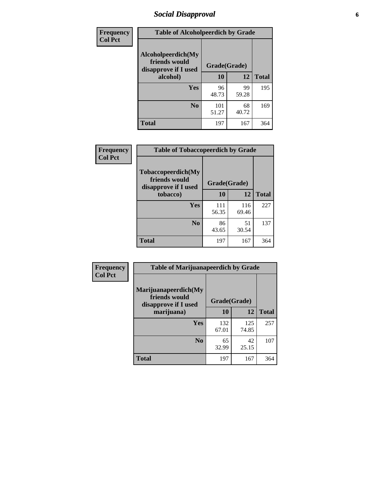# *Social Disapproval* **6**

| Frequency      | <b>Table of Alcoholpeerdich by Grade</b>                    |              |             |              |  |  |
|----------------|-------------------------------------------------------------|--------------|-------------|--------------|--|--|
| <b>Col Pct</b> | Alcoholpeerdich(My<br>friends would<br>disapprove if I used | Grade(Grade) |             |              |  |  |
|                | alcohol)                                                    | 10           | 12          | <b>Total</b> |  |  |
|                | <b>Yes</b>                                                  | 96<br>48.73  | 99<br>59.28 | 195          |  |  |
|                | N <sub>0</sub>                                              | 101<br>51.27 | 68<br>40.72 | 169          |  |  |
|                | <b>Total</b>                                                | 197          | 167         | 364          |  |  |

| <b>Frequency</b> |
|------------------|
| <b>Col Pct</b>   |

| <b>Table of Tobaccopeerdich by Grade</b>                    |              |              |              |  |  |
|-------------------------------------------------------------|--------------|--------------|--------------|--|--|
| Tobaccopeerdich(My<br>friends would<br>disapprove if I used | Grade(Grade) |              |              |  |  |
| tobacco)                                                    | 10           | 12           | <b>Total</b> |  |  |
| Yes                                                         | 111<br>56.35 | 116<br>69.46 | 227          |  |  |
| N <sub>0</sub>                                              | 86<br>43.65  | 51<br>30.54  | 137          |  |  |
| <b>Total</b>                                                | 197          | 167          | 364          |  |  |

| <b>Frequency</b> | <b>Table of Marijuanapeerdich by Grade</b>                    |              |              |              |  |  |
|------------------|---------------------------------------------------------------|--------------|--------------|--------------|--|--|
| <b>Col Pct</b>   | Marijuanapeerdich(My<br>friends would<br>disapprove if I used | Grade(Grade) |              |              |  |  |
|                  | marijuana)                                                    | 10           | 12           | <b>Total</b> |  |  |
|                  | <b>Yes</b>                                                    | 132<br>67.01 | 125<br>74.85 | 257          |  |  |
|                  | N <sub>0</sub>                                                | 65<br>32.99  | 42<br>25.15  | 107          |  |  |
|                  | <b>Total</b>                                                  | 197          | 167          | 364          |  |  |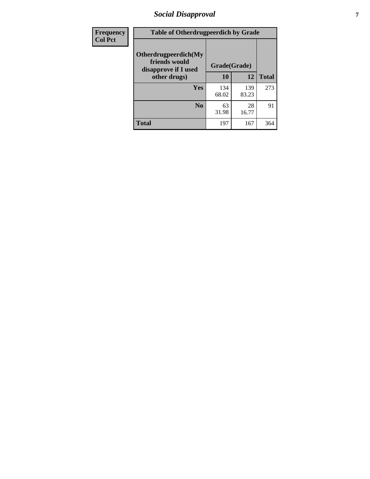# *Social Disapproval* **7**

| Frequency      | <b>Table of Otherdrugpeerdich by Grade</b>                    |              |              |              |  |  |
|----------------|---------------------------------------------------------------|--------------|--------------|--------------|--|--|
| <b>Col Pct</b> | Otherdrugpeerdich(My<br>friends would<br>disapprove if I used | Grade(Grade) |              |              |  |  |
|                | other drugs)                                                  | 10           | 12           | <b>Total</b> |  |  |
|                | Yes                                                           | 134<br>68.02 | 139<br>83.23 | 273          |  |  |
|                | N <sub>0</sub>                                                | 63<br>31.98  | 28<br>16.77  | 91           |  |  |
|                | <b>Total</b>                                                  | 197          | 167          | 364          |  |  |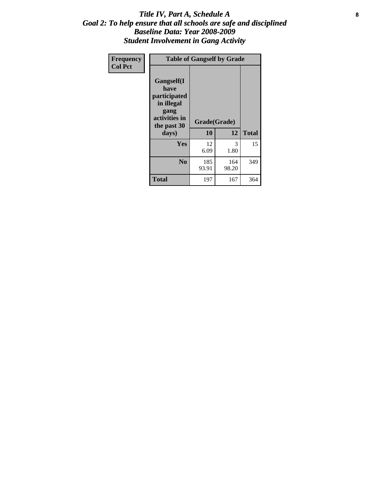### Title IV, Part A, Schedule A **8** *Goal 2: To help ensure that all schools are safe and disciplined Baseline Data: Year 2008-2009 Student Involvement in Gang Activity*

| Frequency      | <b>Table of Gangself by Grade</b>                                                                 |                    |              |              |
|----------------|---------------------------------------------------------------------------------------------------|--------------------|--------------|--------------|
| <b>Col Pct</b> | Gangself(I<br>have<br>participated<br>in illegal<br>gang<br>activities in<br>the past 30<br>days) | Grade(Grade)<br>10 | 12           | <b>Total</b> |
|                | Yes                                                                                               | 12<br>6.09         | 3<br>1.80    | 15           |
|                | N <sub>0</sub>                                                                                    | 185<br>93.91       | 164<br>98.20 | 349          |
|                | <b>Total</b>                                                                                      | 197                | 167          | 364          |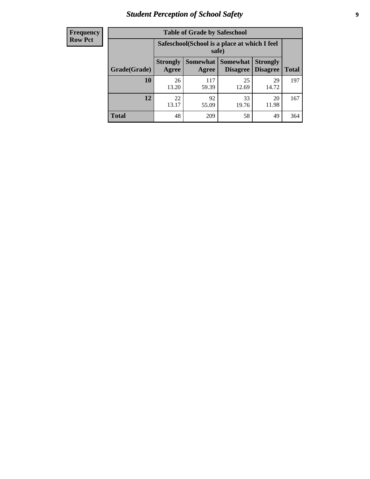# *Student Perception of School Safety* **9**

| <b>Frequency</b><br>Row Pct |
|-----------------------------|
|                             |

| <b>Table of Grade by Safeschool</b> |                                                                                                                                  |                                                        |             |             |     |  |
|-------------------------------------|----------------------------------------------------------------------------------------------------------------------------------|--------------------------------------------------------|-------------|-------------|-----|--|
|                                     |                                                                                                                                  | Safeschool (School is a place at which I feel<br>safe) |             |             |     |  |
| Grade(Grade)                        | <b>Somewhat</b><br><b>Somewhat</b><br><b>Strongly</b><br><b>Strongly</b><br><b>Disagree</b><br>Agree<br><b>Disagree</b><br>Agree |                                                        |             |             |     |  |
| <b>10</b>                           | 26<br>13.20                                                                                                                      | 117<br>59.39                                           | 25<br>12.69 | 29<br>14.72 | 197 |  |
| 12                                  | 22<br>13.17                                                                                                                      | 92<br>55.09                                            | 33<br>19.76 | 20<br>11.98 | 167 |  |
| <b>Total</b>                        | 48                                                                                                                               | 209                                                    | 58          | 49          | 364 |  |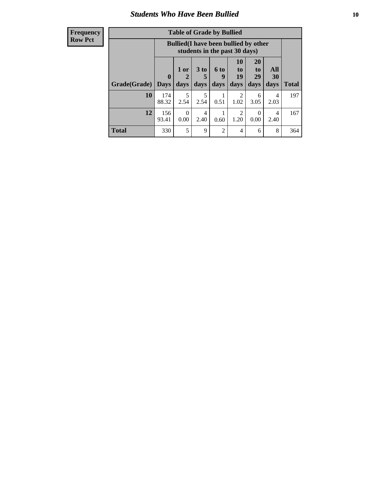### *Students Who Have Been Bullied* **10**

#### **Frequency Row Pct**

| <b>Table of Grade by Bullied</b> |                         |                                                                               |                              |                   |                               |                               |                   |              |
|----------------------------------|-------------------------|-------------------------------------------------------------------------------|------------------------------|-------------------|-------------------------------|-------------------------------|-------------------|--------------|
|                                  |                         | <b>Bullied</b> (I have been bullied by other<br>students in the past 30 days) |                              |                   |                               |                               |                   |              |
| Grade(Grade)                     | $\bf{0}$<br><b>Days</b> | 1 or<br>2<br>days                                                             | 3 <sub>to</sub><br>5<br>days | 6 to<br>9<br>days | <b>10</b><br>to<br>19<br>days | <b>20</b><br>to<br>29<br>days | All<br>30<br>days | <b>Total</b> |
| 10                               | 174<br>88.32            | 5<br>2.54                                                                     | 5<br>2.54                    | 0.51              | $\mathfrak{D}$<br>1.02        | 6<br>3.05                     | 4<br>2.03         | 197          |
| 12                               | 156<br>93.41            | $\Omega$<br>0.00                                                              | 4<br>2.40                    | 0.60              | 2<br>1.20                     | $\Omega$<br>0.00              | 4<br>2.40         | 167          |
| <b>Total</b>                     | 330                     | 5                                                                             | 9                            | $\overline{2}$    | 4                             | 6                             | 8                 | 364          |

 $\blacksquare$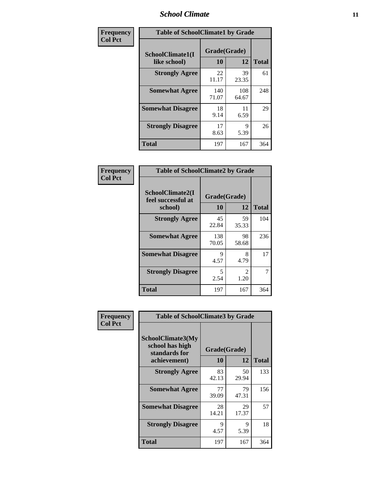### *School Climate* **11**

| Frequency      | <b>Table of SchoolClimate1 by Grade</b> |                    |              |              |  |  |
|----------------|-----------------------------------------|--------------------|--------------|--------------|--|--|
| <b>Col Pct</b> | SchoolClimate1(I<br>like school)        | Grade(Grade)<br>10 | 12           | <b>Total</b> |  |  |
|                | <b>Strongly Agree</b>                   | 22<br>11.17        | 39<br>23.35  | 61           |  |  |
|                | <b>Somewhat Agree</b>                   | 140<br>71.07       | 108<br>64.67 | 248          |  |  |
|                | <b>Somewhat Disagree</b>                | 18<br>9.14         | 11<br>6.59   | 29           |  |  |
|                | <b>Strongly Disagree</b>                | 17<br>8.63         | 9<br>5.39    | 26           |  |  |
|                | Total                                   | 197                | 167          | 364          |  |  |

| <b>Frequency</b> | <b>Table of SchoolClimate2 by Grade</b>           |                    |                        |              |  |  |
|------------------|---------------------------------------------------|--------------------|------------------------|--------------|--|--|
| <b>Col Pct</b>   | SchoolClimate2(I<br>feel successful at<br>school) | Grade(Grade)<br>10 | 12                     | <b>Total</b> |  |  |
|                  | <b>Strongly Agree</b>                             | 45<br>22.84        | 59<br>35.33            | 104          |  |  |
|                  | <b>Somewhat Agree</b>                             | 138<br>70.05       | 98<br>58.68            | 236          |  |  |
|                  | <b>Somewhat Disagree</b>                          | 9<br>4.57          | 8<br>4.79              | 17           |  |  |
|                  | <b>Strongly Disagree</b>                          | 5<br>2.54          | $\overline{2}$<br>1.20 | 7            |  |  |
|                  | <b>Total</b>                                      | 197                | 167                    | 364          |  |  |

| Frequency      | <b>Table of SchoolClimate3 by Grade</b>                      |             |              |              |
|----------------|--------------------------------------------------------------|-------------|--------------|--------------|
| <b>Col Pct</b> | <b>SchoolClimate3(My</b><br>school has high<br>standards for |             | Grade(Grade) |              |
|                | achievement)                                                 | <b>10</b>   | 12           | <b>Total</b> |
|                | <b>Strongly Agree</b>                                        | 83<br>42.13 | 50<br>29.94  | 133          |
|                | <b>Somewhat Agree</b>                                        | 77<br>39.09 | 79<br>47.31  | 156          |
|                | <b>Somewhat Disagree</b>                                     | 28<br>14.21 | 29<br>17.37  | 57           |
|                | <b>Strongly Disagree</b>                                     | 9<br>4.57   | 9<br>5.39    | 18           |
|                | Total                                                        | 197         | 167          | 364          |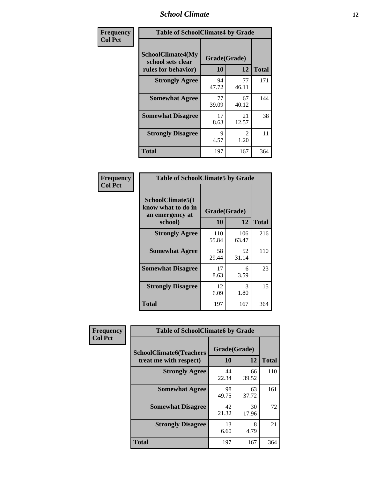### *School Climate* **12**

| Frequency      |                                                                      | <b>Table of SchoolClimate4 by Grade</b> |                       |              |  |
|----------------|----------------------------------------------------------------------|-----------------------------------------|-----------------------|--------------|--|
| <b>Col Pct</b> | <b>SchoolClimate4(My</b><br>school sets clear<br>rules for behavior) | Grade(Grade)<br>10                      | 12                    | <b>Total</b> |  |
|                | <b>Strongly Agree</b>                                                | 94<br>47.72                             | 77<br>46.11           | 171          |  |
|                | <b>Somewhat Agree</b>                                                | 77<br>39.09                             | 67<br>40.12           | 144          |  |
|                | <b>Somewhat Disagree</b>                                             | 17<br>8.63                              | 21<br>12.57           | 38           |  |
|                | <b>Strongly Disagree</b>                                             | 9<br>4.57                               | $\mathcal{L}$<br>1.20 | 11           |  |
|                | <b>Total</b>                                                         | 197                                     | 167                   | 364          |  |

| <b>Table of SchoolClimate5 by Grade</b>                              |                    |             |              |  |
|----------------------------------------------------------------------|--------------------|-------------|--------------|--|
| SchoolClimate5(I<br>know what to do in<br>an emergency at<br>school) | Grade(Grade)<br>10 | 12          | <b>Total</b> |  |
| <b>Strongly Agree</b>                                                | 110                | 106         | 216          |  |
|                                                                      | 55.84              | 63.47       |              |  |
| <b>Somewhat Agree</b>                                                | 58<br>29.44        | 52<br>31.14 | 110          |  |
| <b>Somewhat Disagree</b>                                             | 17<br>8.63         | 6<br>3.59   | 23           |  |
| <b>Strongly Disagree</b>                                             | 12<br>6.09         | 3<br>1.80   | 15           |  |
| <b>Total</b>                                                         | 197                | 167         | 364          |  |

| Frequency      | <b>Table of SchoolClimate6 by Grade</b>                  |                    |             |              |
|----------------|----------------------------------------------------------|--------------------|-------------|--------------|
| <b>Col Pct</b> | <b>SchoolClimate6(Teachers</b><br>treat me with respect) | Grade(Grade)<br>10 | 12          | <b>Total</b> |
|                | <b>Strongly Agree</b>                                    | 44<br>22.34        | 66<br>39.52 | 110          |
|                | <b>Somewhat Agree</b>                                    | 98<br>49.75        | 63<br>37.72 | 161          |
|                | <b>Somewhat Disagree</b>                                 | 42<br>21.32        | 30<br>17.96 | 72           |
|                | <b>Strongly Disagree</b>                                 | 13<br>6.60         | 8<br>4.79   | 21           |
|                | <b>Total</b>                                             | 197                | 167         | 364          |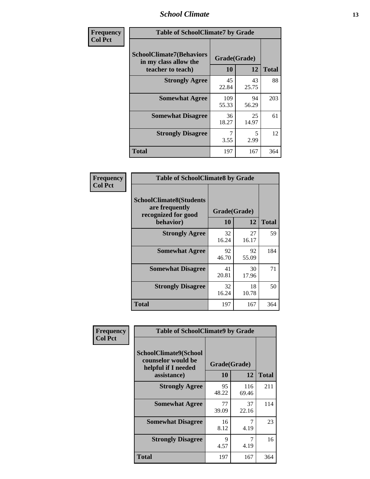### *School Climate* **13**

| Frequency      | <b>Table of SchoolClimate7 by Grade</b>                                       |                    |             |              |
|----------------|-------------------------------------------------------------------------------|--------------------|-------------|--------------|
| <b>Col Pct</b> | <b>SchoolClimate7(Behaviors</b><br>in my class allow the<br>teacher to teach) | Grade(Grade)<br>10 | 12          | <b>Total</b> |
|                | <b>Strongly Agree</b>                                                         | 45<br>22.84        | 43<br>25.75 | 88           |
|                | <b>Somewhat Agree</b>                                                         | 109<br>55.33       | 94<br>56.29 | 203          |
|                | <b>Somewhat Disagree</b>                                                      | 36<br>18.27        | 25<br>14.97 | 61           |
|                | <b>Strongly Disagree</b>                                                      | 3.55               | 5<br>2.99   | 12           |
|                | <b>Total</b>                                                                  | 197                | 167         | 364          |

| Frequency      | <b>Table of SchoolClimate8 by Grade</b>                                              |                    |             |              |
|----------------|--------------------------------------------------------------------------------------|--------------------|-------------|--------------|
| <b>Col Pct</b> | <b>SchoolClimate8(Students</b><br>are frequently<br>recognized for good<br>behavior) | Grade(Grade)<br>10 | 12          | <b>Total</b> |
|                | <b>Strongly Agree</b>                                                                | 32<br>16.24        | 27<br>16.17 | 59           |
|                | <b>Somewhat Agree</b>                                                                | 92<br>46.70        | 92<br>55.09 | 184          |
|                | <b>Somewhat Disagree</b>                                                             | 41<br>20.81        | 30<br>17.96 | 71           |
|                | <b>Strongly Disagree</b>                                                             | 32<br>16.24        | 18<br>10.78 | 50           |
|                | <b>Total</b>                                                                         | 197                | 167         | 364          |

| Frequency      | <b>Table of SchoolClimate9 by Grade</b>                                           |                    |              |              |
|----------------|-----------------------------------------------------------------------------------|--------------------|--------------|--------------|
| <b>Col Pct</b> | SchoolClimate9(School<br>counselor would be<br>helpful if I needed<br>assistance) | Grade(Grade)<br>10 | 12           | <b>Total</b> |
|                | <b>Strongly Agree</b>                                                             | 95<br>48.22        | 116<br>69.46 | 211          |
|                | <b>Somewhat Agree</b>                                                             | 77<br>39.09        | 37<br>22.16  | 114          |
|                | <b>Somewhat Disagree</b>                                                          | 16<br>8.12         | 7<br>4.19    | 23           |
|                | <b>Strongly Disagree</b>                                                          | 9<br>4.57          | 7<br>4.19    | 16           |
|                | Total                                                                             | 197                | 167          | 364          |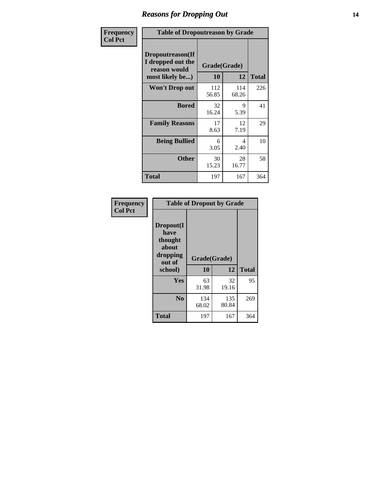### *Reasons for Dropping Out* **14**

| <b>Frequency</b> | <b>Table of Dropoutreason by Grade</b>                                   |                    |              |              |
|------------------|--------------------------------------------------------------------------|--------------------|--------------|--------------|
| <b>Col Pct</b>   | Dropoutreason(If<br>I dropped out the<br>reason would<br>most likely be) | Grade(Grade)<br>10 | 12           | <b>Total</b> |
|                  | <b>Won't Drop out</b>                                                    | 112<br>56.85       | 114<br>68.26 | 226          |
|                  | <b>Bored</b>                                                             | 32<br>16.24        | 9<br>5.39    | 41           |
|                  | <b>Family Reasons</b>                                                    | 17<br>8.63         | 12<br>7.19   | 29           |
|                  | <b>Being Bullied</b>                                                     | 6<br>3.05          | 4<br>2.40    | 10           |
|                  | <b>Other</b>                                                             | 30<br>15.23        | 28<br>16.77  | 58           |
|                  | <b>Total</b>                                                             | 197                | 167          | 364          |

| Frequency      | <b>Table of Dropout by Grade</b>                                       |                    |              |              |  |
|----------------|------------------------------------------------------------------------|--------------------|--------------|--------------|--|
| <b>Col Pct</b> | Dropout(I<br>have<br>thought<br>about<br>dropping<br>out of<br>school) | Grade(Grade)<br>10 | 12           | <b>Total</b> |  |
|                | Yes                                                                    | 63<br>31.98        | 32<br>19.16  | 95           |  |
|                | N <sub>0</sub>                                                         | 134<br>68.02       | 135<br>80.84 | 269          |  |
|                | <b>Total</b>                                                           | 197                | 167          | 364          |  |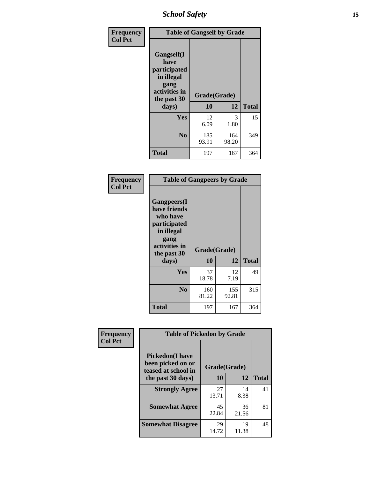*School Safety* **15**

| Frequency      | <b>Table of Gangself by Grade</b>                                                                 |                    |              |              |
|----------------|---------------------------------------------------------------------------------------------------|--------------------|--------------|--------------|
| <b>Col Pct</b> | Gangself(I<br>have<br>participated<br>in illegal<br>gang<br>activities in<br>the past 30<br>days) | Grade(Grade)<br>10 | 12           | <b>Total</b> |
|                | Yes                                                                                               | 12<br>6.09         | 3<br>1.80    | 15           |
|                | N <sub>0</sub>                                                                                    | 185<br>93.91       | 164<br>98.20 | 349          |
|                | <b>Total</b>                                                                                      | 197                | 167          | 364          |

| Frequency<br><b>Col Pct</b> | <b>Table of Gangpeers by Grade</b>                                                                                             |                    |              |              |
|-----------------------------|--------------------------------------------------------------------------------------------------------------------------------|--------------------|--------------|--------------|
|                             | <b>Gangpeers</b> (I<br>have friends<br>who have<br>participated<br>in illegal<br>gang<br>activities in<br>the past 30<br>days) | Grade(Grade)<br>10 | 12           | <b>Total</b> |
|                             | Yes                                                                                                                            | 37<br>18.78        | 12<br>7.19   | 49           |
|                             | N <sub>0</sub>                                                                                                                 | 160<br>81.22       | 155<br>92.81 | 315          |
|                             | <b>Total</b>                                                                                                                   | 197                | 167          | 364          |

| Frequency      | <b>Table of Pickedon by Grade</b>                                  |              |             |              |
|----------------|--------------------------------------------------------------------|--------------|-------------|--------------|
| <b>Col Pct</b> | <b>Pickedon(I have</b><br>been picked on or<br>teased at school in | Grade(Grade) |             |              |
|                | the past 30 days)                                                  | 10           | 12          | <b>Total</b> |
|                | <b>Strongly Agree</b>                                              | 27<br>13.71  | 14<br>8.38  | 41           |
|                | <b>Somewhat Agree</b>                                              | 45<br>22.84  | 36<br>21.56 | 81           |
|                | <b>Somewhat Disagree</b>                                           | 29<br>14.72  | 19<br>11.38 | 48           |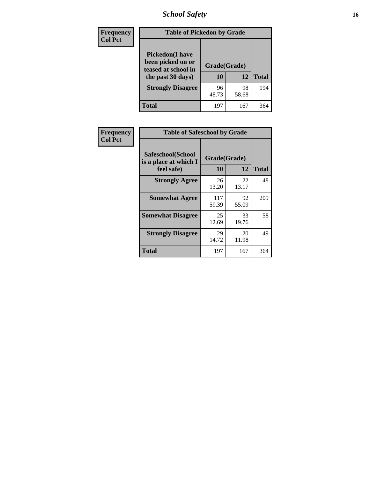# *School Safety* **16**

| <b>Frequency</b> | <b>Table of Pickedon by Grade</b>                                                       |                    |             |              |
|------------------|-----------------------------------------------------------------------------------------|--------------------|-------------|--------------|
| <b>Col Pct</b>   | <b>Pickedon(I have</b><br>been picked on or<br>teased at school in<br>the past 30 days) | Grade(Grade)<br>10 | 12          | <b>Total</b> |
|                  | <b>Strongly Disagree</b>                                                                | 96<br>48.73        | 98<br>58.68 | 194          |
|                  | Total                                                                                   | 197                | 167         | 364          |

| Frequency      | <b>Table of Safeschool by Grade</b>                      |                           |             |              |  |  |  |  |  |
|----------------|----------------------------------------------------------|---------------------------|-------------|--------------|--|--|--|--|--|
| <b>Col Pct</b> | Safeschool(School<br>is a place at which I<br>feel safe) | Grade(Grade)<br><b>10</b> | 12          | <b>Total</b> |  |  |  |  |  |
|                | <b>Strongly Agree</b>                                    | 26<br>13.20               | 22<br>13.17 | 48           |  |  |  |  |  |
|                | <b>Somewhat Agree</b>                                    | 117<br>59.39              | 92<br>55.09 | 209          |  |  |  |  |  |
|                | <b>Somewhat Disagree</b>                                 | 25<br>12.69               | 33<br>19.76 | 58           |  |  |  |  |  |
|                | <b>Strongly Disagree</b>                                 | 29<br>14.72               | 20<br>11.98 | 49           |  |  |  |  |  |
|                | <b>Total</b>                                             | 197                       | 167         | 364          |  |  |  |  |  |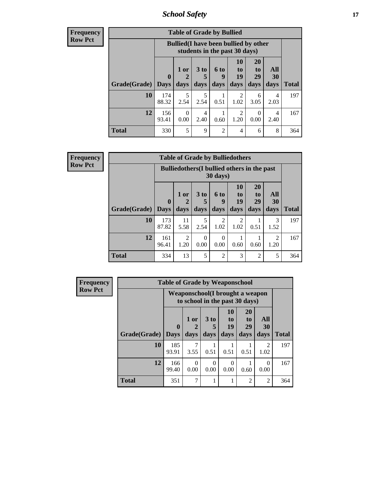*School Safety* **17**

| <b>Frequency</b> |  |
|------------------|--|
| Row Pct          |  |

r

| <b>Table of Grade by Bullied</b> |              |                                                                               |                              |                          |                        |                        |                   |              |  |  |  |  |
|----------------------------------|--------------|-------------------------------------------------------------------------------|------------------------------|--------------------------|------------------------|------------------------|-------------------|--------------|--|--|--|--|
|                                  |              | <b>Bullied</b> (I have been bullied by other<br>students in the past 30 days) |                              |                          |                        |                        |                   |              |  |  |  |  |
| <b>Grade</b> (Grade)   Days      | $\bf{0}$     | $1$ or<br>days                                                                | 3 <sub>to</sub><br>5<br>days | <b>6 to</b><br>9<br>days | 10<br>to<br>19<br>days | 20<br>to<br>29<br>days | All<br>30<br>days | <b>Total</b> |  |  |  |  |
| 10                               | 174<br>88.32 | 5<br>2.54                                                                     | 5<br>2.54                    | 0.51                     | 1.02                   | 6<br>3.05              | 4<br>2.03         | 197          |  |  |  |  |
| 12                               | 156<br>93.41 | 0<br>0.00                                                                     | 4<br>2.40                    | 0.60                     | $\mathfrak{D}$<br>1.20 | $\theta$<br>0.00       | 4<br>2.40         | 167          |  |  |  |  |
| <b>Total</b>                     | 330          | 5                                                                             | 9                            | $\overline{2}$           | 4                      | 6                      | 8                 | 364          |  |  |  |  |

| <b>Frequency</b><br><b>Row Pct</b> |
|------------------------------------|
|------------------------------------|

| <b>Table of Grade by Bulliedothers</b> |                             |                                                                         |                         |                   |                        |                               |                          |              |  |  |  |  |
|----------------------------------------|-----------------------------|-------------------------------------------------------------------------|-------------------------|-------------------|------------------------|-------------------------------|--------------------------|--------------|--|--|--|--|
|                                        |                             | <b>Bulliedothers</b> (I bullied others in the past<br>$30 \text{ days}$ |                         |                   |                        |                               |                          |              |  |  |  |  |
| Grade(Grade)                           | $\mathbf{0}$<br><b>Days</b> | 1 or<br>days                                                            | 3 <sub>to</sub><br>days | 6 to<br>9<br>days | 10<br>to<br>19<br>days | <b>20</b><br>to<br>29<br>days | All<br><b>30</b><br>days | <b>Total</b> |  |  |  |  |
| 10                                     | 173<br>87.82                | 11<br>5.58                                                              | 5<br>2.54               | 2<br>1.02         | 2<br>1.02              | 0.51                          | 3<br>1.52                | 197          |  |  |  |  |
| 12                                     | 161<br>96.41                | 2<br>1.20                                                               | 0<br>0.00               | 0<br>0.00         | 0.60                   | 0.60                          | $\mathfrak{D}$<br>1.20   | 167          |  |  |  |  |
| <b>Total</b>                           | 334                         | 13                                                                      | 5                       | $\overline{2}$    | 3                      | $\overline{2}$                | 5                        | 364          |  |  |  |  |

| <b>Frequency</b> | <b>Table of Grade by Weaponschool</b> |                             |                  |              |                                                                           |                                           |                   |              |  |
|------------------|---------------------------------------|-----------------------------|------------------|--------------|---------------------------------------------------------------------------|-------------------------------------------|-------------------|--------------|--|
| <b>Row Pct</b>   |                                       |                             |                  |              | <b>Weaponschool</b> (I brought a weapon<br>to school in the past 30 days) |                                           |                   |              |  |
|                  | Grade(Grade)                          | $\mathbf{0}$<br><b>Days</b> | 1 or<br>days     | 3 to<br>days | <b>10</b><br>to<br>19<br>days                                             | <b>20</b><br>t <sub>0</sub><br>29<br>days | All<br>30<br>days | <b>Total</b> |  |
|                  | 10                                    | 185<br>93.91                | 7<br>3.55        | 0.51         | 0.51                                                                      | 0.51                                      | 2<br>1.02         | 197          |  |
|                  | 12                                    | 166<br>99.40                | $\Omega$<br>0.00 | ∩<br>0.00    | 0<br>0.00                                                                 | 0.60                                      | $\Omega$<br>0.00  | 167          |  |
|                  | <b>Total</b>                          | 351                         | 7                |              |                                                                           | $\overline{2}$                            | $\overline{2}$    | 364          |  |

h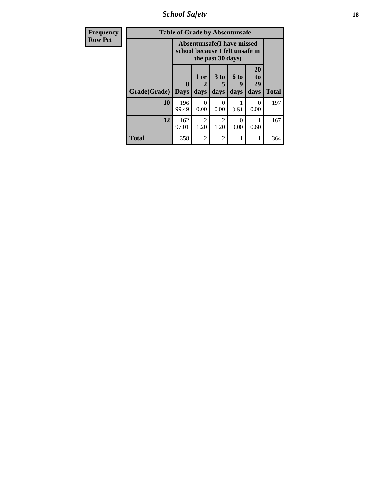*School Safety* **18**

| <b>Frequency</b> | <b>Table of Grade by Absentunsafe</b> |                                                                      |                   |                                     |                           |                        |              |  |  |  |  |
|------------------|---------------------------------------|----------------------------------------------------------------------|-------------------|-------------------------------------|---------------------------|------------------------|--------------|--|--|--|--|
| <b>Row Pct</b>   |                                       | <b>Absentunsafe(I have missed</b><br>school because I felt unsafe in |                   |                                     |                           |                        |              |  |  |  |  |
|                  | Grade(Grade)                          | 0<br><b>Days</b>                                                     | 1 or<br>2<br>days | 3 to<br>5<br>days                   | 6 to<br>9<br>days         | 20<br>to<br>29<br>days | <b>Total</b> |  |  |  |  |
|                  | 10                                    | 196<br>99.49                                                         | 0<br>0.00         | 0<br>0.00                           | 0.51                      | 0<br>0.00              | 197          |  |  |  |  |
|                  | 12                                    | 162<br>97.01                                                         | 2<br>1.20         | $\mathcal{D}_{\mathcal{L}}$<br>1.20 | $\mathbf{\Omega}$<br>0.00 | 0.60                   | 167          |  |  |  |  |
|                  | <b>Total</b>                          | 358                                                                  | $\overline{2}$    | $\mathfrak{D}$                      | 1                         |                        | 364          |  |  |  |  |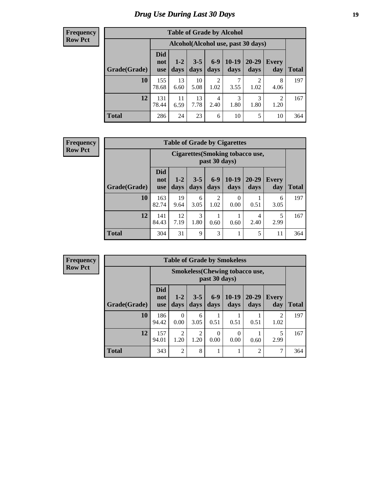# *Drug Use During Last 30 Days* **19**

#### **Frequency Row Pct**

| <b>Table of Grade by Alcohol</b> |                                 |                                    |                 |                        |                 |                        |                        |       |  |  |  |  |
|----------------------------------|---------------------------------|------------------------------------|-----------------|------------------------|-----------------|------------------------|------------------------|-------|--|--|--|--|
|                                  |                                 | Alcohol(Alcohol use, past 30 days) |                 |                        |                 |                        |                        |       |  |  |  |  |
| Grade(Grade)                     | <b>Did</b><br>not<br><b>use</b> | $1 - 2$<br>days                    | $3 - 5$<br>days | $6 - 9$<br>days        | $10-19$<br>days | 20-29<br>days          | Every<br>day           | Total |  |  |  |  |
| 10                               | 155<br>78.68                    | 13<br>6.60                         | 10<br>5.08      | $\overline{2}$<br>1.02 | 7<br>3.55       | $\overline{2}$<br>1.02 | 8<br>4.06              | 197   |  |  |  |  |
| 12                               | 131<br>78.44                    | 11<br>6.59                         | 13<br>7.78      | 4<br>2.40              | 3<br>1.80       | 3<br>1.80              | $\overline{2}$<br>1.20 | 167   |  |  |  |  |
| <b>Total</b>                     | 286                             | 24                                 | 23              | 6                      | 10              | 5                      | 10                     | 364   |  |  |  |  |

#### **Frequency Row Pct**

| <b>Table of Grade by Cigarettes</b> |                                 |                                                   |                 |                        |                  |               |                     |       |  |  |  |
|-------------------------------------|---------------------------------|---------------------------------------------------|-----------------|------------------------|------------------|---------------|---------------------|-------|--|--|--|
|                                     |                                 | Cigarettes (Smoking tobacco use,<br>past 30 days) |                 |                        |                  |               |                     |       |  |  |  |
| Grade(Grade)                        | <b>Did</b><br>not<br><b>use</b> | $1 - 2$<br>days                                   | $3 - 5$<br>days | $6 - 9$<br>days        | $10-19$<br>days  | 20-29<br>days | <b>Every</b><br>day | Total |  |  |  |
| 10                                  | 163<br>82.74                    | 19<br>9.64                                        | 6<br>3.05       | $\overline{2}$<br>1.02 | $\theta$<br>0.00 | 0.51          | 6<br>3.05           | 197   |  |  |  |
| 12                                  | 141<br>84.43                    | 12<br>7.19                                        | 3<br>1.80       | 0.60                   | 0.60             | 4<br>2.40     | 5<br>2.99           | 167   |  |  |  |
| <b>Total</b>                        | 304                             | 31                                                | 9               | 3                      |                  | 5             | 11                  | 364   |  |  |  |

**Frequency Row Pct**

| <b>Table of Grade by Smokeless</b> |                                 |                                                        |                        |                  |                  |                   |                        |              |  |  |  |  |
|------------------------------------|---------------------------------|--------------------------------------------------------|------------------------|------------------|------------------|-------------------|------------------------|--------------|--|--|--|--|
|                                    |                                 | <b>Smokeless</b> (Chewing tobaccouse,<br>past 30 days) |                        |                  |                  |                   |                        |              |  |  |  |  |
| Grade(Grade)                       | <b>Did</b><br>not<br><b>use</b> | $1 - 2$<br>days                                        | $3 - 5$<br>days        | $6-9$<br>days    | $10-19$<br>days  | $20 - 29$<br>days | <b>Every</b><br>day    | <b>Total</b> |  |  |  |  |
| 10                                 | 186<br>94.42                    | 0<br>0.00                                              | 6<br>3.05              | 0.51             | 0.51             | 0.51              | $\mathfrak{D}$<br>1.02 | 197          |  |  |  |  |
| 12                                 | 157<br>94.01                    | $\mathfrak{D}$<br>1.20                                 | $\overline{c}$<br>1.20 | $\Omega$<br>0.00 | $\theta$<br>0.00 | 0.60              | 5<br>2.99              | 167          |  |  |  |  |
| <b>Total</b>                       | 343                             | $\overline{2}$                                         | 8                      |                  | 1                | $\overline{2}$    | 7                      | 364          |  |  |  |  |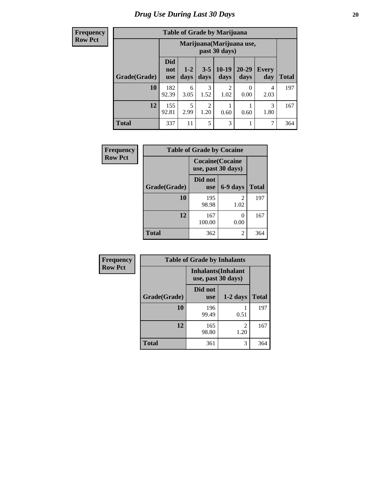**Frequency Row Pct**

| <b>Table of Grade by Marijuana</b> |                                 |                                            |                        |                        |                   |                     |              |  |  |  |  |
|------------------------------------|---------------------------------|--------------------------------------------|------------------------|------------------------|-------------------|---------------------|--------------|--|--|--|--|
|                                    |                                 | Marijuana (Marijuana use,<br>past 30 days) |                        |                        |                   |                     |              |  |  |  |  |
| Grade(Grade)                       | <b>Did</b><br>not<br><b>use</b> | $1 - 2$<br>days                            | $3 - 5$<br>days        | $10-19$<br>days        | $20 - 29$<br>days | <b>Every</b><br>day | <b>Total</b> |  |  |  |  |
| 10                                 | 182<br>92.39                    | 6<br>3.05                                  | 3<br>1.52              | $\mathfrak{D}$<br>1.02 | 0<br>0.00         | 4<br>2.03           | 197          |  |  |  |  |
| 12                                 | 155<br>92.81                    | 5<br>2.99                                  | $\overline{2}$<br>1.20 | 0.60                   | 0.60              | 3<br>1.80           | 167          |  |  |  |  |
| <b>Total</b>                       | 337                             | 11                                         | 5                      | 3                      |                   | 7                   | 364          |  |  |  |  |

| <b>Frequency</b> | <b>Table of Grade by Cocaine</b> |                                               |           |              |
|------------------|----------------------------------|-----------------------------------------------|-----------|--------------|
| <b>Row Pct</b>   |                                  | <b>Cocaine</b> (Cocaine<br>use, past 30 days) |           |              |
|                  | Grade(Grade)                     | Did not<br><b>use</b>                         | 6-9 days  | <b>Total</b> |
|                  | 10                               | 195<br>98.98                                  | 2<br>1.02 | 197          |
|                  | 12                               | 167<br>100.00                                 | 0.00      | 167          |
|                  | <b>Total</b>                     | 362                                           | 2         | 364          |

| <b>Frequency</b> | <b>Table of Grade by Inhalants</b>               |                       |                        |              |  |
|------------------|--------------------------------------------------|-----------------------|------------------------|--------------|--|
| <b>Row Pct</b>   | <b>Inhalants</b> (Inhalant<br>use, past 30 days) |                       |                        |              |  |
|                  | Grade(Grade)                                     | Did not<br><b>use</b> | $1-2$ days             | <b>Total</b> |  |
|                  | 10                                               | 196<br>99.49          | 0.51                   | 197          |  |
|                  | 12                                               | 165<br>98.80          | $\mathfrak{D}$<br>1.20 | 167          |  |
|                  | <b>Total</b>                                     | 361                   | 3                      | 364          |  |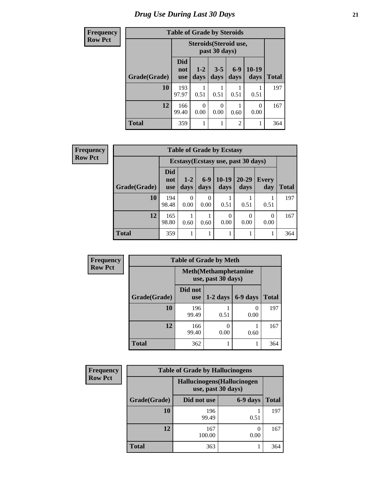# *Drug Use During Last 30 Days* **21**

| <b>Frequency</b> | <b>Table of Grade by Steroids</b> |                                         |                  |                  |                 |                 |              |
|------------------|-----------------------------------|-----------------------------------------|------------------|------------------|-----------------|-----------------|--------------|
| <b>Row Pct</b>   |                                   | Steroids (Steroid use,<br>past 30 days) |                  |                  |                 |                 |              |
|                  | Grade(Grade)                      | Did<br>not<br><b>use</b>                | $1 - 2$<br>days  | $3 - 5$<br>days  | $6 - 9$<br>days | $10-19$<br>days | <b>Total</b> |
|                  | <b>10</b>                         | 193<br>97.97                            | 0.51             | 0.51             | 0.51            | 0.51            | 197          |
|                  | 12                                | 166<br>99.40                            | $\theta$<br>0.00 | $\Omega$<br>0.00 | 0.60            | 0<br>0.00       | 167          |
|                  | <b>Total</b>                      | 359                                     | 1                |                  | $\overline{2}$  |                 | 364          |

| Frequency      | <b>Table of Grade by Ecstasy</b> |                                 |                 |               |                  |                                     |                     |              |
|----------------|----------------------------------|---------------------------------|-----------------|---------------|------------------|-------------------------------------|---------------------|--------------|
| <b>Row Pct</b> |                                  |                                 |                 |               |                  | Ecstasy (Ecstasy use, past 30 days) |                     |              |
|                | Grade(Grade)                     | <b>Did</b><br>not<br><b>use</b> | $1 - 2$<br>days | $6-9$<br>days | $10-19$<br>days  | $20 - 29$<br>days                   | <b>Every</b><br>day | <b>Total</b> |
|                | 10                               | 194<br>98.48                    | 0<br>0.00       | 0.00          | 0.51             | 0.51                                | 0.51                | 197          |
|                | 12                               | 165<br>98.80                    | 0.60            | 0.60          | $\Omega$<br>0.00 | $\Omega$<br>0.00                    | $\Omega$<br>0.00    | 167          |
|                | <b>Total</b>                     | 359                             |                 |               | 1                |                                     |                     | 364          |

| <b>Frequency</b> | <b>Table of Grade by Meth</b>                      |                       |            |           |              |  |
|------------------|----------------------------------------------------|-----------------------|------------|-----------|--------------|--|
| <b>Row Pct</b>   | <b>Meth</b> (Methamphetamine<br>use, past 30 days) |                       |            |           |              |  |
|                  | Grade(Grade)                                       | Did not<br><b>use</b> | $1-2$ days | 6-9 days  | <b>Total</b> |  |
|                  | 10                                                 | 196<br>99.49          | 0.51       | 0<br>0.00 | 197          |  |
|                  | 12                                                 | 166<br>99.40          | 0.00       | 0.60      | 167          |  |
|                  | <b>Total</b>                                       | 362                   |            |           | 364          |  |

| Frequency      | <b>Table of Grade by Hallucinogens</b> |                                                   |          |              |  |  |
|----------------|----------------------------------------|---------------------------------------------------|----------|--------------|--|--|
| <b>Row Pct</b> |                                        | Hallucinogens (Hallucinogen<br>use, past 30 days) |          |              |  |  |
|                | Grade(Grade)                           | Did not use                                       | 6-9 days | <b>Total</b> |  |  |
|                | 10                                     | 196<br>99.49                                      | 0.51     | 197          |  |  |
|                | 12                                     | 167<br>100.00                                     | 0.00     | 167          |  |  |
|                | <b>Total</b>                           | 363                                               |          | 364          |  |  |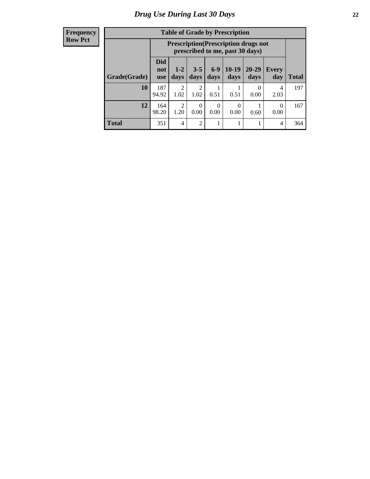| <b>Frequency</b> |
|------------------|
| <b>Row Pct</b>   |

| <b>Table of Grade by Prescription</b> |                                 |                                                                                |                                     |                 |                  |                   |                  |       |  |
|---------------------------------------|---------------------------------|--------------------------------------------------------------------------------|-------------------------------------|-----------------|------------------|-------------------|------------------|-------|--|
|                                       |                                 | <b>Prescription</b> (Prescription drugs not<br>prescribed to me, past 30 days) |                                     |                 |                  |                   |                  |       |  |
| Grade(Grade)                          | <b>Did</b><br>not<br><b>use</b> | $1 - 2$<br>days                                                                | $3 - 5$<br>days                     | $6 - 9$<br>days | $10-19$<br>days  | $20 - 29$<br>days | Every<br>day     | Total |  |
| 10                                    | 187<br>94.92                    | $\mathcal{D}_{\mathcal{L}}$<br>1.02                                            | $\mathcal{D}_{\mathcal{A}}$<br>1.02 | 0.51            | 0.51             | $\Omega$<br>0.00  | 4<br>2.03        | 197   |  |
| 12                                    | 164<br>98.20                    | $\mathfrak{D}$<br>1.20                                                         | 0<br>0.00                           | 0<br>0.00       | $\Omega$<br>0.00 | 0.60              | $\theta$<br>0.00 | 167   |  |
| <b>Total</b>                          | 351                             | 4                                                                              | $\mathfrak{D}$                      |                 |                  |                   | 4                | 364   |  |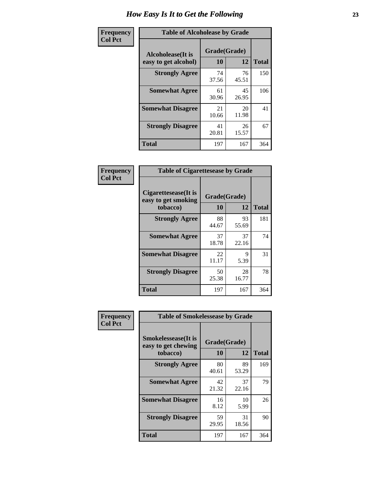| Frequency      | <b>Table of Alcoholease by Grade</b>              |                    |             |              |  |  |
|----------------|---------------------------------------------------|--------------------|-------------|--------------|--|--|
| <b>Col Pct</b> | <b>Alcoholease</b> (It is<br>easy to get alcohol) | Grade(Grade)<br>10 | 12          | <b>Total</b> |  |  |
|                | <b>Strongly Agree</b>                             | 74<br>37.56        | 76<br>45.51 | 150          |  |  |
|                | <b>Somewhat Agree</b>                             | 61<br>30.96        | 45<br>26.95 | 106          |  |  |
|                | <b>Somewhat Disagree</b>                          | 21<br>10.66        | 20<br>11.98 | 41           |  |  |
|                | <b>Strongly Disagree</b>                          | 41<br>20.81        | 26<br>15.57 | 67           |  |  |
|                | <b>Total</b>                                      | 197                | 167         | 364          |  |  |

| Frequency      | <b>Table of Cigarettesease by Grade</b>                  |                    |             |              |  |
|----------------|----------------------------------------------------------|--------------------|-------------|--------------|--|
| <b>Col Pct</b> | Cigarettesease (It is<br>easy to get smoking<br>tobacco) | Grade(Grade)<br>10 | 12          | <b>Total</b> |  |
|                | <b>Strongly Agree</b>                                    | 88<br>44.67        | 93<br>55.69 | 181          |  |
|                | <b>Somewhat Agree</b>                                    | 37<br>18.78        | 37<br>22.16 | 74           |  |
|                | <b>Somewhat Disagree</b>                                 | 22<br>11.17        | 9<br>5.39   | 31           |  |
|                | <b>Strongly Disagree</b>                                 | 50<br>25.38        | 28<br>16.77 | 78           |  |
|                | Total                                                    | 197                | 167         | 364          |  |

| Frequency      | <b>Table of Smokelessease by Grade</b>                         |                    |             |              |
|----------------|----------------------------------------------------------------|--------------------|-------------|--------------|
| <b>Col Pct</b> | <b>Smokelessease</b> (It is<br>easy to get chewing<br>tobacco) | Grade(Grade)<br>10 | 12          | <b>Total</b> |
|                | <b>Strongly Agree</b>                                          | 80<br>40.61        | 89<br>53.29 | 169          |
|                | <b>Somewhat Agree</b>                                          | 42<br>21.32        | 37<br>22.16 | 79           |
|                | <b>Somewhat Disagree</b>                                       | 16<br>8.12         | 10<br>5.99  | 26           |
|                | <b>Strongly Disagree</b>                                       | 59<br>29.95        | 31<br>18.56 | 90           |
|                | <b>Total</b>                                                   | 197                | 167         | 364          |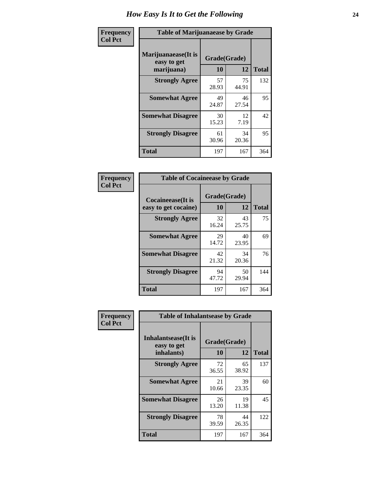| Frequency      | <b>Table of Marijuanaease by Grade</b>           |                    |             |              |  |  |
|----------------|--------------------------------------------------|--------------------|-------------|--------------|--|--|
| <b>Col Pct</b> | Marijuanaease(It is<br>easy to get<br>marijuana) | Grade(Grade)<br>10 | 12          | <b>Total</b> |  |  |
|                | <b>Strongly Agree</b>                            | 57<br>28.93        | 75<br>44.91 | 132          |  |  |
|                | <b>Somewhat Agree</b>                            | 49<br>24.87        | 46<br>27.54 | 95           |  |  |
|                | <b>Somewhat Disagree</b>                         | 30<br>15.23        | 12<br>7.19  | 42           |  |  |
|                | <b>Strongly Disagree</b>                         | 61<br>30.96        | 34<br>20.36 | 95           |  |  |
|                | <b>Total</b>                                     | 197                | 167         | 364          |  |  |

| <b>Table of Cocaineease by Grade</b>              |                    |             |              |  |  |  |  |  |  |  |
|---------------------------------------------------|--------------------|-------------|--------------|--|--|--|--|--|--|--|
| <b>Cocaineease</b> (It is<br>easy to get cocaine) | Grade(Grade)<br>10 | 12          | <b>Total</b> |  |  |  |  |  |  |  |
| <b>Strongly Agree</b>                             | 32<br>16.24        | 43<br>25.75 | 75           |  |  |  |  |  |  |  |
| <b>Somewhat Agree</b>                             | 29<br>14.72        | 40<br>23.95 | 69           |  |  |  |  |  |  |  |
| <b>Somewhat Disagree</b>                          | 42<br>21.32        | 34<br>20.36 | 76           |  |  |  |  |  |  |  |
| <b>Strongly Disagree</b>                          | 94<br>47.72        | 50<br>29.94 | 144          |  |  |  |  |  |  |  |
| <b>Total</b>                                      | 197                | 167         | 364          |  |  |  |  |  |  |  |

| Frequency      | <b>Table of Inhalantsease by Grade</b>           |                    |              |     |
|----------------|--------------------------------------------------|--------------------|--------------|-----|
| <b>Col Pct</b> | Inhalantsease(It is<br>easy to get<br>inhalants) | Grade(Grade)<br>10 | <b>Total</b> |     |
|                | <b>Strongly Agree</b>                            | 72<br>36.55        | 65<br>38.92  | 137 |
|                | <b>Somewhat Agree</b>                            | 21<br>10.66        | 39<br>23.35  | 60  |
|                | <b>Somewhat Disagree</b>                         | 26<br>13.20        | 19<br>11.38  | 45  |
|                | <b>Strongly Disagree</b>                         | 78<br>39.59        | 44<br>26.35  | 122 |
|                | <b>Total</b>                                     | 197                | 167          | 364 |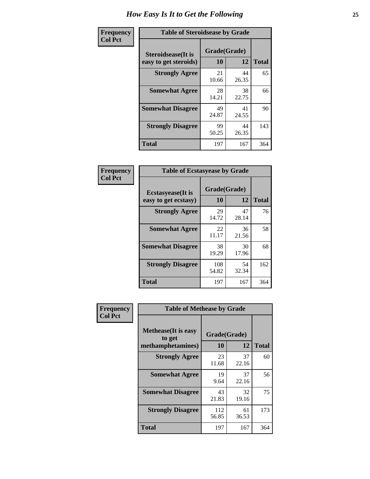| Frequency      | <b>Table of Steroidsease by Grade</b>               |                    |             |              |  |  |  |  |  |  |
|----------------|-----------------------------------------------------|--------------------|-------------|--------------|--|--|--|--|--|--|
| <b>Col Pct</b> | <b>Steroidsease</b> (It is<br>easy to get steroids) | Grade(Grade)<br>10 | 12          | <b>Total</b> |  |  |  |  |  |  |
|                | <b>Strongly Agree</b>                               | 21<br>10.66        | 44<br>26.35 | 65           |  |  |  |  |  |  |
|                | <b>Somewhat Agree</b>                               | 28<br>14.21        | 38<br>22.75 | 66           |  |  |  |  |  |  |
|                | <b>Somewhat Disagree</b>                            | 49<br>24.87        | 41<br>24.55 | 90           |  |  |  |  |  |  |
|                | <b>Strongly Disagree</b>                            | 99<br>50.25        | 44<br>26.35 | 143          |  |  |  |  |  |  |
|                | <b>Total</b>                                        | 197                | 167         | 364          |  |  |  |  |  |  |

| Frequency      | <b>Table of Ecstasyease by Grade</b>              |                    |             |              |  |  |  |  |  |  |  |
|----------------|---------------------------------------------------|--------------------|-------------|--------------|--|--|--|--|--|--|--|
| <b>Col Pct</b> | <b>Ecstasyease</b> (It is<br>easy to get ecstasy) | Grade(Grade)<br>10 | 12          | <b>Total</b> |  |  |  |  |  |  |  |
|                | <b>Strongly Agree</b>                             | 29<br>14.72        | 47<br>28.14 | 76           |  |  |  |  |  |  |  |
|                | <b>Somewhat Agree</b>                             | 22<br>11.17        | 36<br>21.56 | 58           |  |  |  |  |  |  |  |
|                | <b>Somewhat Disagree</b>                          | 38<br>19.29        | 30<br>17.96 | 68           |  |  |  |  |  |  |  |
|                | <b>Strongly Disagree</b>                          | 108<br>54.82       | 54<br>32.34 | 162          |  |  |  |  |  |  |  |
|                | <b>Total</b>                                      | 197                | 167         | 364          |  |  |  |  |  |  |  |

| <b>Frequency</b> | <b>Table of Methease by Grade</b>                          |                    |             |              |
|------------------|------------------------------------------------------------|--------------------|-------------|--------------|
| <b>Col Pct</b>   | <b>Methease</b> (It is easy<br>to get<br>methamphetamines) | Grade(Grade)<br>10 | 12          | <b>Total</b> |
|                  | <b>Strongly Agree</b>                                      | 23<br>11.68        | 37<br>22.16 | 60           |
|                  | <b>Somewhat Agree</b>                                      | 19<br>9.64         | 37<br>22.16 | 56           |
|                  | <b>Somewhat Disagree</b>                                   | 43<br>21.83        | 32<br>19.16 | 75           |
|                  | <b>Strongly Disagree</b>                                   | 112<br>56.85       | 61<br>36.53 | 173          |
|                  | <b>Total</b>                                               | 197                | 167         | 364          |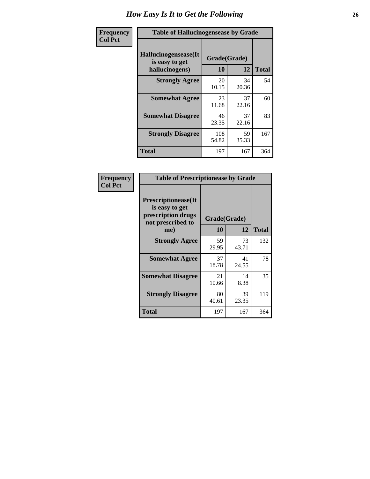| <b>Frequency</b> | <b>Table of Hallucinogensease by Grade</b>                |                    |             |              |
|------------------|-----------------------------------------------------------|--------------------|-------------|--------------|
| <b>Col Pct</b>   | Hallucinogensease(It)<br>is easy to get<br>hallucinogens) | Grade(Grade)<br>10 | 12          | <b>Total</b> |
|                  | <b>Strongly Agree</b>                                     | 20<br>10.15        | 34<br>20.36 | 54           |
|                  | <b>Somewhat Agree</b>                                     | 23<br>11.68        | 37<br>22.16 | 60           |
|                  | <b>Somewhat Disagree</b>                                  | 46<br>23.35        | 37<br>22.16 | 83           |
|                  | <b>Strongly Disagree</b>                                  | 108<br>54.82       | 59<br>35.33 | 167          |
|                  | <b>Total</b>                                              | 197                | 167         | 364          |

| Frequency<br>Col Pct |
|----------------------|
|                      |

| <b>Table of Prescriptionease by Grade</b>                                                |             |              |              |  |  |  |  |  |  |
|------------------------------------------------------------------------------------------|-------------|--------------|--------------|--|--|--|--|--|--|
| <b>Prescriptionease</b> (It<br>is easy to get<br>prescription drugs<br>not prescribed to |             | Grade(Grade) |              |  |  |  |  |  |  |
| me)                                                                                      | 10          | 12           | <b>Total</b> |  |  |  |  |  |  |
| <b>Strongly Agree</b>                                                                    | 59<br>29.95 | 73<br>43.71  | 132          |  |  |  |  |  |  |
| <b>Somewhat Agree</b>                                                                    | 37<br>18.78 | 41<br>24.55  | 78           |  |  |  |  |  |  |
| <b>Somewhat Disagree</b>                                                                 | 21<br>10.66 | 14<br>8.38   | 35           |  |  |  |  |  |  |
| <b>Strongly Disagree</b>                                                                 | 80<br>40.61 | 39<br>23.35  | 119          |  |  |  |  |  |  |
| Total                                                                                    | 197         | 167          | 364          |  |  |  |  |  |  |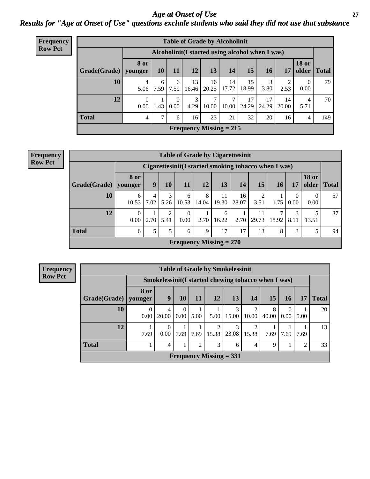*Age at Onset of Use* **27** *Results for "Age at Onset of Use" questions exclude students who said they did not use that substance*

| <b>Frequency</b> | <b>Table of Grade by Alcoholinit</b> |                  |           |                  |             |             |                                                  |             |             |             |                       |              |  |  |
|------------------|--------------------------------------|------------------|-----------|------------------|-------------|-------------|--------------------------------------------------|-------------|-------------|-------------|-----------------------|--------------|--|--|
| <b>Row Pct</b>   |                                      |                  |           |                  |             |             | Alcoholinit (I started using alcohol when I was) |             |             |             |                       |              |  |  |
|                  | Grade(Grade)   younger               | 8 or             | <b>10</b> | 11               | 12          | 13          | 14                                               | 15          | <b>16</b>   | 17          | <b>18 or</b><br>older | <b>Total</b> |  |  |
|                  | 10                                   | 4<br>5.06        | 6<br>7.59 | 6<br>7.59        | 13<br>16.46 | 16<br>20.25 | 14<br>17.72                                      | 15<br>18.99 | 3<br>3.80   | 2.53        | $\Omega$<br>0.00      | 79           |  |  |
|                  | 12                                   | $\Omega$<br>0.00 | 1.43      | $\Omega$<br>0.00 | 3<br>4.29   | 7<br>10.00  | ⇁<br>10.00                                       | 17<br>24.29 | 17<br>24.29 | 14<br>20.00 | 4<br>5.71             | 70           |  |  |
|                  | <b>Total</b>                         | 4                | 7         | 6                | 16          | 23          | 21                                               | 32          | 20          | 16          | 4                     | 149          |  |  |
|                  |                                      |                  |           |                  |             |             | <b>Frequency Missing = 215</b>                   |             |             |             |                       |              |  |  |

#### **Frequency Row Pct**

| <b>Table of Grade by Cigarettesinit</b> |                  |           |           |                  |                                                      |             |             |                                     |            |                  |                       |              |
|-----------------------------------------|------------------|-----------|-----------|------------------|------------------------------------------------------|-------------|-------------|-------------------------------------|------------|------------------|-----------------------|--------------|
|                                         |                  |           |           |                  | Cigarettesinit(I started smoking tobacco when I was) |             |             |                                     |            |                  |                       |              |
| Grade(Grade)                            | 8 or<br>younger  | 9         | 10        | 11               | 12                                                   | 13          | 14          | 15                                  | 16         | 17               | <b>18 or</b><br>older | <b>Total</b> |
| 10                                      | 6<br>10.53       | 4<br>7.02 | 3<br>5.26 | 6<br>10.53       | 8<br>14.04                                           | 11<br>19.30 | 16<br>28.07 | $\mathcal{D}_{\mathcal{L}}$<br>3.51 | 1.75       | $\Omega$<br>0.00 | 0<br>0.00             | 57           |
| 12                                      | $\Omega$<br>0.00 | 2.70      | 5.41      | $\Omega$<br>0.00 | 2.70                                                 | 6<br>16.22  | 2.70        | 11<br>29.73                         | 7<br>18.92 | 3<br>8.11        | 13.51                 | 37           |
| <b>Total</b>                            | 6                | 5         | 5         | 6                | 9                                                    | 17          | 17          | 13                                  | 8          | 3                | 5                     | 94           |
|                                         |                  |           |           |                  | Frequency Missing $= 270$                            |             |             |                                     |            |                  |                       |              |

**Frequency Row Pct**

| <b>Table of Grade by Smokelessinit</b> |                 |                                                      |                  |                |                           |            |                         |            |                      |      |              |  |
|----------------------------------------|-----------------|------------------------------------------------------|------------------|----------------|---------------------------|------------|-------------------------|------------|----------------------|------|--------------|--|
|                                        |                 | Smokelessinit (I started chewing tobacco when I was) |                  |                |                           |            |                         |            |                      |      |              |  |
| Grade(Grade)                           | 8 or<br>younger | 9                                                    | 10               | 11             | 12                        | 13         | 14                      | 15         | 16                   | 17   | <b>Total</b> |  |
| 10                                     | 0<br>0.00       | 4<br>20.00                                           | $\left($<br>0.00 | 5.00           | 5.00                      | 3<br>15.00 | $\overline{2}$<br>10.00 | 8<br>40.00 | $\Omega$<br>$0.00\,$ | 5.00 | 20           |  |
| 12                                     | 7.69            | $\Omega$<br>0.00 <sub>l</sub>                        | 7.69             | 7.69           | $\mathfrak{D}$<br>15.38   | 3<br>23.08 | 2<br>15.38              | 7.69       | 7.69                 | 7.69 | 13           |  |
| <b>Total</b>                           |                 | 4                                                    |                  | $\overline{2}$ | 3                         | 6          | 4                       | 9          |                      | 2    | 33           |  |
|                                        |                 |                                                      |                  |                | Frequency Missing $= 331$ |            |                         |            |                      |      |              |  |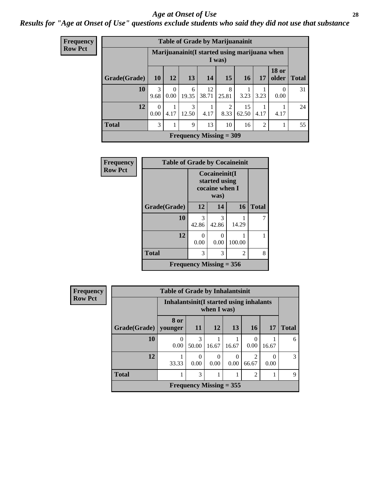#### *Age at Onset of Use* **28**

*Results for "Age at Onset of Use" questions exclude students who said they did not use that substance*

| <b>Frequency</b> | <b>Table of Grade by Marijuanainit</b> |                  |                  |            |             |                                                        |             |                |                       |              |  |  |  |
|------------------|----------------------------------------|------------------|------------------|------------|-------------|--------------------------------------------------------|-------------|----------------|-----------------------|--------------|--|--|--|
| <b>Row Pct</b>   |                                        |                  |                  |            |             | Marijuanainit(I started using marijuana when<br>I was) |             |                |                       |              |  |  |  |
|                  | Grade(Grade)                           | 10               | 12               | <b>13</b>  | 14          | 15                                                     | <b>16</b>   | 17             | <b>18 or</b><br>older | <b>Total</b> |  |  |  |
|                  | 10                                     | 3<br>9.68        | $\Omega$<br>0.00 | 6<br>19.35 | 12<br>38.71 | 8<br>25.81                                             | 3.23        | 3.23           | $\Omega$<br>0.00      | 31           |  |  |  |
|                  | 12                                     | $\Omega$<br>0.00 | 1<br>4.17        | 3<br>12.50 | 4.17        | 2<br>8.33                                              | 15<br>62.50 | 4.17           | 4.17                  | 24           |  |  |  |
|                  | <b>Total</b>                           | 3                | 1                | 9          | 13          | 10                                                     | 16          | $\mathfrak{D}$ |                       | 55           |  |  |  |
|                  |                                        |                  |                  |            |             | <b>Frequency Missing = 309</b>                         |             |                |                       |              |  |  |  |

| <b>Frequency</b> | <b>Table of Grade by Cocaineinit</b> |                           |                                                          |        |              |
|------------------|--------------------------------------|---------------------------|----------------------------------------------------------|--------|--------------|
| <b>Row Pct</b>   |                                      |                           | Cocaineinit(I<br>started using<br>cocaine when I<br>was) |        |              |
|                  | Grade(Grade)                         | 12                        | 14                                                       | 16     | <b>Total</b> |
|                  | 10                                   | 3<br>42.86                | 3<br>42.86                                               | 14.29  | 7            |
|                  | 12                                   | 0.00                      | 0<br>0.00                                                | 100.00 |              |
|                  | <b>Total</b>                         | 3                         | 3                                                        | 2      | 8            |
|                  |                                      | Frequency Missing $= 356$ |                                                          |        |              |

| <b>Frequency</b> |              | <b>Table of Grade by Inhalantsinit</b>                  |            |                  |                           |                         |           |              |  |  |  |
|------------------|--------------|---------------------------------------------------------|------------|------------------|---------------------------|-------------------------|-----------|--------------|--|--|--|
| <b>Row Pct</b>   |              | Inhalantsinit (I started using inhalants<br>when I was) |            |                  |                           |                         |           |              |  |  |  |
|                  | Grade(Grade) | 8 or<br>vounger                                         | 11         | <b>12</b>        | 13                        | <b>16</b>               | <b>17</b> | <b>Total</b> |  |  |  |
|                  | 10           | $\Omega$<br>0.00                                        | 3<br>50.00 | 16.67            | 16.67                     | $\Omega$<br>0.00        | 16.67     | 6            |  |  |  |
|                  | 12           | 33.33                                                   | 0<br>0.00  | $\Omega$<br>0.00 | $\Omega$<br>0.00          | $\overline{2}$<br>66.67 | 0<br>0.00 | 3            |  |  |  |
|                  | <b>Total</b> |                                                         | 3          |                  |                           | 2                       | 1         | 9            |  |  |  |
|                  |              |                                                         |            |                  | Frequency Missing $=$ 355 |                         |           |              |  |  |  |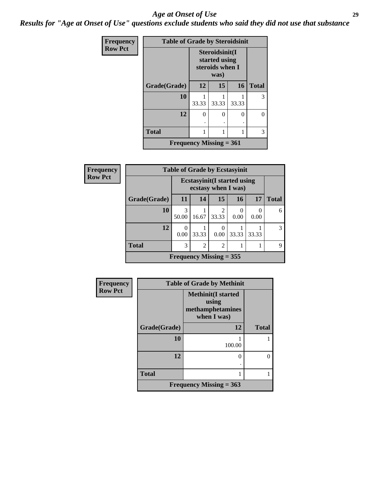#### *Age at Onset of Use* **29**

*Results for "Age at Onset of Use" questions exclude students who said they did not use that substance*

| <b>Frequency</b> | <b>Table of Grade by Steroidsinit</b> |        |                                                            |       |              |  |  |  |
|------------------|---------------------------------------|--------|------------------------------------------------------------|-------|--------------|--|--|--|
| <b>Row Pct</b>   |                                       |        | Steroidsinit(I<br>started using<br>steroids when I<br>was) |       |              |  |  |  |
|                  | Grade(Grade)                          | 12     | 15                                                         | 16    | <b>Total</b> |  |  |  |
|                  | 10                                    | 33.33  | 33.33                                                      | 33.33 | 3            |  |  |  |
|                  | 12                                    | 0<br>٠ | $\Omega$                                                   | 0     | 0            |  |  |  |
|                  | <b>Total</b>                          | 1      |                                                            |       | 3            |  |  |  |
|                  | <b>Frequency Missing = 361</b>        |        |                                                            |       |              |  |  |  |

| <b>Frequency</b> | <b>Table of Grade by Ecstasyinit</b> |                                                            |                |                         |                  |       |              |
|------------------|--------------------------------------|------------------------------------------------------------|----------------|-------------------------|------------------|-------|--------------|
| <b>Row Pct</b>   |                                      | <b>Ecstasyinit</b> (I started using<br>ecstasy when I was) |                |                         |                  |       |              |
|                  | Grade(Grade)                         | <b>11</b>                                                  | 14             | 15                      | 16               | 17    | <b>Total</b> |
|                  | 10                                   | 3<br>50.00                                                 | 16.67          | $\mathfrak{D}$<br>33.33 | $\Omega$<br>0.00 | 0.00  | 6            |
|                  | 12                                   | O<br>0.00                                                  | 33.33          | 0.00                    | 33.33            | 33.33 | 3            |
|                  | <b>Total</b>                         | 3                                                          | $\overline{c}$ | $\mathfrak{D}$          |                  |       | Q            |
|                  |                                      | Frequency Missing $=$ 355                                  |                |                         |                  |       |              |

| Frequency      | <b>Table of Grade by Methinit</b> |                                                                       |              |  |  |  |
|----------------|-----------------------------------|-----------------------------------------------------------------------|--------------|--|--|--|
| <b>Row Pct</b> |                                   | <b>Methinit(I started</b><br>using<br>methamphetamines<br>when I was) |              |  |  |  |
|                | Grade(Grade)                      | 12                                                                    | <b>Total</b> |  |  |  |
|                | 10                                | 100.00                                                                |              |  |  |  |
|                | 12                                | 0<br>٠                                                                | 0            |  |  |  |
|                | <b>Total</b>                      | 1                                                                     |              |  |  |  |
|                |                                   | Frequency Missing $= 363$                                             |              |  |  |  |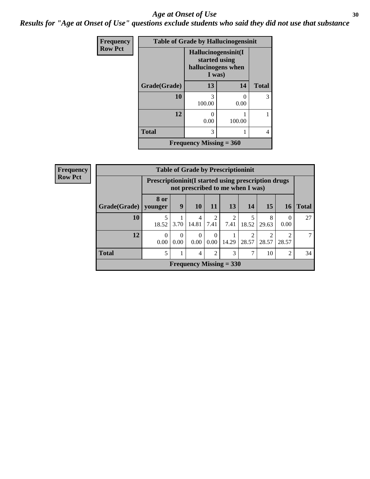#### Age at Onset of Use **30**

*Results for "Age at Onset of Use" questions exclude students who said they did not use that substance*

| Frequency      | <b>Table of Grade by Hallucinogensinit</b> |                                                                      |           |              |  |  |  |
|----------------|--------------------------------------------|----------------------------------------------------------------------|-----------|--------------|--|--|--|
| <b>Row Pct</b> |                                            | Hallucinogensinit(I<br>started using<br>hallucinogens when<br>I was) |           |              |  |  |  |
|                | Grade(Grade)                               | 13                                                                   | 14        | <b>Total</b> |  |  |  |
|                | 10                                         | 3<br>100.00                                                          | 0<br>0.00 | 3            |  |  |  |
|                | 12                                         | $\left( \right)$<br>0.00                                             | 100.00    |              |  |  |  |
|                | <b>Total</b>                               | 3                                                                    |           | 4            |  |  |  |
|                |                                            | Frequency Missing $= 360$                                            |           |              |  |  |  |

| <b>Frequency</b> |              | <b>Table of Grade by Prescriptioninit</b>                                                |                  |                  |                        |                                |                         |            |                |              |
|------------------|--------------|------------------------------------------------------------------------------------------|------------------|------------------|------------------------|--------------------------------|-------------------------|------------|----------------|--------------|
| <b>Row Pct</b>   |              | Prescriptioninit (I started using prescription drugs<br>not prescribed to me when I was) |                  |                  |                        |                                |                         |            |                |              |
|                  | Grade(Grade) | 8 or<br>vounger                                                                          | 9                | <b>10</b>        | <b>11</b>              | 13                             | 14                      | <b>15</b>  | 16             | <b>Total</b> |
|                  | 10           | 18.52                                                                                    | 3.70             | 4<br>14.81       | $\mathfrak{D}$<br>7.41 | $\mathfrak{D}$<br>7.41         | 5<br>18.52              | 8<br>29.63 | 0<br>0.00      | 27           |
|                  | 12           | $\Omega$<br>0.00                                                                         | $\Omega$<br>0.00 | $\Omega$<br>0.00 | $\Omega$<br>0.00       | 14.29                          | $\overline{c}$<br>28.57 | 28.57      | ↑<br>28.57     | 7            |
|                  | <b>Total</b> | 5                                                                                        |                  | 4                | 2                      | 3                              | $\mathcal{I}$           | 10         | $\overline{c}$ | 34           |
|                  |              |                                                                                          |                  |                  |                        | <b>Frequency Missing = 330</b> |                         |            |                |              |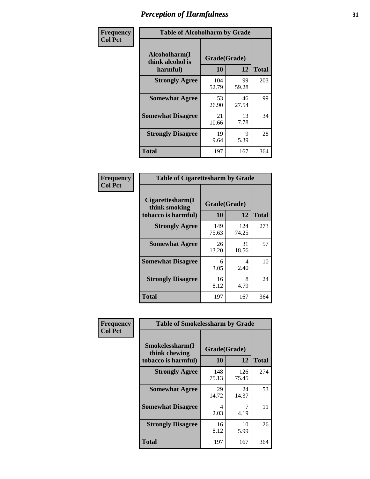| Frequency      | <b>Table of Alcoholharm by Grade</b>          |                    |             |              |  |  |
|----------------|-----------------------------------------------|--------------------|-------------|--------------|--|--|
| <b>Col Pct</b> | Alcoholharm(I<br>think alcohol is<br>harmful) | Grade(Grade)<br>10 | 12          | <b>Total</b> |  |  |
|                | <b>Strongly Agree</b>                         | 104<br>52.79       | 99<br>59.28 | 203          |  |  |
|                | <b>Somewhat Agree</b>                         | 53<br>26.90        | 46<br>27.54 | 99           |  |  |
|                | <b>Somewhat Disagree</b>                      | 21<br>10.66        | 13<br>7.78  | 34           |  |  |
|                | <b>Strongly Disagree</b>                      | 19<br>9.64         | 9<br>5.39   | 28           |  |  |
|                | <b>Total</b>                                  | 197                | 167         | 364          |  |  |

| <b>Table of Cigarettesharm by Grade</b>                  |                    |              |              |  |  |  |  |
|----------------------------------------------------------|--------------------|--------------|--------------|--|--|--|--|
| Cigarettesharm(I<br>think smoking<br>tobacco is harmful) | Grade(Grade)<br>10 | 12           | <b>Total</b> |  |  |  |  |
| <b>Strongly Agree</b>                                    | 149<br>75.63       | 124<br>74.25 | 273          |  |  |  |  |
| <b>Somewhat Agree</b>                                    | 26<br>13.20        | 31<br>18.56  | 57           |  |  |  |  |
| <b>Somewhat Disagree</b>                                 | 6<br>3.05          | 4<br>2.40    | 10           |  |  |  |  |
| <b>Strongly Disagree</b>                                 | 16<br>8.12         | 8<br>4.79    | 24           |  |  |  |  |
| <b>Total</b>                                             | 197                | 167          | 364          |  |  |  |  |

| Frequency      | <b>Table of Smokelessharm by Grade</b>                  |                    |              |              |  |  |  |  |
|----------------|---------------------------------------------------------|--------------------|--------------|--------------|--|--|--|--|
| <b>Col Pct</b> | Smokelessharm(I<br>think chewing<br>tobacco is harmful) | Grade(Grade)<br>10 | 12           | <b>Total</b> |  |  |  |  |
|                | <b>Strongly Agree</b>                                   | 148<br>75.13       | 126<br>75.45 | 274          |  |  |  |  |
|                | <b>Somewhat Agree</b>                                   | 29<br>14.72        | 24<br>14.37  | 53           |  |  |  |  |
|                | <b>Somewhat Disagree</b>                                | 4<br>2.03          | 4.19         | 11           |  |  |  |  |
|                | <b>Strongly Disagree</b>                                | 16<br>8.12         | 10<br>5.99   | 26           |  |  |  |  |
|                | <b>Total</b>                                            | 197                | 167          | 364          |  |  |  |  |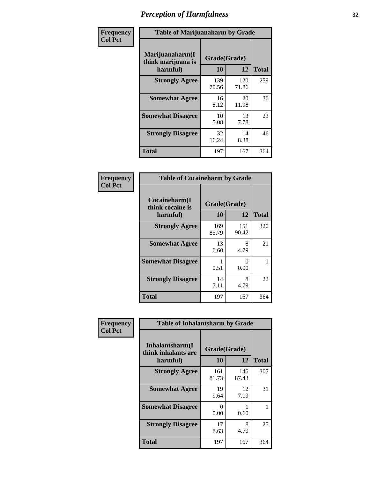| Frequency      | <b>Table of Marijuanaharm by Grade</b>            |                    |              |              |  |  |
|----------------|---------------------------------------------------|--------------------|--------------|--------------|--|--|
| <b>Col Pct</b> | Marijuanaharm(I<br>think marijuana is<br>harmful) | Grade(Grade)<br>10 | 12           | <b>Total</b> |  |  |
|                | <b>Strongly Agree</b>                             | 139<br>70.56       | 120<br>71.86 | 259          |  |  |
|                | <b>Somewhat Agree</b>                             | 16<br>8.12         | 20<br>11.98  | 36           |  |  |
|                | <b>Somewhat Disagree</b>                          | 10<br>5.08         | 13<br>7.78   | 23           |  |  |
|                | <b>Strongly Disagree</b>                          | 32<br>16.24        | 14<br>8.38   | 46           |  |  |
|                | <b>Total</b>                                      | 197                | 167          | 364          |  |  |

| <b>Table of Cocaineharm by Grade</b>          |                    |              |              |  |  |  |  |  |
|-----------------------------------------------|--------------------|--------------|--------------|--|--|--|--|--|
| Cocaineharm(I<br>think cocaine is<br>harmful) | Grade(Grade)<br>10 | 12           | <b>Total</b> |  |  |  |  |  |
| <b>Strongly Agree</b>                         | 169<br>85.79       | 151<br>90.42 | 320          |  |  |  |  |  |
| <b>Somewhat Agree</b>                         | 13<br>6.60         | 8<br>4.79    | 21           |  |  |  |  |  |
| <b>Somewhat Disagree</b>                      | 1<br>0.51          | 0<br>0.00    | 1            |  |  |  |  |  |
| <b>Strongly Disagree</b>                      | 14<br>7.11         | 8<br>4.79    | 22           |  |  |  |  |  |
| Total                                         | 197                | 167          | 364          |  |  |  |  |  |

| Frequency      | <b>Table of Inhalantsharm by Grade</b>             |                           |              |              |
|----------------|----------------------------------------------------|---------------------------|--------------|--------------|
| <b>Col Pct</b> | Inhalantsharm(I<br>think inhalants are<br>harmful) | Grade(Grade)<br><b>10</b> | 12           | <b>Total</b> |
|                | <b>Strongly Agree</b>                              | 161<br>81.73              | 146<br>87.43 | 307          |
|                | <b>Somewhat Agree</b>                              | 19<br>9.64                | 12<br>7.19   | 31           |
|                | <b>Somewhat Disagree</b>                           | 0<br>0.00                 | 0.60         |              |
|                | <b>Strongly Disagree</b>                           | 17<br>8.63                | 8<br>4.79    | 25           |
|                | <b>Total</b>                                       | 197                       | 167          | 364          |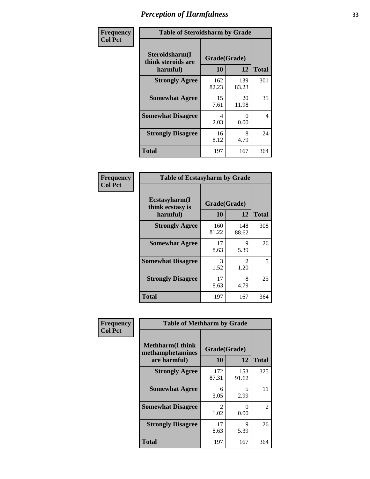| Frequency      | <b>Table of Steroidsharm by Grade</b>            |                    |                      |              |
|----------------|--------------------------------------------------|--------------------|----------------------|--------------|
| <b>Col Pct</b> | Steroidsharm(I<br>think steroids are<br>harmful) | Grade(Grade)<br>10 | 12                   | <b>Total</b> |
|                | <b>Strongly Agree</b>                            | 162<br>82.23       | 139<br>83.23         | 301          |
|                | <b>Somewhat Agree</b>                            | 15<br>7.61         | 20<br>11.98          | 35           |
|                | <b>Somewhat Disagree</b>                         | 4<br>2.03          | $\mathbf{0}$<br>0.00 | 4            |
|                | <b>Strongly Disagree</b>                         | 16<br>8.12         | 8<br>4.79            | 24           |
|                | <b>Total</b>                                     | 197                | 167                  | 364          |

| <b>Table of Ecstasyharm by Grade</b>          |                    |              |     |  |  |
|-----------------------------------------------|--------------------|--------------|-----|--|--|
| Ecstasyharm(I<br>think ecstasy is<br>harmful) | Grade(Grade)<br>10 | <b>Total</b> |     |  |  |
| <b>Strongly Agree</b>                         | 160<br>81.22       | 148<br>88.62 | 308 |  |  |
| <b>Somewhat Agree</b>                         | 17<br>8.63         | 9<br>5.39    | 26  |  |  |
| <b>Somewhat Disagree</b>                      | 3<br>1.52          | 2<br>1.20    | 5   |  |  |
| <b>Strongly Disagree</b>                      | 17<br>8.63         | 8<br>4.79    | 25  |  |  |
| <b>Total</b>                                  | 197                | 167          | 364 |  |  |

| Frequency      | <b>Table of Methharm by Grade</b>                            |                           |              |              |
|----------------|--------------------------------------------------------------|---------------------------|--------------|--------------|
| <b>Col Pct</b> | <b>Methharm</b> (I think<br>methamphetamines<br>are harmful) | Grade(Grade)<br><b>10</b> | 12           | <b>Total</b> |
|                | <b>Strongly Agree</b>                                        | 172<br>87.31              | 153<br>91.62 | 325          |
|                | <b>Somewhat Agree</b>                                        | 6<br>3.05                 | 5<br>2.99    | 11           |
|                | <b>Somewhat Disagree</b>                                     | $\mathfrak{D}$<br>1.02    | 0<br>0.00    | 2            |
|                | <b>Strongly Disagree</b>                                     | 17<br>8.63                | 9<br>5.39    | 26           |
|                | Total                                                        | 197                       | 167          | 364          |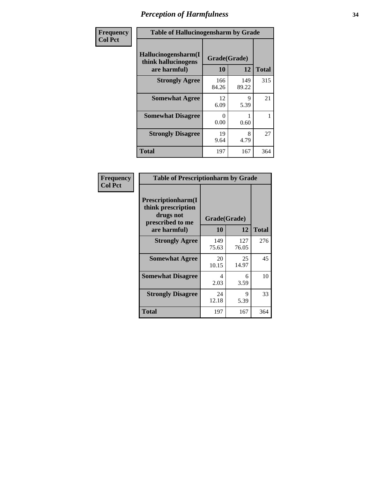| Frequency      | <b>Table of Hallucinogensharm by Grade</b>                 |                    |              |              |
|----------------|------------------------------------------------------------|--------------------|--------------|--------------|
| <b>Col Pct</b> | Hallucinogensharm(I<br>think hallucinogens<br>are harmful) | Grade(Grade)<br>10 | 12           | <b>Total</b> |
|                | <b>Strongly Agree</b>                                      | 166<br>84.26       | 149<br>89.22 | 315          |
|                | <b>Somewhat Agree</b>                                      | 12<br>6.09         | 9<br>5.39    | 21           |
|                | <b>Somewhat Disagree</b>                                   | 0<br>0.00          | 0.60         | 1            |
|                | <b>Strongly Disagree</b>                                   | 19<br>9.64         | 8<br>4.79    | 27           |
|                | <b>Total</b>                                               | 197                | 167          | 364          |

| <b>Table of Prescriptionharm by Grade</b>                                         |              |              |              |  |  |
|-----------------------------------------------------------------------------------|--------------|--------------|--------------|--|--|
| <b>Prescriptionharm</b> (I<br>think prescription<br>drugs not<br>prescribed to me | Grade(Grade) |              |              |  |  |
| are harmful)                                                                      | 10           | 12           | <b>Total</b> |  |  |
| <b>Strongly Agree</b>                                                             | 149<br>75.63 | 127<br>76.05 | 276          |  |  |
| <b>Somewhat Agree</b>                                                             | 20<br>10.15  | 25<br>14.97  | 45           |  |  |
| <b>Somewhat Disagree</b>                                                          | 4<br>2.03    | 6<br>3.59    | 10           |  |  |
| <b>Strongly Disagree</b>                                                          | 24<br>12.18  | 9<br>5.39    | 33           |  |  |
| <b>Total</b>                                                                      | 197          | 167          | 364          |  |  |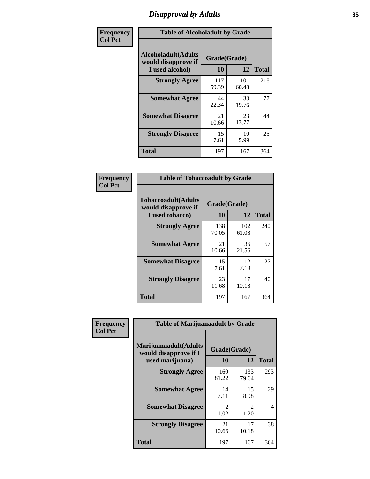# *Disapproval by Adults* **35**

| Frequency      | <b>Table of Alcoholadult by Grade</b>                                 |                    |              |              |
|----------------|-----------------------------------------------------------------------|--------------------|--------------|--------------|
| <b>Col Pct</b> | <b>Alcoholadult</b> (Adults<br>would disapprove if<br>I used alcohol) | Grade(Grade)<br>10 | 12           | <b>Total</b> |
|                | <b>Strongly Agree</b>                                                 | 117<br>59.39       | 101<br>60.48 | 218          |
|                | <b>Somewhat Agree</b>                                                 | 44<br>22.34        | 33<br>19.76  | 77           |
|                | <b>Somewhat Disagree</b>                                              | 21<br>10.66        | 23<br>13.77  | 44           |
|                | <b>Strongly Disagree</b>                                              | 15<br>7.61         | 10<br>5.99   | 25           |
|                | <b>Total</b>                                                          | 197                | 167          | 364          |

| <b>Table of Tobaccoadult by Grade</b>                                 |                    |              |              |  |  |
|-----------------------------------------------------------------------|--------------------|--------------|--------------|--|--|
| <b>Tobaccoadult</b> (Adults<br>would disapprove if<br>I used tobacco) | Grade(Grade)<br>10 | 12           | <b>Total</b> |  |  |
| <b>Strongly Agree</b>                                                 | 138<br>70.05       | 102<br>61.08 | 240          |  |  |
| <b>Somewhat Agree</b>                                                 | 21<br>10.66        | 36<br>21.56  | 57           |  |  |
| <b>Somewhat Disagree</b>                                              | 15<br>7.61         | 12<br>7.19   | 27           |  |  |
| <b>Strongly Disagree</b>                                              | 23<br>11.68        | 17<br>10.18  | 40           |  |  |
| <b>Total</b>                                                          | 197                | 167          | 364          |  |  |

| Frequency<br><b>Col Pct</b> | <b>Table of Marijuanaadult by Grade</b>                           |                        |                        |              |  |
|-----------------------------|-------------------------------------------------------------------|------------------------|------------------------|--------------|--|
|                             | Marijuanaadult(Adults<br>would disapprove if I<br>used marijuana) | Grade(Grade)<br>10     | 12                     | <b>Total</b> |  |
|                             | <b>Strongly Agree</b>                                             | 160<br>81.22           | 133<br>79.64           | 293          |  |
|                             | <b>Somewhat Agree</b>                                             | 14<br>7.11             | 15<br>8.98             | 29           |  |
|                             | <b>Somewhat Disagree</b>                                          | $\mathfrak{D}$<br>1.02 | $\mathfrak{D}$<br>1.20 | 4            |  |
|                             | <b>Strongly Disagree</b>                                          | 21<br>10.66            | 17<br>10.18            | 38           |  |
|                             | <b>Total</b>                                                      | 197                    | 167                    | 364          |  |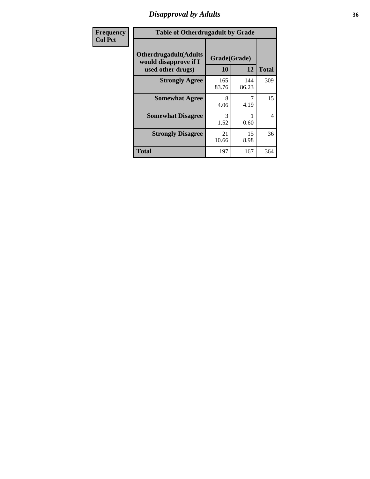# *Disapproval by Adults* **36**

| <b>Frequency</b> | <b>Table of Otherdrugadult by Grade</b>                                     |                    |              |              |
|------------------|-----------------------------------------------------------------------------|--------------------|--------------|--------------|
| <b>Col Pct</b>   | <b>Otherdrugadult</b> (Adults<br>would disapprove if I<br>used other drugs) | Grade(Grade)<br>10 | 12           | <b>Total</b> |
|                  | <b>Strongly Agree</b>                                                       | 165<br>83.76       | 144<br>86.23 | 309          |
|                  | <b>Somewhat Agree</b>                                                       | 8<br>4.06          | 4.19         | 15           |
|                  | <b>Somewhat Disagree</b>                                                    | 3<br>1.52          | 0.60         | 4            |
|                  | <b>Strongly Disagree</b>                                                    | 21<br>10.66        | 15<br>8.98   | 36           |
|                  | <b>Total</b>                                                                | 197                | 167          | 364          |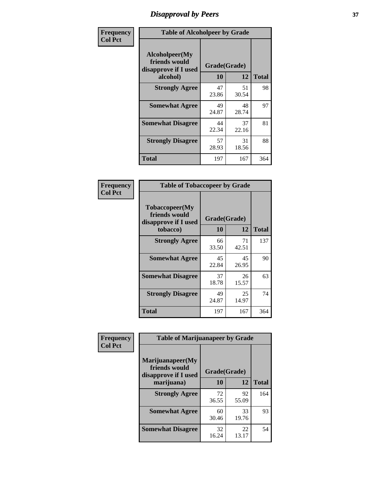# *Disapproval by Peers* **37**

| Frequency      | <b>Table of Alcoholpeer by Grade</b>                    |              |             |              |  |
|----------------|---------------------------------------------------------|--------------|-------------|--------------|--|
| <b>Col Pct</b> | Alcoholpeer(My<br>friends would<br>disapprove if I used | Grade(Grade) |             |              |  |
|                | alcohol)                                                | 10           | 12          | <b>Total</b> |  |
|                | <b>Strongly Agree</b>                                   | 47<br>23.86  | 51<br>30.54 | 98           |  |
|                | <b>Somewhat Agree</b>                                   | 49<br>24.87  | 48<br>28.74 | 97           |  |
|                | <b>Somewhat Disagree</b>                                | 44<br>22.34  | 37<br>22.16 | 81           |  |
|                | <b>Strongly Disagree</b>                                | 57<br>28.93  | 31<br>18.56 | 88           |  |
|                | Total                                                   | 197          | 167         | 364          |  |

| Frequency      | <b>Table of Tobaccopeer by Grade</b>                                |                    |             |              |
|----------------|---------------------------------------------------------------------|--------------------|-------------|--------------|
| <b>Col Pct</b> | Tobaccopeer(My<br>friends would<br>disapprove if I used<br>tobacco) | Grade(Grade)<br>10 | 12          | <b>Total</b> |
|                | <b>Strongly Agree</b>                                               | 66<br>33.50        | 71<br>42.51 | 137          |
|                | <b>Somewhat Agree</b>                                               | 45<br>22.84        | 45<br>26.95 | 90           |
|                | <b>Somewhat Disagree</b>                                            | 37<br>18.78        | 26<br>15.57 | 63           |
|                | <b>Strongly Disagree</b>                                            | 49<br>24.87        | 25<br>14.97 | 74           |
|                | Total                                                               | 197                | 167         | 364          |

| Frequency      | <b>Table of Marijuanapeer by Grade</b>                    |              |             |              |
|----------------|-----------------------------------------------------------|--------------|-------------|--------------|
| <b>Col Pct</b> | Marijuanapeer(My<br>friends would<br>disapprove if I used | Grade(Grade) |             |              |
|                | marijuana)                                                | 10           | 12          | <b>Total</b> |
|                | <b>Strongly Agree</b>                                     | 72<br>36.55  | 92<br>55.09 | 164          |
|                | <b>Somewhat Agree</b>                                     | 60<br>30.46  | 33<br>19.76 | 93           |
|                | <b>Somewhat Disagree</b>                                  | 32<br>16.24  | 22<br>13.17 | 54           |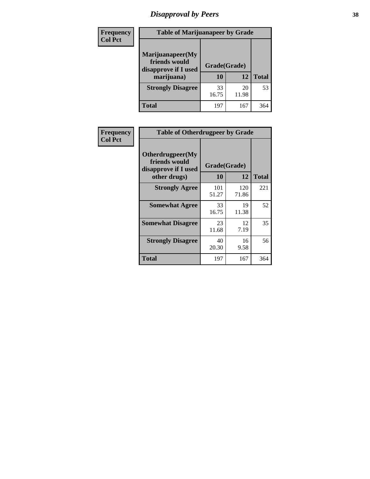# *Disapproval by Peers* **38**

| <b>Frequency</b> | <b>Table of Marijuanapeer by Grade</b>                                  |                           |             |              |  |
|------------------|-------------------------------------------------------------------------|---------------------------|-------------|--------------|--|
| <b>Col Pct</b>   | Marijuanapeer(My<br>friends would<br>disapprove if I used<br>marijuana) | Grade(Grade)<br><b>10</b> | 12          | <b>Total</b> |  |
|                  | <b>Strongly Disagree</b>                                                | 33<br>16.75               | 20<br>11.98 | 53           |  |
|                  | <b>Total</b>                                                            | 197                       | 167         | 364          |  |

| Frequency      | <b>Table of Otherdrugpeer by Grade</b>                                    |                    |              |              |
|----------------|---------------------------------------------------------------------------|--------------------|--------------|--------------|
| <b>Col Pct</b> | Otherdrugpeer(My<br>friends would<br>disapprove if I used<br>other drugs) | Grade(Grade)<br>10 | 12           | <b>Total</b> |
|                | <b>Strongly Agree</b>                                                     | 101<br>51.27       | 120<br>71.86 | 221          |
|                | <b>Somewhat Agree</b>                                                     | 33<br>16.75        | 19<br>11.38  | 52           |
|                | <b>Somewhat Disagree</b>                                                  | 23<br>11.68        | 12<br>7.19   | 35           |
|                | <b>Strongly Disagree</b>                                                  | 40<br>20.30        | 16<br>9.58   | 56           |
|                | <b>Total</b>                                                              | 197                | 167          | 364          |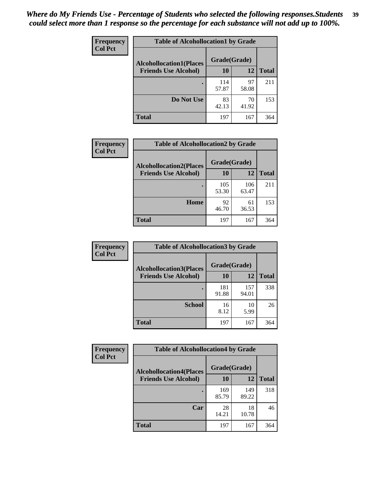| Frequency      | <b>Table of Alcohollocation1 by Grade</b> |              |             |              |
|----------------|-------------------------------------------|--------------|-------------|--------------|
| <b>Col Pct</b> | <b>Alcohollocation1(Places</b>            | Grade(Grade) |             |              |
|                | <b>Friends Use Alcohol)</b>               | 10           | 12          | <b>Total</b> |
|                |                                           | 114<br>57.87 | 97<br>58.08 | 211          |
|                | Do Not Use                                | 83<br>42.13  | 70<br>41.92 | 153          |
|                | <b>Total</b>                              | 197          | 167         | 364          |

| Frequency      | <b>Table of Alcohollocation2 by Grade</b>                     |                    |              |              |
|----------------|---------------------------------------------------------------|--------------------|--------------|--------------|
| <b>Col Pct</b> | <b>Alcohollocation2(Places</b><br><b>Friends Use Alcohol)</b> | Grade(Grade)<br>10 | 12           | <b>Total</b> |
|                |                                                               | 105<br>53.30       | 106<br>63.47 | 211          |
|                | Home                                                          | 92<br>46.70        | 61<br>36.53  | 153          |
|                | <b>Total</b>                                                  | 197                | 167          | 364          |

| <b>Frequency</b> | <b>Table of Alcohollocation 3 by Grade</b> |              |              |              |
|------------------|--------------------------------------------|--------------|--------------|--------------|
| <b>Col Pct</b>   | <b>Alcohollocation3(Places</b>             | Grade(Grade) |              |              |
|                  | <b>Friends Use Alcohol)</b>                | <b>10</b>    | 12           | <b>Total</b> |
|                  |                                            | 181<br>91.88 | 157<br>94.01 | 338          |
|                  | <b>School</b>                              | 16<br>8.12   | 10<br>5.99   | 26           |
|                  | <b>Total</b>                               | 197          | 167          | 364          |

| <b>Frequency</b><br><b>Col Pct</b> | <b>Table of Alcohollocation4 by Grade</b>      |              |              |              |  |
|------------------------------------|------------------------------------------------|--------------|--------------|--------------|--|
|                                    | Grade(Grade)<br><b>Alcohollocation4(Places</b> |              |              |              |  |
|                                    | <b>Friends Use Alcohol)</b>                    | 10           | 12           | <b>Total</b> |  |
|                                    |                                                | 169<br>85.79 | 149<br>89.22 | 318          |  |
|                                    | Car                                            | 28<br>14.21  | 18<br>10.78  | 46           |  |
|                                    | <b>Total</b>                                   | 197          | 167          | 364          |  |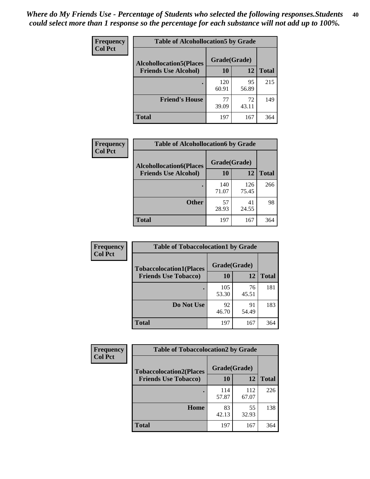| Frequency<br><b>Col Pct</b> | <b>Table of Alcohollocation5 by Grade</b> |              |             |              |  |
|-----------------------------|-------------------------------------------|--------------|-------------|--------------|--|
|                             | <b>Alcohollocation5(Places</b>            | Grade(Grade) |             |              |  |
|                             | <b>Friends Use Alcohol)</b>               | 10           | 12          | <b>Total</b> |  |
|                             |                                           | 120<br>60.91 | 95<br>56.89 | 215          |  |
|                             | <b>Friend's House</b>                     | 77<br>39.09  | 72<br>43.11 | 149          |  |
|                             | <b>Total</b>                              | 197          | 167         | 364          |  |

| <b>Frequency</b> | <b>Table of Alcohollocation6 by Grade</b>                     |              |              |              |
|------------------|---------------------------------------------------------------|--------------|--------------|--------------|
| <b>Col Pct</b>   | <b>Alcohollocation6(Places</b><br><b>Friends Use Alcohol)</b> | Grade(Grade) |              |              |
|                  |                                                               | 10           | 12           | <b>Total</b> |
|                  |                                                               | 140<br>71.07 | 126<br>75.45 | 266          |
|                  | <b>Other</b>                                                  | 57<br>28.93  | 41<br>24.55  | 98           |
|                  | <b>Total</b>                                                  | 197          | 167          | 364          |

| <b>Frequency</b> | <b>Table of Tobaccolocation1 by Grade</b> |              |             |              |
|------------------|-------------------------------------------|--------------|-------------|--------------|
| <b>Col Pct</b>   | <b>Tobaccolocation1(Places</b>            | Grade(Grade) |             |              |
|                  | <b>Friends Use Tobacco)</b>               | 10           | 12          | <b>Total</b> |
|                  |                                           | 105<br>53.30 | 76<br>45.51 | 181          |
|                  | Do Not Use                                | 92<br>46.70  | 91<br>54.49 | 183          |
|                  | <b>Total</b>                              | 197          | 167         | 364          |

| <b>Frequency</b> | <b>Table of Tobaccolocation2 by Grade</b> |              |              |              |  |
|------------------|-------------------------------------------|--------------|--------------|--------------|--|
| <b>Col Pct</b>   | <b>Tobaccolocation2(Places</b>            | Grade(Grade) |              |              |  |
|                  | <b>Friends Use Tobacco)</b>               | 10           | 12           | <b>Total</b> |  |
|                  |                                           | 114<br>57.87 | 112<br>67.07 | 226          |  |
|                  | Home                                      | 83<br>42.13  | 55<br>32.93  | 138          |  |
|                  | <b>Total</b>                              | 197          | 167          | 364          |  |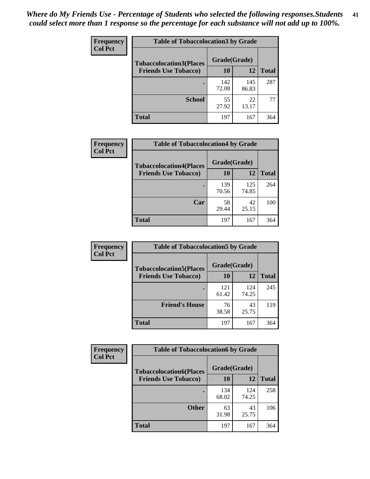| Frequency<br><b>Col Pct</b> | <b>Table of Tobaccolocation 3 by Grade</b> |              |              |              |
|-----------------------------|--------------------------------------------|--------------|--------------|--------------|
|                             | <b>Tobaccolocation3(Places</b>             | Grade(Grade) |              |              |
|                             | <b>Friends Use Tobacco)</b>                | 10           | 12           | <b>Total</b> |
|                             |                                            | 142<br>72.08 | 145<br>86.83 | 287          |
|                             | <b>School</b>                              | 55<br>27.92  | 22<br>13.17  | 77           |
|                             | <b>Total</b>                               | 197          | 167          | 364          |

| Frequency      | <b>Table of Tobaccolocation4 by Grade</b> |              |              |              |
|----------------|-------------------------------------------|--------------|--------------|--------------|
| <b>Col Pct</b> | <b>Tobaccolocation4(Places</b>            | Grade(Grade) |              |              |
|                | <b>Friends Use Tobacco)</b>               | 10           | 12           | <b>Total</b> |
|                |                                           | 139<br>70.56 | 125<br>74.85 | 264          |
|                | Car                                       | 58<br>29.44  | 42<br>25.15  | 100          |
|                | <b>Total</b>                              | 197          | 167          | 364          |

| Frequency      | <b>Table of Tobaccolocation5 by Grade</b> |              |              |              |
|----------------|-------------------------------------------|--------------|--------------|--------------|
| <b>Col Pct</b> | <b>Tobaccolocation5(Places</b>            | Grade(Grade) |              |              |
|                | <b>Friends Use Tobacco)</b>               | 10           | 12           | <b>Total</b> |
|                |                                           | 121<br>61.42 | 124<br>74.25 | 245          |
|                | <b>Friend's House</b>                     | 76<br>38.58  | 43<br>25.75  | 119          |
|                | <b>Total</b>                              | 197          | 167          | 364          |

| <b>Frequency</b> | <b>Table of Tobaccolocation6 by Grade</b> |              |              |              |  |
|------------------|-------------------------------------------|--------------|--------------|--------------|--|
| <b>Col Pct</b>   | <b>Tobaccolocation6(Places</b>            | Grade(Grade) |              |              |  |
|                  | <b>Friends Use Tobacco)</b>               | 10           | 12           | <b>Total</b> |  |
|                  |                                           | 134<br>68.02 | 124<br>74.25 | 258          |  |
|                  | <b>Other</b>                              | 63<br>31.98  | 43<br>25.75  | 106          |  |
|                  | <b>Total</b>                              | 197          | 167          | 364          |  |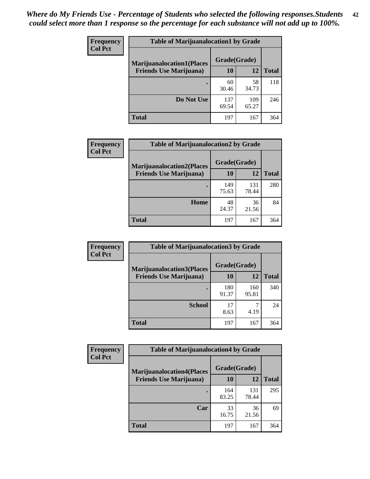| <b>Frequency</b> | <b>Table of Marijuanalocation1 by Grade</b> |              |              |              |
|------------------|---------------------------------------------|--------------|--------------|--------------|
| <b>Col Pct</b>   | <b>Marijuanalocation1(Places</b>            | Grade(Grade) |              |              |
|                  | <b>Friends Use Marijuana</b> )              | 10           | 12           | <b>Total</b> |
|                  |                                             | 60<br>30.46  | 58<br>34.73  | 118          |
|                  | Do Not Use                                  | 137<br>69.54 | 109<br>65.27 | 246          |
|                  | <b>Total</b>                                | 197          | 167          | 364          |

| <b>Frequency</b> | <b>Table of Marijuanalocation2 by Grade</b>                        |                    |              |              |
|------------------|--------------------------------------------------------------------|--------------------|--------------|--------------|
| <b>Col Pct</b>   | <b>Marijuanalocation2(Places</b><br><b>Friends Use Marijuana</b> ) | Grade(Grade)<br>10 | 12           | <b>Total</b> |
|                  |                                                                    | 149<br>75.63       | 131<br>78.44 | 280          |
|                  | <b>Home</b>                                                        | 48<br>24.37        | 36<br>21.56  | 84           |
|                  | <b>Total</b>                                                       | 197                | 167          | 364          |

| Frequency<br><b>Col Pct</b> | <b>Table of Marijuanalocation3 by Grade</b> |              |              |              |
|-----------------------------|---------------------------------------------|--------------|--------------|--------------|
|                             | <b>Marijuanalocation3</b> (Places           | Grade(Grade) |              |              |
|                             | <b>Friends Use Marijuana</b> )              | 10           | 12           | <b>Total</b> |
|                             |                                             | 180<br>91.37 | 160<br>95.81 | 340          |
|                             | <b>School</b>                               | 17<br>8.63   | 4.19         | 24           |
|                             | <b>Total</b>                                | 197          | 167          | 364          |

| <b>Frequency</b> | <b>Table of Marijuanalocation4 by Grade</b> |              |              |              |  |
|------------------|---------------------------------------------|--------------|--------------|--------------|--|
| <b>Col Pct</b>   | <b>Marijuanalocation4(Places</b>            | Grade(Grade) |              |              |  |
|                  | <b>Friends Use Marijuana</b> )              | 10           | 12           | <b>Total</b> |  |
|                  |                                             | 164<br>83.25 | 131<br>78.44 | 295          |  |
|                  | Car                                         | 33<br>16.75  | 36<br>21.56  | 69           |  |
|                  | <b>Total</b>                                | 197          | 167          | 364          |  |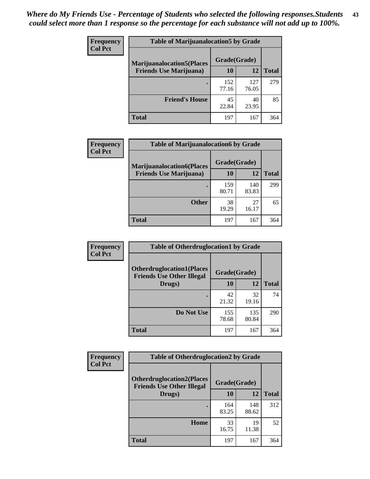| <b>Frequency</b> | <b>Table of Marijuanalocation5 by Grade</b> |              |              |              |
|------------------|---------------------------------------------|--------------|--------------|--------------|
| <b>Col Pct</b>   | <b>Marijuanalocation5</b> (Places           | Grade(Grade) |              |              |
|                  | <b>Friends Use Marijuana</b> )              | 10           | 12           | <b>Total</b> |
|                  |                                             | 152<br>77.16 | 127<br>76.05 | 279          |
|                  | <b>Friend's House</b>                       | 45<br>22.84  | 40<br>23.95  | 85           |
|                  | <b>Total</b>                                | 197          | 167          | 364          |

| <b>Frequency</b> | <b>Table of Marijuanalocation6 by Grade</b>                        |                    |              |              |
|------------------|--------------------------------------------------------------------|--------------------|--------------|--------------|
| <b>Col Pct</b>   | <b>Marijuanalocation6(Places</b><br><b>Friends Use Marijuana</b> ) | Grade(Grade)<br>10 | 12           | <b>Total</b> |
|                  |                                                                    | 159<br>80.71       | 140<br>83.83 | 299          |
|                  | <b>Other</b>                                                       | 38<br>19.29        | 27<br>16.17  | 65           |
|                  | <b>Total</b>                                                       | 197                | 167          | 364          |

| <b>Frequency</b> | <b>Table of Otherdruglocation1 by Grade</b>                          |              |              |              |
|------------------|----------------------------------------------------------------------|--------------|--------------|--------------|
| <b>Col Pct</b>   | <b>Otherdruglocation1(Places</b><br><b>Friends Use Other Illegal</b> | Grade(Grade) |              |              |
|                  | Drugs)                                                               | 10           | 12           | <b>Total</b> |
|                  |                                                                      | 42<br>21.32  | 32<br>19.16  | 74           |
|                  | Do Not Use                                                           | 155<br>78.68 | 135<br>80.84 | 290          |
|                  | <b>Total</b>                                                         | 197          | 167          | 364          |

| Frequency      | <b>Table of Otherdruglocation2 by Grade</b>                          |              |              |              |
|----------------|----------------------------------------------------------------------|--------------|--------------|--------------|
| <b>Col Pct</b> | <b>Otherdruglocation2(Places</b><br><b>Friends Use Other Illegal</b> | Grade(Grade) |              |              |
|                | Drugs)                                                               | 10           | 12           | <b>Total</b> |
|                |                                                                      | 164<br>83.25 | 148<br>88.62 | 312          |
|                | Home                                                                 | 33<br>16.75  | 19<br>11.38  | 52           |
|                | Total                                                                | 197          | 167          | 364          |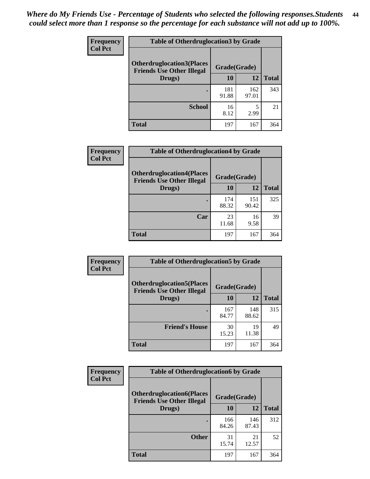| <b>Frequency</b><br><b>Col Pct</b> | <b>Table of Otherdruglocation 3 by Grade</b>                         |              |              |              |
|------------------------------------|----------------------------------------------------------------------|--------------|--------------|--------------|
|                                    | <b>Otherdruglocation3(Places</b><br><b>Friends Use Other Illegal</b> | Grade(Grade) |              |              |
|                                    | Drugs)                                                               | <b>10</b>    | 12           | <b>Total</b> |
|                                    |                                                                      | 181<br>91.88 | 162<br>97.01 | 343          |
|                                    | <b>School</b>                                                        | 16<br>8.12   | 2.99         | 21           |
|                                    | <b>Total</b>                                                         | 197          | 167          | 364          |

| <b>Frequency</b> | <b>Table of Otherdruglocation4 by Grade</b>                          |              |              |              |
|------------------|----------------------------------------------------------------------|--------------|--------------|--------------|
| <b>Col Pct</b>   | <b>Otherdruglocation4(Places</b><br><b>Friends Use Other Illegal</b> | Grade(Grade) |              |              |
|                  | Drugs)                                                               | 10           | 12           | <b>Total</b> |
|                  |                                                                      | 174<br>88.32 | 151<br>90.42 | 325          |
|                  | Car                                                                  | 23<br>11.68  | 16<br>9.58   | 39           |
|                  | <b>Total</b>                                                         | 197          | 167          | 364          |

| <b>Frequency</b> | <b>Table of Otherdruglocation5 by Grade</b>                          |              |              |              |
|------------------|----------------------------------------------------------------------|--------------|--------------|--------------|
| <b>Col Pct</b>   | <b>Otherdruglocation5(Places</b><br><b>Friends Use Other Illegal</b> | Grade(Grade) |              |              |
|                  | Drugs)                                                               | 10           | 12           | <b>Total</b> |
|                  |                                                                      | 167<br>84.77 | 148<br>88.62 | 315          |
|                  | <b>Friend's House</b>                                                | 30<br>15.23  | 19<br>11.38  | 49           |
|                  | <b>Total</b>                                                         | 197          | 167          | 364          |

| <b>Frequency</b> | <b>Table of Otherdruglocation6 by Grade</b>                          |              |              |              |
|------------------|----------------------------------------------------------------------|--------------|--------------|--------------|
| <b>Col Pct</b>   | <b>Otherdruglocation6(Places</b><br><b>Friends Use Other Illegal</b> |              | Grade(Grade) |              |
|                  | Drugs)                                                               | 10           | 12           | <b>Total</b> |
|                  |                                                                      | 166<br>84.26 | 146<br>87.43 | 312          |
|                  | <b>Other</b>                                                         | 31<br>15.74  | 21<br>12.57  | 52           |
|                  | <b>Total</b>                                                         | 197          | 167          | 364          |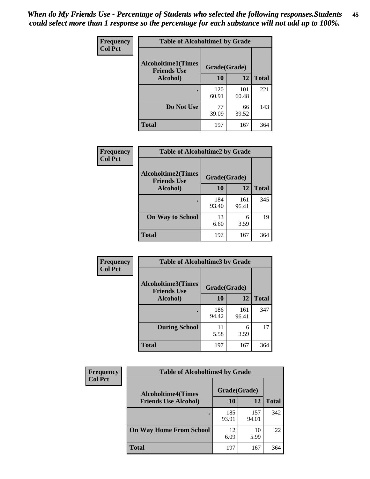| Frequency      | <b>Table of Alcoholtime1 by Grade</b>           |              |              |              |
|----------------|-------------------------------------------------|--------------|--------------|--------------|
| <b>Col Pct</b> | <b>Alcoholtime1(Times</b><br><b>Friends Use</b> | Grade(Grade) |              |              |
|                | Alcohol)                                        | 10           | 12           | <b>Total</b> |
|                |                                                 | 120<br>60.91 | 101<br>60.48 | 221          |
|                | Do Not Use                                      | 77<br>39.09  | 66<br>39.52  | 143          |
|                | <b>Total</b>                                    | 197          | 167          | 364          |

| Frequency      | <b>Table of Alcoholtime2 by Grade</b>           |              |              |              |
|----------------|-------------------------------------------------|--------------|--------------|--------------|
| <b>Col Pct</b> | <b>Alcoholtime2(Times</b><br><b>Friends Use</b> | Grade(Grade) |              |              |
|                | Alcohol)                                        | 10           | 12           | <b>Total</b> |
|                |                                                 | 184<br>93.40 | 161<br>96.41 | 345          |
|                | <b>On Way to School</b>                         | 13<br>6.60   | 6<br>3.59    | 19           |
|                | <b>Total</b>                                    | 197          | 167          | 364          |

| Frequency<br><b>Col Pct</b> | <b>Table of Alcoholtime3 by Grade</b>           |              |              |              |
|-----------------------------|-------------------------------------------------|--------------|--------------|--------------|
|                             | <b>Alcoholtime3(Times</b><br><b>Friends Use</b> | Grade(Grade) |              |              |
|                             | <b>Alcohol</b> )                                | 10           | 12           | <b>Total</b> |
|                             |                                                 | 186<br>94.42 | 161<br>96.41 | 347          |
|                             | <b>During School</b>                            | 11<br>5.58   | 6<br>3.59    | 17           |
|                             | <b>Total</b>                                    | 197          | 167          | 364          |

| <b>Frequency</b> | <b>Table of Alcoholtime4 by Grade</b> |              |              |              |  |
|------------------|---------------------------------------|--------------|--------------|--------------|--|
| <b>Col Pct</b>   | <b>Alcoholtime4(Times</b>             | Grade(Grade) |              |              |  |
|                  | <b>Friends Use Alcohol)</b>           | 10           | 12           | <b>Total</b> |  |
|                  |                                       | 185<br>93.91 | 157<br>94.01 | 342          |  |
|                  | <b>On Way Home From School</b>        | 12<br>6.09   | 10<br>5.99   | 22           |  |
|                  | <b>Total</b>                          | 197          | 167          | 364          |  |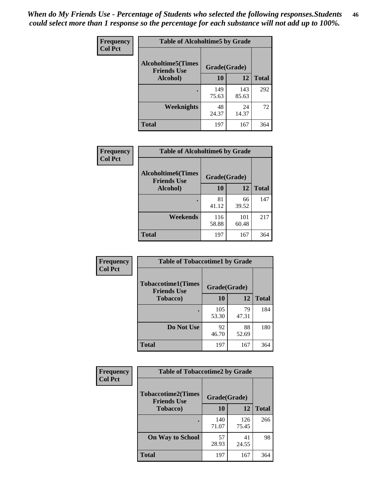*When do My Friends Use - Percentage of Students who selected the following responses.Students could select more than 1 response so the percentage for each substance will not add up to 100%.* **46**

| Frequency      | <b>Table of Alcoholtime5 by Grade</b>            |              |              |              |
|----------------|--------------------------------------------------|--------------|--------------|--------------|
| <b>Col Pct</b> | <b>Alcoholtime5</b> (Times<br><b>Friends Use</b> | Grade(Grade) |              |              |
|                | Alcohol)                                         | 10           | 12           | <b>Total</b> |
|                |                                                  | 149<br>75.63 | 143<br>85.63 | 292          |
|                | Weeknights                                       | 48<br>24.37  | 24<br>14.37  | 72           |
|                | <b>Total</b>                                     | 197          | 167          | 364          |

| Frequency      | <b>Table of Alcoholtime6 by Grade</b>           |              |              |              |
|----------------|-------------------------------------------------|--------------|--------------|--------------|
| <b>Col Pct</b> | <b>Alcoholtime6(Times</b><br><b>Friends Use</b> | Grade(Grade) |              |              |
|                | Alcohol)                                        | 10           | 12           | <b>Total</b> |
|                |                                                 | 81<br>41.12  | 66<br>39.52  | 147          |
|                | Weekends                                        | 116<br>58.88 | 101<br>60.48 | 217          |
|                | <b>Total</b>                                    | 197          | 167          | 364          |

| Frequency      | <b>Table of Tobaccotime1 by Grade</b>           |              |             |              |
|----------------|-------------------------------------------------|--------------|-------------|--------------|
| <b>Col Pct</b> | <b>Tobaccotime1(Times</b><br><b>Friends Use</b> | Grade(Grade) |             |              |
|                | <b>Tobacco</b> )                                | 10           | 12          | <b>Total</b> |
|                | ٠                                               | 105<br>53.30 | 79<br>47.31 | 184          |
|                | Do Not Use                                      | 92<br>46.70  | 88<br>52.69 | 180          |
|                | <b>Total</b>                                    | 197          | 167         | 364          |

| <b>Frequency</b> | <b>Table of Tobaccotime2 by Grade</b>                           |              |              |              |  |
|------------------|-----------------------------------------------------------------|--------------|--------------|--------------|--|
| <b>Col Pct</b>   | <b>Tobaccotime2(Times</b><br>Grade(Grade)<br><b>Friends Use</b> |              |              |              |  |
|                  | <b>Tobacco</b> )                                                | 10           | 12           | <b>Total</b> |  |
|                  |                                                                 | 140<br>71.07 | 126<br>75.45 | 266          |  |
|                  | <b>On Way to School</b>                                         | 57<br>28.93  | 41<br>24.55  | 98           |  |
|                  | Total                                                           | 197          | 167          | 364          |  |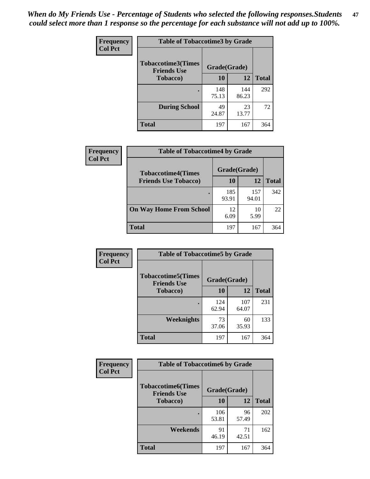*When do My Friends Use - Percentage of Students who selected the following responses.Students could select more than 1 response so the percentage for each substance will not add up to 100%.* **47**

| <b>Frequency</b> | <b>Table of Tobaccotime3 by Grade</b>           |              |              |              |  |
|------------------|-------------------------------------------------|--------------|--------------|--------------|--|
| <b>Col Pct</b>   | <b>Tobaccotime3(Times</b><br><b>Friends Use</b> | Grade(Grade) |              |              |  |
|                  | <b>Tobacco</b> )                                | 10           | 12           | <b>Total</b> |  |
|                  |                                                 | 148<br>75.13 | 144<br>86.23 | 292          |  |
|                  | <b>During School</b>                            | 49<br>24.87  | 23<br>13.77  | 72           |  |
|                  | <b>Total</b>                                    | 197          | 167          | 364          |  |

| <b>Frequency</b><br><b>Col Pct</b> | <b>Table of Tobaccotime4 by Grade</b> |              |              |              |
|------------------------------------|---------------------------------------|--------------|--------------|--------------|
|                                    | <b>Tobaccotime4(Times</b>             | Grade(Grade) |              |              |
|                                    | <b>Friends Use Tobacco)</b>           | 10           | 12           | <b>Total</b> |
|                                    |                                       | 185<br>93.91 | 157<br>94.01 | 342          |
|                                    | <b>On Way Home From School</b>        | 12<br>6.09   | 10<br>5.99   | 22           |
|                                    | Total                                 | 197          | 167          | 364          |

| Frequency      | <b>Table of Tobaccotime5 by Grade</b>           |              |              |              |
|----------------|-------------------------------------------------|--------------|--------------|--------------|
| <b>Col Pct</b> | <b>Tobaccotime5(Times</b><br><b>Friends Use</b> | Grade(Grade) |              |              |
|                | <b>Tobacco</b> )                                | 10           | 12           | <b>Total</b> |
|                |                                                 | 124<br>62.94 | 107<br>64.07 | 231          |
|                | Weeknights                                      | 73<br>37.06  | 60<br>35.93  | 133          |
|                | <b>Total</b>                                    | 197          | 167          | 364          |

| Frequency      | <b>Table of Tobaccotime6 by Grade</b>           |              |             |              |
|----------------|-------------------------------------------------|--------------|-------------|--------------|
| <b>Col Pct</b> | <b>Tobaccotime6(Times</b><br><b>Friends Use</b> | Grade(Grade) |             |              |
|                | <b>Tobacco</b> )                                | 10           | 12          | <b>Total</b> |
|                |                                                 | 106<br>53.81 | 96<br>57.49 | 202          |
|                | Weekends                                        | 91<br>46.19  | 71<br>42.51 | 162          |
|                | <b>Total</b>                                    | 197          | 167         | 364          |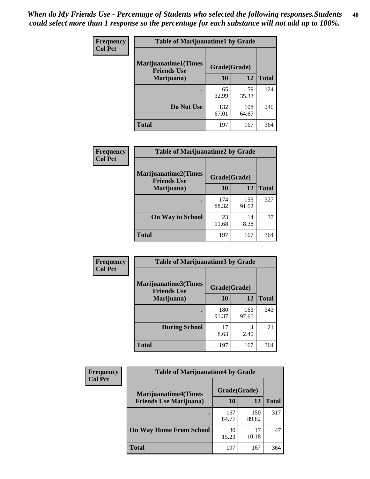| Frequency      | <b>Table of Marijuanatime1 by Grade</b>           |              |              |              |  |
|----------------|---------------------------------------------------|--------------|--------------|--------------|--|
| <b>Col Pct</b> | <b>Marijuanatime1(Times</b><br><b>Friends Use</b> | Grade(Grade) |              |              |  |
|                | Marijuana)                                        | 10           | 12           | <b>Total</b> |  |
|                |                                                   | 65<br>32.99  | 59<br>35.33  | 124          |  |
|                | Do Not Use                                        | 132<br>67.01 | 108<br>64.67 | 240          |  |
|                | <b>Total</b>                                      | 197          | 167          | 364          |  |

| <b>Frequency</b> | <b>Table of Marijuanatime2 by Grade</b>           |              |              |              |
|------------------|---------------------------------------------------|--------------|--------------|--------------|
| <b>Col Pct</b>   | <b>Marijuanatime2(Times</b><br><b>Friends Use</b> | Grade(Grade) |              |              |
|                  | Marijuana)                                        | 10           | 12           | <b>Total</b> |
|                  | ٠                                                 | 174<br>88.32 | 153<br>91.62 | 327          |
|                  | <b>On Way to School</b>                           | 23<br>11.68  | 14<br>8.38   | 37           |
|                  | <b>Total</b>                                      | 197          | 167          | 364          |

| Frequency<br><b>Col Pct</b> | <b>Table of Marijuanatime3 by Grade</b>    |              |              |              |
|-----------------------------|--------------------------------------------|--------------|--------------|--------------|
|                             | Marijuanatime3(Times<br><b>Friends Use</b> | Grade(Grade) |              |              |
|                             | Marijuana)                                 | 10           | 12           | <b>Total</b> |
|                             |                                            | 180<br>91.37 | 163<br>97.60 | 343          |
|                             | <b>During School</b>                       | 17<br>8.63   | 4<br>2.40    | 21           |
|                             | <b>Total</b>                               | 197          | 167          | 364          |

| <b>Frequency</b> | <b>Table of Marijuanatime4 by Grade</b> |              |              |              |
|------------------|-----------------------------------------|--------------|--------------|--------------|
| <b>Col Pct</b>   | <b>Marijuanatime4(Times</b>             | Grade(Grade) |              |              |
|                  | <b>Friends Use Marijuana</b> )          | 10           | 12           | <b>Total</b> |
|                  | ٠                                       | 167<br>84.77 | 150<br>89.82 | 317          |
|                  | <b>On Way Home From School</b>          | 30<br>15.23  | 17<br>10.18  | 47           |
|                  | <b>Total</b>                            | 197          | 167          | 364          |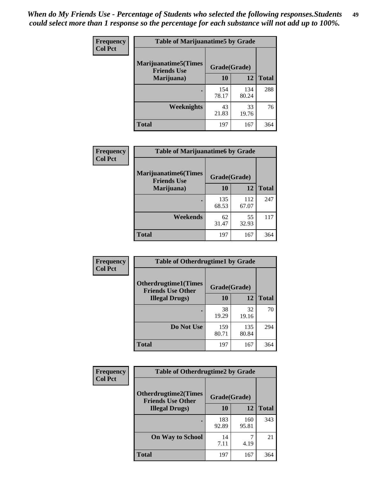| Frequency      | <b>Table of Marijuanatime5 by Grade</b>            |              |              |              |
|----------------|----------------------------------------------------|--------------|--------------|--------------|
| <b>Col Pct</b> | <b>Marijuanatime5</b> (Times<br><b>Friends Use</b> | Grade(Grade) |              |              |
|                | Marijuana)                                         | 10           | 12           | <b>Total</b> |
|                |                                                    | 154<br>78.17 | 134<br>80.24 | 288          |
|                | Weeknights                                         | 43<br>21.83  | 33<br>19.76  | 76           |
|                | <b>Total</b>                                       | 197          | 167          | 364          |

| Frequency      | <b>Table of Marijuanatime6 by Grade</b>    |              |              |              |
|----------------|--------------------------------------------|--------------|--------------|--------------|
| <b>Col Pct</b> | Marijuanatime6(Times<br><b>Friends Use</b> | Grade(Grade) |              |              |
|                | Marijuana)                                 | 10           | 12           | <b>Total</b> |
|                |                                            | 135<br>68.53 | 112<br>67.07 | 247          |
|                | Weekends                                   | 62<br>31.47  | 55<br>32.93  | 117          |
|                | <b>Total</b>                               | 197          | 167          | 364          |

| Frequency      | <b>Table of Otherdrugtime1 by Grade</b>                 |              |              |              |
|----------------|---------------------------------------------------------|--------------|--------------|--------------|
| <b>Col Pct</b> | <b>Otherdrugtime1(Times</b><br><b>Friends Use Other</b> | Grade(Grade) |              |              |
|                | <b>Illegal Drugs</b> )                                  | 10           | 12           | <b>Total</b> |
|                |                                                         | 38<br>19.29  | 32<br>19.16  | 70           |
|                | Do Not Use                                              | 159<br>80.71 | 135<br>80.84 | 294          |
|                | Total                                                   | 197          | 167          | 364          |

| Frequency      | <b>Table of Otherdrugtime2 by Grade</b>                 |              |              |              |  |  |
|----------------|---------------------------------------------------------|--------------|--------------|--------------|--|--|
| <b>Col Pct</b> | <b>Otherdrugtime2(Times</b><br><b>Friends Use Other</b> | Grade(Grade) |              |              |  |  |
|                | <b>Illegal Drugs</b> )                                  | 10           | 12           | <b>Total</b> |  |  |
|                |                                                         | 183<br>92.89 | 160<br>95.81 | 343          |  |  |
|                | <b>On Way to School</b>                                 | 14<br>7.11   | 4.19         | 21           |  |  |
|                | Total                                                   | 197          | 167          | 364          |  |  |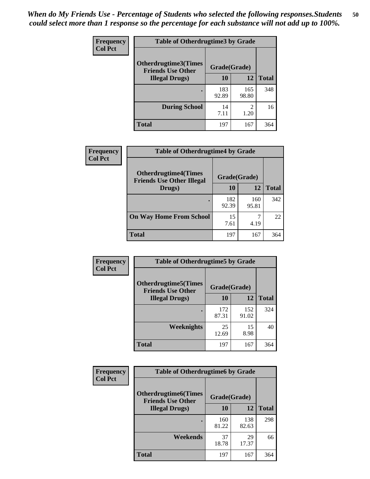| <b>Frequency</b> | <b>Table of Otherdrugtime3 by Grade</b>          |              |                        |              |  |  |
|------------------|--------------------------------------------------|--------------|------------------------|--------------|--|--|
| <b>Col Pct</b>   | Otherdrugtime3(Times<br><b>Friends Use Other</b> | Grade(Grade) |                        |              |  |  |
|                  | <b>Illegal Drugs</b> )                           |              | 12                     | <b>Total</b> |  |  |
|                  |                                                  | 183<br>92.89 | 165<br>98.80           | 348          |  |  |
|                  | <b>During School</b>                             | 14<br>7.11   | $\mathfrak{D}$<br>1.20 | 16           |  |  |
|                  | Total                                            | 197          | 167                    | 364          |  |  |

| Frequency      | <b>Table of Otherdrugtime4 by Grade</b>                         |              |              |              |  |  |
|----------------|-----------------------------------------------------------------|--------------|--------------|--------------|--|--|
| <b>Col Pct</b> | <b>Otherdrugtime4(Times</b><br><b>Friends Use Other Illegal</b> | Grade(Grade) |              |              |  |  |
|                | Drugs)                                                          | 10           | 12           | <b>Total</b> |  |  |
|                |                                                                 | 182<br>92.39 | 160<br>95.81 | 342          |  |  |
|                | <b>On Way Home From School</b>                                  | 15<br>7.61   | 4.19         | 22           |  |  |
|                | <b>Total</b>                                                    | 197          | 167          | 364          |  |  |

| <b>Frequency</b> | <b>Table of Otherdrugtime5 by Grade</b>                  |              |              |              |  |  |  |
|------------------|----------------------------------------------------------|--------------|--------------|--------------|--|--|--|
| <b>Col Pct</b>   | <b>Otherdrugtime5</b> (Times<br><b>Friends Use Other</b> | Grade(Grade) |              |              |  |  |  |
|                  | <b>Illegal Drugs</b> )                                   | 10           | 12           | <b>Total</b> |  |  |  |
|                  |                                                          | 172<br>87.31 | 152<br>91.02 | 324          |  |  |  |
|                  | Weeknights                                               | 25<br>12.69  | 15<br>8.98   | 40           |  |  |  |
|                  | Total                                                    | 197          | 167          | 364          |  |  |  |

| <b>Frequency</b><br><b>Col Pct</b> | <b>Table of Otherdrugtime6 by Grade</b>                 |              |              |              |  |  |
|------------------------------------|---------------------------------------------------------|--------------|--------------|--------------|--|--|
|                                    | <b>Otherdrugtime6(Times</b><br><b>Friends Use Other</b> | Grade(Grade) |              |              |  |  |
|                                    | <b>Illegal Drugs</b> )                                  | 10           | 12           | <b>Total</b> |  |  |
|                                    |                                                         | 160<br>81.22 | 138<br>82.63 | 298          |  |  |
|                                    | Weekends                                                | 37<br>18.78  | 29<br>17.37  | 66           |  |  |
|                                    | <b>Total</b>                                            | 197          | 167          | 364          |  |  |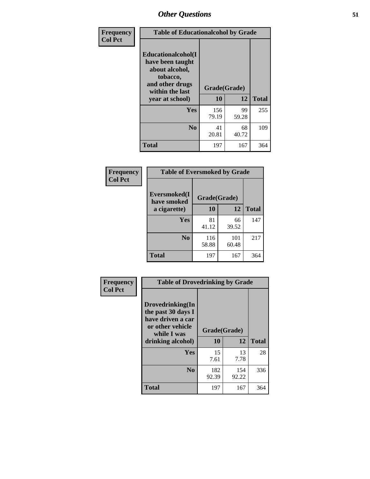| Frequency      | <b>Table of Educationalcohol by Grade</b>                                                                  |              |             |              |  |  |
|----------------|------------------------------------------------------------------------------------------------------------|--------------|-------------|--------------|--|--|
| <b>Col Pct</b> | Educationalcohol(I<br>have been taught<br>about alcohol,<br>tobacco,<br>and other drugs<br>within the last | Grade(Grade) |             |              |  |  |
|                | year at school)                                                                                            | 10           | 12          | <b>Total</b> |  |  |
|                | Yes                                                                                                        | 156<br>79.19 | 99<br>59.28 | 255          |  |  |
|                | N <sub>0</sub>                                                                                             | 41<br>20.81  | 68<br>40.72 | 109          |  |  |
|                | <b>Total</b>                                                                                               | 197          | 167         | 364          |  |  |

| Frequency      | <b>Table of Eversmoked by Grade</b> |              |              |              |  |  |
|----------------|-------------------------------------|--------------|--------------|--------------|--|--|
| <b>Col Pct</b> | Eversmoked(I<br>have smoked         | Grade(Grade) |              |              |  |  |
|                | a cigarette)                        | 10           | 12           | <b>Total</b> |  |  |
|                | <b>Yes</b>                          | 81<br>41.12  | 66<br>39.52  | 147          |  |  |
|                | N <sub>0</sub>                      | 116<br>58.88 | 101<br>60.48 | 217          |  |  |
|                | <b>Total</b>                        | 197          | 167          | 364          |  |  |

| Frequency      | <b>Table of Drovedrinking by Grade</b>                                                         |              |              |              |  |  |
|----------------|------------------------------------------------------------------------------------------------|--------------|--------------|--------------|--|--|
| <b>Col Pct</b> | Drovedrinking(In<br>the past 30 days I<br>have driven a car<br>or other vehicle<br>while I was | Grade(Grade) |              |              |  |  |
|                | drinking alcohol)                                                                              | 10           | 12           | <b>Total</b> |  |  |
|                | <b>Yes</b>                                                                                     | 15<br>7.61   | 13<br>7.78   | 28           |  |  |
|                | N <sub>0</sub>                                                                                 | 182<br>92.39 | 154<br>92.22 | 336          |  |  |
|                | <b>Total</b>                                                                                   | 197          | 167          | 364          |  |  |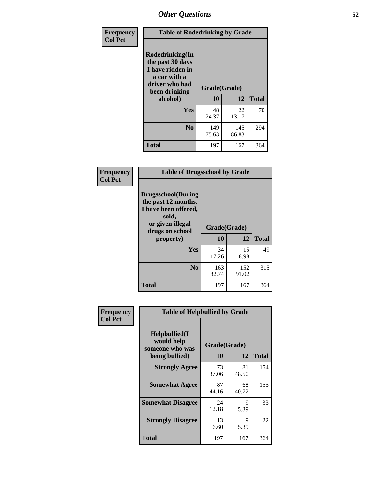| Frequency<br><b>Col Pct</b> | <b>Table of Rodedrinking by Grade</b>                                                                                                              |              |              |              |  |  |
|-----------------------------|----------------------------------------------------------------------------------------------------------------------------------------------------|--------------|--------------|--------------|--|--|
|                             | Rodedrinking(In<br>the past 30 days<br>I have ridden in<br>a car with a<br>driver who had<br>Grade(Grade)<br>been drinking<br>10<br>12<br>alcohol) |              |              |              |  |  |
|                             |                                                                                                                                                    |              |              | <b>Total</b> |  |  |
|                             | <b>Yes</b>                                                                                                                                         | 48<br>24.37  | 22<br>13.17  | 70           |  |  |
|                             | N <sub>0</sub>                                                                                                                                     | 149<br>75.63 | 145<br>86.83 | 294          |  |  |
|                             | <b>Total</b>                                                                                                                                       | 197          | 167          | 364          |  |  |

#### **Frequency Col Pct**

| <b>Table of Drugsschool by Grade</b>                                                                                      |              |              |              |  |  |  |
|---------------------------------------------------------------------------------------------------------------------------|--------------|--------------|--------------|--|--|--|
| <b>Drugsschool</b> (During<br>the past 12 months,<br>I have been offered,<br>sold,<br>or given illegal<br>drugs on school | Grade(Grade) |              |              |  |  |  |
| property)                                                                                                                 | 10           | 12           | <b>Total</b> |  |  |  |
| <b>Yes</b>                                                                                                                | 34<br>17.26  | 15<br>8.98   | 49           |  |  |  |
| $\bf No$                                                                                                                  | 163<br>82.74 | 152<br>91.02 | 315          |  |  |  |
| <b>Total</b>                                                                                                              | 197          | 167          | 364          |  |  |  |

| Frequency      | <b>Table of Helpbullied by Grade</b>                             |                           |              |     |  |  |
|----------------|------------------------------------------------------------------|---------------------------|--------------|-----|--|--|
| <b>Col Pct</b> | Helpbullied(I<br>would help<br>someone who was<br>being bullied) | Grade(Grade)<br><b>10</b> | <b>Total</b> |     |  |  |
|                |                                                                  | 12                        |              |     |  |  |
|                | <b>Strongly Agree</b>                                            | 73<br>37.06               | 81<br>48.50  | 154 |  |  |
|                | <b>Somewhat Agree</b>                                            | 87<br>44.16               | 68<br>40.72  | 155 |  |  |
|                | <b>Somewhat Disagree</b>                                         | 24<br>12.18               | 9<br>5.39    | 33  |  |  |
|                | <b>Strongly Disagree</b>                                         | 13<br>6.60                | 9<br>5.39    | 22  |  |  |
|                | <b>Total</b>                                                     | 197                       | 167          | 364 |  |  |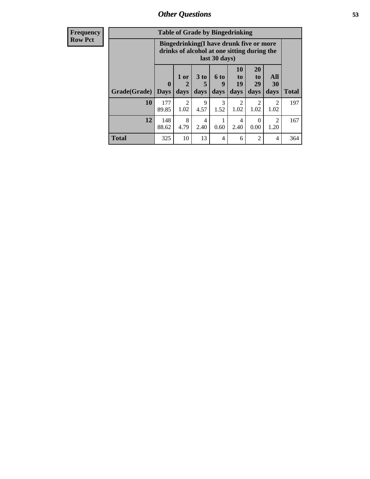| <b>Frequency</b> |              | <b>Table of Grade by Bingedrinking</b>                                                                  |                     |                              |                             |                        |                               |                        |              |
|------------------|--------------|---------------------------------------------------------------------------------------------------------|---------------------|------------------------------|-----------------------------|------------------------|-------------------------------|------------------------|--------------|
| <b>Row Pct</b>   |              | Bingedrinking(I have drunk five or more<br>drinks of alcohol at one sitting during the<br>last 30 days) |                     |                              |                             |                        |                               |                        |              |
|                  | Grade(Grade) | $\mathbf{0}$<br><b>Days</b>                                                                             | $1$ or<br>2<br>days | 3 <sub>to</sub><br>5<br>days | $6 \text{ to}$<br>9<br>days | 10<br>to<br>19<br>days | <b>20</b><br>to<br>29<br>days | All<br>30<br>days      | <b>Total</b> |
|                  | 10           | 177<br>89.85                                                                                            | 2<br>1.02           | 9<br>4.57                    | 3<br>1.52                   | $\overline{2}$<br>1.02 | $\mathfrak{D}$<br>1.02        | 2<br>1.02              | 197          |
|                  | 12           | 148<br>88.62                                                                                            | 8<br>4.79           | 4<br>2.40                    | 0.60                        | 4<br>2.40              | $\Omega$<br>0.00              | $\overline{2}$<br>1.20 | 167          |
|                  | <b>Total</b> | 325                                                                                                     | 10                  | 13                           | 4                           | 6                      | $\overline{2}$                | 4                      | 364          |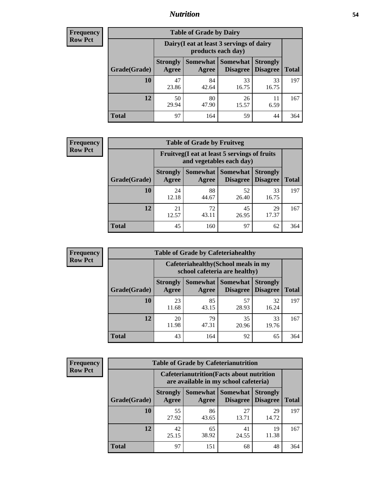## *Nutrition* **54**

| <b>Frequency</b> |
|------------------|
| <b>Row Pct</b>   |

| <b>Table of Grade by Dairy</b> |                                                                                                                    |                                                                 |             |             |              |  |  |  |
|--------------------------------|--------------------------------------------------------------------------------------------------------------------|-----------------------------------------------------------------|-------------|-------------|--------------|--|--|--|
|                                |                                                                                                                    | Dairy (I eat at least 3 servings of dairy<br>products each day) |             |             |              |  |  |  |
| Grade(Grade)                   | Somewhat<br><b>Somewhat</b><br><b>Strongly</b><br><b>Strongly</b><br><b>Disagree</b><br>Disagree<br>Agree<br>Agree |                                                                 |             |             | <b>Total</b> |  |  |  |
| 10                             | 47<br>23.86                                                                                                        | 84<br>42.64                                                     | 33<br>16.75 | 33<br>16.75 | 197          |  |  |  |
| 12                             | 50<br>29.94                                                                                                        | 80<br>47.90                                                     | 26<br>15.57 | 11<br>6.59  | 167          |  |  |  |
| <b>Total</b>                   | 97                                                                                                                 | 164                                                             | 59          | 44          | 364          |  |  |  |

| <b>Frequency</b> |  |
|------------------|--|
| <b>Row Pct</b>   |  |

| <b>Table of Grade by Fruitveg</b> |                          |                                                                          |                               |                                    |              |  |  |  |
|-----------------------------------|--------------------------|--------------------------------------------------------------------------|-------------------------------|------------------------------------|--------------|--|--|--|
|                                   |                          | Fruitveg(I eat at least 5 servings of fruits<br>and vegetables each day) |                               |                                    |              |  |  |  |
| Grade(Grade)                      | <b>Strongly</b><br>Agree | Agree                                                                    | Somewhat Somewhat<br>Disagree | <b>Strongly</b><br><b>Disagree</b> | <b>Total</b> |  |  |  |
| 10                                | 24<br>12.18              | 88<br>44.67                                                              | 52<br>26.40                   | 33<br>16.75                        | 197          |  |  |  |
| 12                                | 21<br>12.57              | 72<br>43.11                                                              | 45<br>26.95                   | 29<br>17.37                        | 167          |  |  |  |
| <b>Total</b>                      | 45                       | 160                                                                      | 97                            | 62                                 | 364          |  |  |  |

| <b>Frequency</b> | <b>Table of Grade by Cafeteriahealthy</b> |                                                                       |             |                                          |                                    |              |  |  |
|------------------|-------------------------------------------|-----------------------------------------------------------------------|-------------|------------------------------------------|------------------------------------|--------------|--|--|
| <b>Row Pct</b>   |                                           | Cafeteriahealthy (School meals in my<br>school cafeteria are healthy) |             |                                          |                                    |              |  |  |
|                  | Grade(Grade)                              | <b>Strongly</b><br>Agree                                              | Agree       | Somewhat   Somewhat  <br><b>Disagree</b> | <b>Strongly</b><br><b>Disagree</b> | <b>Total</b> |  |  |
|                  | 10                                        | 23<br>11.68                                                           | 85<br>43.15 | 57<br>28.93                              | 32<br>16.24                        | 197          |  |  |
|                  | 12                                        | 20<br>11.98                                                           | 79<br>47.31 | 35<br>20.96                              | 33<br>19.76                        | 167          |  |  |
|                  | Total                                     | 43                                                                    | 164         | 92                                       | 65                                 | 364          |  |  |

| <b>Frequency</b> |
|------------------|
| <b>Row Pct</b>   |

| <b>Table of Grade by Cafeterianutrition</b> |                                                                                           |             |                                        |                                    |              |  |  |
|---------------------------------------------|-------------------------------------------------------------------------------------------|-------------|----------------------------------------|------------------------------------|--------------|--|--|
|                                             | <b>Cafeterianutrition</b> (Facts about nutrition<br>are available in my school cafeteria) |             |                                        |                                    |              |  |  |
| Grade(Grade)                                | <b>Strongly</b><br>Agree                                                                  | Agree       | Somewhat   Somewhat<br><b>Disagree</b> | <b>Strongly</b><br><b>Disagree</b> | <b>Total</b> |  |  |
| 10                                          | 55<br>27.92                                                                               | 86<br>43.65 | 27<br>13.71                            | 29<br>14.72                        | 197          |  |  |
| 12                                          | 42<br>25.15                                                                               | 65<br>38.92 | 41<br>24.55                            | 19<br>11.38                        | 167          |  |  |
| <b>Total</b>                                | 97                                                                                        | 151         | 68                                     | 48                                 | 364          |  |  |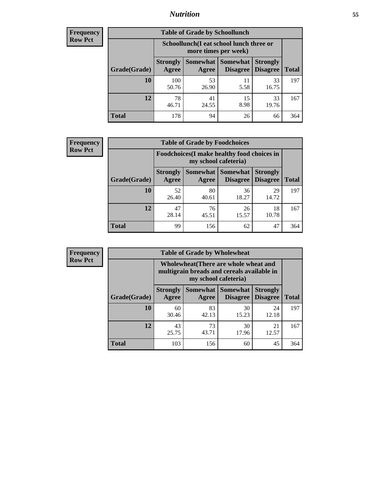## *Nutrition* **55**

| Frequency |
|-----------|
| Row Pct   |

| <b>Table of Grade by Schoollunch</b> |                                                                                                               |                                                                 |            |             |     |  |  |  |
|--------------------------------------|---------------------------------------------------------------------------------------------------------------|-----------------------------------------------------------------|------------|-------------|-----|--|--|--|
|                                      |                                                                                                               | Schoollunch(I eat school lunch three or<br>more times per week) |            |             |     |  |  |  |
| Grade(Grade)                         | Somewhat  <br>Somewhat<br><b>Strongly</b><br><b>Strongly</b><br><b>Disagree</b><br>Agree<br>Disagree<br>Agree |                                                                 |            |             |     |  |  |  |
| 10                                   | 100<br>50.76                                                                                                  | 53<br>26.90                                                     | 11<br>5.58 | 33<br>16.75 | 197 |  |  |  |
| 12                                   | 78<br>46.71                                                                                                   | 41<br>24.55                                                     | 15<br>8.98 | 33<br>19.76 | 167 |  |  |  |
| <b>Total</b>                         | 178                                                                                                           | 94                                                              | 26         | 66          | 364 |  |  |  |

| <b>Frequency</b> |  |
|------------------|--|
| <b>Row Pct</b>   |  |

| <b>Table of Grade by Foodchoices</b>                                       |                          |             |                                   |                                    |              |  |
|----------------------------------------------------------------------------|--------------------------|-------------|-----------------------------------|------------------------------------|--------------|--|
| <b>Foodchoices</b> (I make healthy food choices in<br>my school cafeteria) |                          |             |                                   |                                    |              |  |
| Grade(Grade)                                                               | <b>Strongly</b><br>Agree | Agree       | Somewhat   Somewhat  <br>Disagree | <b>Strongly</b><br><b>Disagree</b> | <b>Total</b> |  |
| 10                                                                         | 52<br>26.40              | 80<br>40.61 | 36<br>18.27                       | 29<br>14.72                        | 197          |  |
| 12                                                                         | 47<br>28.14              | 76<br>45.51 | 26<br>15.57                       | 18<br>10.78                        | 167          |  |
| Total                                                                      | 99                       | 156         | 62                                | 47                                 | 364          |  |

| Frequency      | <b>Table of Grade by Wholewheat</b> |                                                                                                             |             |                                   |                                    |              |  |  |  |
|----------------|-------------------------------------|-------------------------------------------------------------------------------------------------------------|-------------|-----------------------------------|------------------------------------|--------------|--|--|--|
| <b>Row Pct</b> |                                     | Wholewheat (There are whole wheat and<br>multigrain breads and cereals available in<br>my school cafeteria) |             |                                   |                                    |              |  |  |  |
|                | Grade(Grade)                        | <b>Strongly</b><br>Agree                                                                                    | Agree       | Somewhat   Somewhat  <br>Disagree | <b>Strongly</b><br><b>Disagree</b> | <b>Total</b> |  |  |  |
|                | 10                                  | 60<br>30.46                                                                                                 | 83<br>42.13 | 30<br>15.23                       | 24<br>12.18                        | 197          |  |  |  |
|                | 12                                  | 43<br>25.75                                                                                                 | 73<br>43.71 | 30<br>17.96                       | 21<br>12.57                        | 167          |  |  |  |
|                | <b>Total</b>                        | 103                                                                                                         | 156         | 60                                | 45                                 | 364          |  |  |  |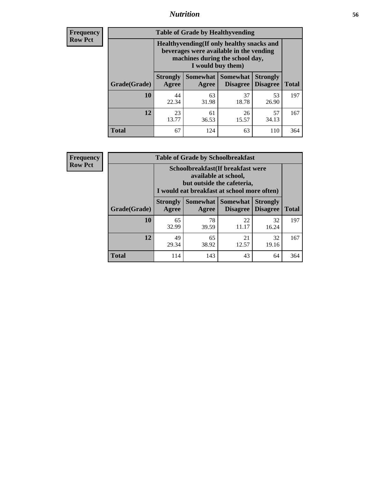## *Nutrition* **56**

**Frequency Row Pct**

| <b>Table of Grade by Healthyvending</b> |                                                                                                                                               |                          |                                    |                                    |              |
|-----------------------------------------|-----------------------------------------------------------------------------------------------------------------------------------------------|--------------------------|------------------------------------|------------------------------------|--------------|
|                                         | Healthyvending (If only healthy snacks and<br>beverages were available in the vending<br>machines during the school day,<br>I would buy them) |                          |                                    |                                    |              |
| Grade(Grade)                            | <b>Strongly</b><br>Agree                                                                                                                      | <b>Somewhat</b><br>Agree | <b>Somewhat</b><br><b>Disagree</b> | <b>Strongly</b><br><b>Disagree</b> | <b>Total</b> |
| 10                                      | 44<br>22.34                                                                                                                                   | 63<br>31.98              | 37<br>18.78                        | 53<br>26.90                        | 197          |
| 12                                      | 23<br>13.77                                                                                                                                   | 61<br>36.53              | 26<br>15.57                        | 57<br>34.13                        | 167          |
| <b>Total</b>                            | 67                                                                                                                                            | 124                      | 63                                 | 110                                | 364          |

**Frequency Row Pct**

| <b>Table of Grade by Schoolbreakfast</b> |                                                                                                                                        |                     |                                    |                                    |              |  |
|------------------------------------------|----------------------------------------------------------------------------------------------------------------------------------------|---------------------|------------------------------------|------------------------------------|--------------|--|
|                                          | Schoolbreakfast(If breakfast were<br>available at school,<br>but outside the cafeteria,<br>I would eat breakfast at school more often) |                     |                                    |                                    |              |  |
| Grade(Grade)                             | <b>Strongly</b><br>Agree                                                                                                               | Somewhat  <br>Agree | <b>Somewhat</b><br><b>Disagree</b> | <b>Strongly</b><br><b>Disagree</b> | <b>Total</b> |  |
| 10                                       | 65<br>32.99                                                                                                                            | 78<br>39.59         | 22<br>11.17                        | 32<br>16.24                        | 197          |  |
| 12                                       | 49<br>29.34                                                                                                                            | 65<br>38.92         | 21<br>12.57                        | 32<br>19.16                        | 167          |  |
| <b>Total</b>                             | 114                                                                                                                                    | 143                 | 43                                 | 64                                 | 364          |  |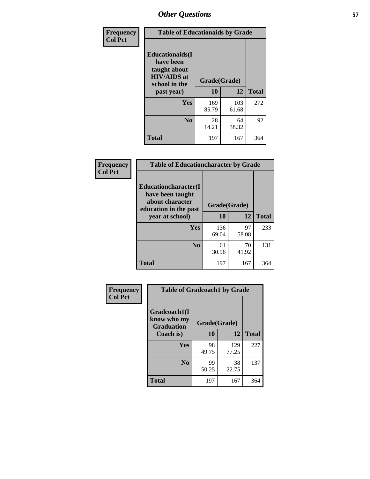| Frequency<br><b>Col Pct</b> | <b>Table of Educationaids by Grade</b>                                                                    |                    |              |              |
|-----------------------------|-----------------------------------------------------------------------------------------------------------|--------------------|--------------|--------------|
|                             | <b>Educationaids</b> (I<br>have been<br>taught about<br><b>HIV/AIDS</b> at<br>school in the<br>past year) | Grade(Grade)<br>10 | 12           | <b>Total</b> |
|                             | Yes                                                                                                       | 169<br>85.79       | 103<br>61.68 | 272          |
|                             | N <sub>0</sub>                                                                                            | 28<br>14.21        | 64<br>38.32  | 92           |
|                             | <b>Total</b>                                                                                              | 197                | 167          | 364          |

| Frequency<br><b>Col Pct</b> | <b>Table of Educationcharacter by Grade</b>                         |              |             |              |  |
|-----------------------------|---------------------------------------------------------------------|--------------|-------------|--------------|--|
|                             | <b>Educationcharacter(I)</b><br>have been taught<br>about character |              |             |              |  |
|                             | education in the past                                               | Grade(Grade) |             |              |  |
|                             | year at school)                                                     | 10           | 12          | <b>Total</b> |  |
|                             | <b>Yes</b>                                                          | 136<br>69.04 | 97<br>58.08 | 233          |  |
|                             | N <sub>0</sub>                                                      | 61<br>30.96  | 70<br>41.92 | 131          |  |
|                             | <b>Total</b>                                                        | 197          | 167         | 364          |  |

| Frequency      | <b>Table of Gradcoach1 by Grade</b> |                    |              |              |
|----------------|-------------------------------------|--------------------|--------------|--------------|
| <b>Col Pct</b> | Gradcoach1(I<br>know who my         |                    |              |              |
|                | <b>Graduation</b><br>Coach is)      | Grade(Grade)<br>10 | 12           | <b>Total</b> |
|                | Yes                                 | 98<br>49.75        | 129<br>77.25 | 227          |
|                | N <sub>0</sub>                      | 99<br>50.25        | 38<br>22.75  | 137          |
|                | <b>Total</b>                        | 197                | 167          | 364          |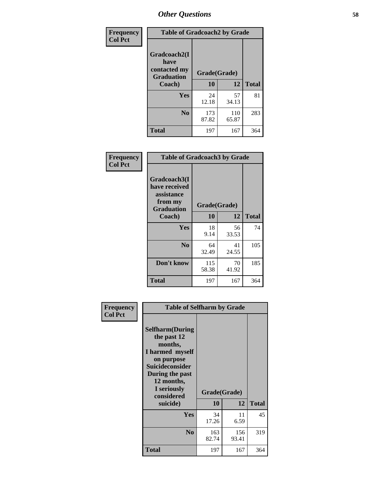| Frequency      | <b>Table of Gradcoach2 by Grade</b> |              |              |              |
|----------------|-------------------------------------|--------------|--------------|--------------|
| <b>Col Pct</b> | Gradcoach2(I<br>have                |              |              |              |
|                | contacted my<br><b>Graduation</b>   | Grade(Grade) |              |              |
|                | Coach)                              | 10           | 12           | <b>Total</b> |
|                | Yes                                 | 24<br>12.18  | 57<br>34.13  | 81           |
|                | N <sub>0</sub>                      | 173<br>87.82 | 110<br>65.87 | 283          |
|                | <b>Total</b>                        | 197          | 167          | 364          |

| <b>Frequency</b><br><b>Col Pct</b> | <b>Table of Gradcoach3 by Grade</b>                    |              |             |              |
|------------------------------------|--------------------------------------------------------|--------------|-------------|--------------|
|                                    | Gradcoach3(I<br>have received<br>assistance<br>from my | Grade(Grade) |             |              |
|                                    | <b>Graduation</b><br>Coach)                            | 10           | 12          | <b>Total</b> |
|                                    | Yes                                                    | 18<br>9.14   | 56<br>33.53 | 74           |
|                                    | N <sub>0</sub>                                         | 64<br>32.49  | 41<br>24.55 | 105          |
|                                    | Don't know                                             | 115<br>58.38 | 70<br>41.92 | 185          |
|                                    | <b>Total</b>                                           | 197          | 167         | 364          |

| Frequency      | <b>Table of Selfharm by Grade</b>                                                                                                                                                      |                    |              |              |
|----------------|----------------------------------------------------------------------------------------------------------------------------------------------------------------------------------------|--------------------|--------------|--------------|
| <b>Col Pct</b> | <b>Selfharm</b> (During<br>the past 12<br>months,<br>I harmed myself<br>on purpose<br><b>Suicideconsider</b><br>During the past<br>12 months,<br>I seriously<br>considered<br>suicide) | Grade(Grade)<br>10 | 12           | <b>Total</b> |
|                | Yes                                                                                                                                                                                    | 34<br>17.26        | 11<br>6.59   | 45           |
|                | N <sub>0</sub>                                                                                                                                                                         | 163<br>82.74       | 156<br>93.41 | 319          |
|                | <b>Total</b>                                                                                                                                                                           | 197                | 167          | 364          |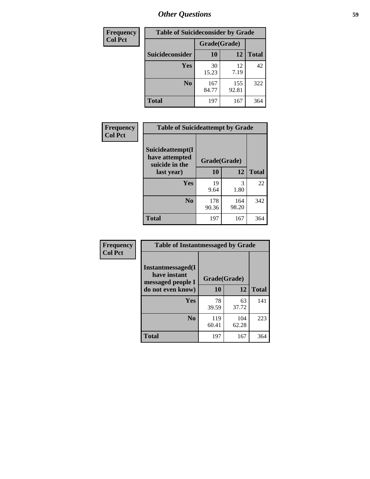| <b>Frequency</b> | <b>Table of Suicideconsider by Grade</b> |              |              |              |
|------------------|------------------------------------------|--------------|--------------|--------------|
| <b>Col Pct</b>   |                                          | Grade(Grade) |              |              |
|                  | <b>Suicideconsider</b>                   | 10           | 12           | <b>Total</b> |
|                  | <b>Yes</b>                               | 30<br>15.23  | 12<br>7.19   | 42           |
|                  | N <sub>0</sub>                           | 167<br>84.77 | 155<br>92.81 | 322          |
|                  | <b>Total</b>                             | 197          | 167          | 364          |

| Frequency      | <b>Table of Suicideattempt by Grade</b>              |              |              |              |
|----------------|------------------------------------------------------|--------------|--------------|--------------|
| <b>Col Pct</b> | Suicideattempt(I<br>have attempted<br>suicide in the | Grade(Grade) |              |              |
|                | last year)                                           | 10           | 12           | <b>Total</b> |
|                | Yes                                                  | 19<br>9.64   | 3<br>1.80    | 22           |
|                | $\bf No$                                             | 178<br>90.36 | 164<br>98.20 | 342          |
|                | <b>Total</b>                                         | 197          | 167          | 364          |

| Frequency      | <b>Table of Instantmessaged by Grade</b>               |              |              |              |
|----------------|--------------------------------------------------------|--------------|--------------|--------------|
| <b>Col Pct</b> | Instantmessaged(I<br>have instant<br>messaged people I | Grade(Grade) |              |              |
|                | do not even know)                                      | 10           | 12           | <b>Total</b> |
|                | Yes                                                    | 78<br>39.59  | 63<br>37.72  | 141          |
|                | N <sub>0</sub>                                         | 119<br>60.41 | 104<br>62.28 | 223          |
|                | <b>Total</b>                                           | 197          | 167          | 364          |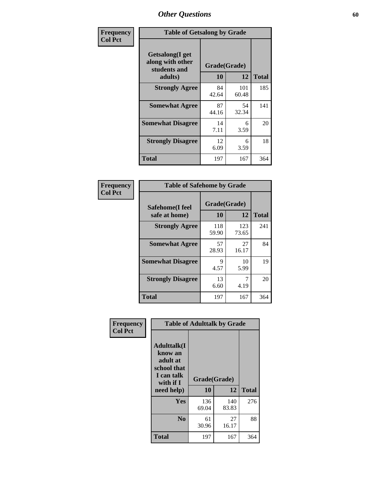| Frequency      | <b>Table of Getsalong by Grade</b>                          |              |              |              |
|----------------|-------------------------------------------------------------|--------------|--------------|--------------|
| <b>Col Pct</b> | <b>Getsalong</b> (I get<br>along with other<br>students and | Grade(Grade) |              |              |
|                | adults)                                                     | 10           | 12           | <b>Total</b> |
|                | <b>Strongly Agree</b>                                       | 84<br>42.64  | 101<br>60.48 | 185          |
|                | <b>Somewhat Agree</b>                                       | 87<br>44.16  | 54<br>32.34  | 141          |
|                | <b>Somewhat Disagree</b>                                    | 14<br>7.11   | 6<br>3.59    | 20           |
|                | <b>Strongly Disagree</b>                                    | 12<br>6.09   | 6<br>3.59    | 18           |
|                | <b>Total</b>                                                | 197          | 167          | 364          |

| Frequency      | <b>Table of Safehome by Grade</b> |                     |              |              |
|----------------|-----------------------------------|---------------------|--------------|--------------|
| <b>Col Pct</b> | Safehome(I feel<br>safe at home)  | Grade(Grade)<br>10  | 12           | <b>Total</b> |
|                | <b>Strongly Agree</b>             | 118<br>59.90        | 123<br>73.65 | 241          |
|                | <b>Somewhat Agree</b>             | 57<br>28.93         | 27<br>16.17  | 84           |
|                | <b>Somewhat Disagree</b>          | $\mathbf Q$<br>4.57 | 10<br>5.99   | 19           |
|                | <b>Strongly Disagree</b>          | 13<br>6.60          | 7<br>4.19    | 20           |
|                | <b>Total</b>                      | 197                 | 167          | 364          |

| Frequency      |                                                                                      | <b>Table of Adulttalk by Grade</b> |              |              |  |  |  |  |
|----------------|--------------------------------------------------------------------------------------|------------------------------------|--------------|--------------|--|--|--|--|
| <b>Col Pct</b> | <b>Adulttalk</b> (I<br>know an<br>adult at<br>school that<br>I can talk<br>with if I | Grade(Grade)                       |              |              |  |  |  |  |
|                | need help)                                                                           | 10                                 | 12           | <b>Total</b> |  |  |  |  |
|                | Yes                                                                                  | 136<br>69.04                       | 140<br>83.83 | 276          |  |  |  |  |
|                | N <sub>0</sub>                                                                       | 61<br>30.96                        | 27<br>16.17  | 88           |  |  |  |  |
|                | <b>Total</b>                                                                         | 197                                | 167          | 364          |  |  |  |  |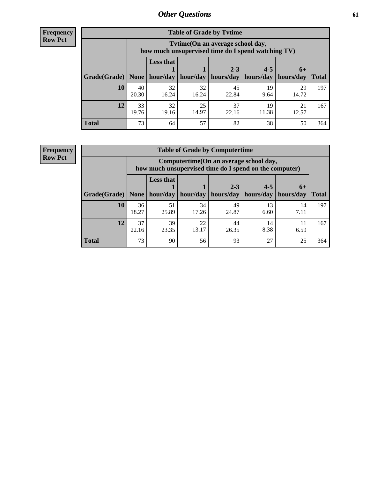**Frequency Row Pct**

| <b>Table of Grade by Tytime</b> |             |                                                                                         |             |             |             |             |              |  |  |
|---------------------------------|-------------|-----------------------------------------------------------------------------------------|-------------|-------------|-------------|-------------|--------------|--|--|
|                                 |             | Tvtime (On an average school day,<br>how much unsupervised time do I spend watching TV) |             |             |             |             |              |  |  |
|                                 |             | <b>Less that</b>                                                                        |             | $2 - 3$     | $4 - 5$     | $6+$        |              |  |  |
| Grade(Grade)   None             |             | hour/day                                                                                | hour/day    | hours/day   | hours/day   | hours/day   | <b>Total</b> |  |  |
| 10                              | 40<br>20.30 | 32<br>16.24                                                                             | 32<br>16.24 | 45<br>22.84 | 19<br>9.64  | 29<br>14.72 | 197          |  |  |
| 12                              | 33<br>19.76 | 32<br>19.16                                                                             | 25<br>14.97 | 37<br>22.16 | 19<br>11.38 | 21<br>12.57 | 167          |  |  |
| <b>Total</b>                    | 73          | 64                                                                                      | 57          | 82          | 38          | 50          | 364          |  |  |

**Frequency Row Pct**

| <b>Table of Grade by Computertime</b> |             |                                                                                                   |             |                      |                      |                   |              |  |  |
|---------------------------------------|-------------|---------------------------------------------------------------------------------------------------|-------------|----------------------|----------------------|-------------------|--------------|--|--|
|                                       |             | Computertime (On an average school day,<br>how much unsupervised time do I spend on the computer) |             |                      |                      |                   |              |  |  |
| Grade(Grade)                          | None $ $    | <b>Less that</b><br>hour/day                                                                      | hour/day    | $2 - 3$<br>hours/day | $4 - 5$<br>hours/day | $6+$<br>hours/day | <b>Total</b> |  |  |
| 10                                    | 36<br>18.27 | 51<br>25.89                                                                                       | 34<br>17.26 | 49<br>24.87          | 13<br>6.60           | 14<br>7.11        | 197          |  |  |
| 12                                    | 37<br>22.16 | 39<br>23.35                                                                                       | 22<br>13.17 | 44<br>26.35          | 14<br>8.38           | 6.59              | 167          |  |  |
| <b>Total</b>                          | 73          | 90                                                                                                | 56          | 93                   | 27                   | 25                | 364          |  |  |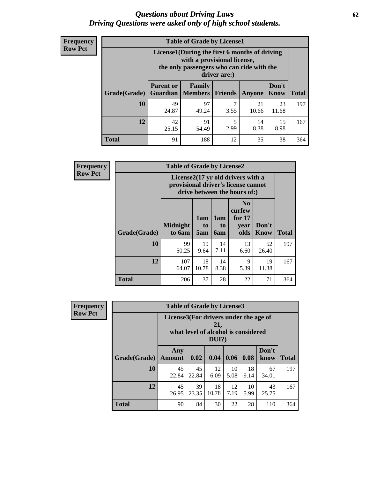#### *Questions about Driving Laws* **62** *Driving Questions were asked only of high school students.*

| <b>Frequency</b> |
|------------------|
| <b>Row Pct</b>   |

| <b>Table of Grade by License1</b> |                                                                     |                                                                                                                                           |         |             |                      |              |  |  |  |
|-----------------------------------|---------------------------------------------------------------------|-------------------------------------------------------------------------------------------------------------------------------------------|---------|-------------|----------------------|--------------|--|--|--|
|                                   |                                                                     | License1(During the first 6 months of driving<br>with a provisional license,<br>the only passengers who can ride with the<br>driver are:) |         |             |                      |              |  |  |  |
| <b>Grade</b> (Grade)              | <b>Parent or</b><br><b>Guardian</b>                                 | Family<br>  Members                                                                                                                       | Friends | Anyone      | Don't<br><b>Know</b> | <b>Total</b> |  |  |  |
| <b>10</b>                         | 49<br>24.87                                                         | 97<br>49.24                                                                                                                               | 3.55    | 21<br>10.66 | 23<br>11.68          | 197          |  |  |  |
| 12                                | 42<br>15<br>91<br>5<br>14<br>8.38<br>8.98<br>2.99<br>25.15<br>54.49 |                                                                                                                                           |         |             |                      |              |  |  |  |
| <b>Total</b>                      | 91                                                                  | 188                                                                                                                                       | 12      | 35          | 38                   | 364          |  |  |  |

| <b>Frequency</b> | <b>Table of Grade by License2</b> |                                                                                                          |                  |                  |                                                      |                      |              |  |
|------------------|-----------------------------------|----------------------------------------------------------------------------------------------------------|------------------|------------------|------------------------------------------------------|----------------------|--------------|--|
| <b>Row Pct</b>   |                                   | License2(17 yr old drivers with a<br>provisional driver's license cannot<br>drive between the hours of:) |                  |                  |                                                      |                      |              |  |
|                  | Grade(Grade)                      | <b>Midnight</b><br>to 6am                                                                                | 1am<br>to<br>5am | 1am<br>to<br>6am | N <sub>0</sub><br>curfew<br>for $17$<br>year<br>olds | Don't<br><b>Know</b> | <b>Total</b> |  |
|                  | 10                                | 99<br>50.25                                                                                              | 19<br>9.64       | 14<br>7.11       | 13<br>6.60                                           | 52<br>26.40          | 197          |  |
|                  | 12                                | 107<br>64.07                                                                                             | 18<br>10.78      | 14<br>8.38       | 9<br>5.39                                            | 19<br>11.38          | 167          |  |
|                  | <b>Total</b>                      | 206                                                                                                      | 37               | 28               | 22                                                   | 71                   | 364          |  |

| Frequency      | <b>Table of Grade by License3</b> |                                       |             |                                                        |            |            |               |              |
|----------------|-----------------------------------|---------------------------------------|-------------|--------------------------------------------------------|------------|------------|---------------|--------------|
| <b>Row Pct</b> |                                   | License3(For drivers under the age of |             | 21,<br>what level of alcohol is considered<br>$DUI$ ?) |            |            |               |              |
|                | Grade(Grade)                      | Any<br><b>Amount</b>                  | 0.02        | 0.04                                                   | 0.06       | 0.08       | Don't<br>know | <b>Total</b> |
|                | <b>10</b>                         | 45<br>22.84                           | 45<br>22.84 | 12<br>6.09                                             | 10<br>5.08 | 18<br>9.14 | 67<br>34.01   | 197          |
|                | 12                                | 45<br>26.95                           | 39<br>23.35 | 18<br>10.78                                            | 12<br>7.19 | 10<br>5.99 | 43<br>25.75   | 167          |
|                | <b>Total</b>                      | 90                                    | 84          | 30                                                     | 22         | 28         | 110           | 364          |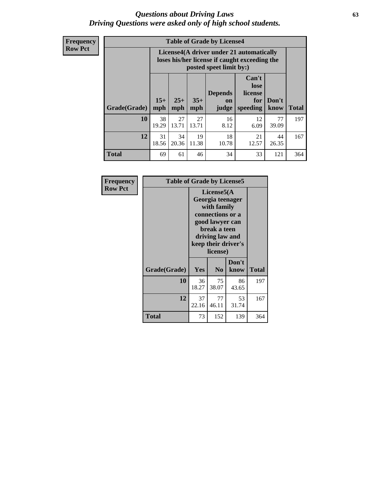#### *Questions about Driving Laws* **63** *Driving Questions were asked only of high school students.*

**Frequency Row Pct**

| <b>Table of Grade by License4</b> |             |                                                                                                                                                                                                                                                                                       |             |            |            |             |     |  |  |
|-----------------------------------|-------------|---------------------------------------------------------------------------------------------------------------------------------------------------------------------------------------------------------------------------------------------------------------------------------------|-------------|------------|------------|-------------|-----|--|--|
|                                   |             | License4(A driver under 21 automatically<br>loses his/her license if caught exceeding the<br>posted speet limit by:)<br>Can't<br>lose<br>license<br><b>Depends</b><br>$15+$<br>$25+$<br>$35+$<br>Don't<br>for<br><b>on</b><br>speeding<br><b>Total</b><br>mph<br>mph<br>know<br>judge |             |            |            |             |     |  |  |
| Grade(Grade)                      | mph         |                                                                                                                                                                                                                                                                                       |             |            |            |             |     |  |  |
| 10                                | 38<br>19.29 | 27<br>13.71                                                                                                                                                                                                                                                                           | 27<br>13.71 | 16<br>8.12 | 12<br>6.09 | 77<br>39.09 | 197 |  |  |
| 12                                | 31<br>18.56 | 18<br>34<br>19<br>21<br>44<br>20.36<br>11.38<br>10.78<br>12.57<br>26.35                                                                                                                                                                                                               |             |            |            |             |     |  |  |
| <b>Total</b>                      | 69          | 61                                                                                                                                                                                                                                                                                    | 46          | 34         | 33         | 121         | 364 |  |  |

| Frequency      | <b>Table of Grade by License5</b> |                                                                                                                                                             |                |               |       |  |  |
|----------------|-----------------------------------|-------------------------------------------------------------------------------------------------------------------------------------------------------------|----------------|---------------|-------|--|--|
| <b>Row Pct</b> |                                   | License5(A)<br>Georgia teenager<br>with family<br>connections or a<br>good lawyer can<br>break a teen<br>driving law and<br>keep their driver's<br>license) |                |               |       |  |  |
|                | Grade(Grade)                      | <b>Yes</b>                                                                                                                                                  | N <sub>0</sub> | Don't<br>know | Total |  |  |
|                | <b>10</b>                         | 36<br>18.27                                                                                                                                                 | 75<br>38.07    | 86<br>43.65   | 197   |  |  |
|                | 12                                | 37<br>22.16                                                                                                                                                 | 77<br>46.11    | 53<br>31.74   | 167   |  |  |
|                | <b>Total</b>                      | 73                                                                                                                                                          | 152            | 139           | 364   |  |  |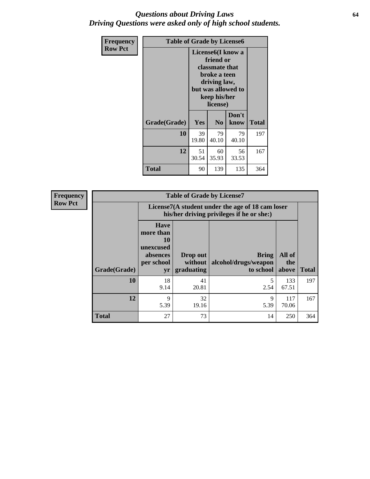### *Questions about Driving Laws* **64** *Driving Questions were asked only of high school students.*

| <b>Frequency</b> | <b>Table of Grade by License6</b> |             |                                                                                                                           |                    |       |  |
|------------------|-----------------------------------|-------------|---------------------------------------------------------------------------------------------------------------------------|--------------------|-------|--|
| <b>Row Pct</b>   |                                   |             | License <sub>6</sub> (I know a<br>friend or<br>classmate that<br>broke a teen<br>driving law,<br>keep his/her<br>license) | but was allowed to |       |  |
|                  | Grade(Grade)                      | Yes         | N <sub>0</sub>                                                                                                            | Don't<br>know      | Total |  |
|                  | 10                                | 39<br>19.80 | 79<br>40.10                                                                                                               | 79<br>40.10        | 197   |  |
|                  | 12                                | 51<br>30.54 | 60<br>35.93                                                                                                               | 56<br>33.53        | 167   |  |
|                  | <b>Total</b>                      | 90          | 139                                                                                                                       | 135                | 364   |  |

| <b>Frequency</b> | <b>Table of Grade by License7</b> |                                                                             |                                     |                                                                                               |                        |              |  |  |
|------------------|-----------------------------------|-----------------------------------------------------------------------------|-------------------------------------|-----------------------------------------------------------------------------------------------|------------------------|--------------|--|--|
| <b>Row Pct</b>   |                                   |                                                                             |                                     | License7(A student under the age of 18 cam loser<br>his/her driving privileges if he or she:) |                        |              |  |  |
|                  | Grade(Grade)                      | <b>Have</b><br>more than<br>10<br>unexcused<br>absences<br>per school<br>yr | Drop out<br>without  <br>graduating | <b>Bring</b><br>alcohol/drugs/weapon<br>to school                                             | All of<br>the<br>above | <b>Total</b> |  |  |
|                  | 10                                | 18<br>9.14                                                                  | 41<br>20.81                         | 2.54                                                                                          | 133<br>67.51           | 197          |  |  |
|                  | 12                                | 9<br>5.39                                                                   | 32<br>19.16                         | 9<br>5.39                                                                                     | 117<br>70.06           | 167          |  |  |
|                  | <b>Total</b>                      | 27                                                                          | 73                                  | 14                                                                                            | 250                    | 364          |  |  |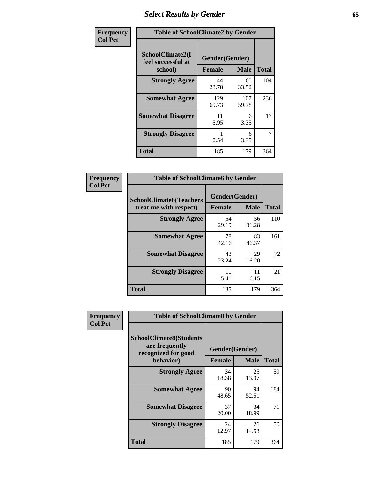# *Select Results by Gender* **65**

| Frequency      | <b>Table of SchoolClimate2 by Gender</b>          |                                 |              |              |
|----------------|---------------------------------------------------|---------------------------------|--------------|--------------|
| <b>Col Pct</b> | SchoolClimate2(I<br>feel successful at<br>school) | Gender(Gender)<br><b>Female</b> | <b>Male</b>  | <b>Total</b> |
|                | <b>Strongly Agree</b>                             | 44<br>23.78                     | 60<br>33.52  | 104          |
|                | <b>Somewhat Agree</b>                             | 129<br>69.73                    | 107<br>59.78 | 236          |
|                | <b>Somewhat Disagree</b>                          | 11<br>5.95                      | 6<br>3.35    | 17           |
|                | <b>Strongly Disagree</b>                          | 0.54                            | 6<br>3.35    | 7            |
|                | <b>Total</b>                                      | 185                             | 179          | 364          |

| <b>Frequency</b> | <b>Table of SchoolClimate6 by Gender</b> |               |                |              |  |
|------------------|------------------------------------------|---------------|----------------|--------------|--|
| <b>Col Pct</b>   | <b>SchoolClimate6(Teachers</b>           |               | Gender(Gender) |              |  |
|                  | treat me with respect)                   | <b>Female</b> | <b>Male</b>    | <b>Total</b> |  |
|                  | <b>Strongly Agree</b>                    | 54<br>29.19   | 56<br>31.28    | 110          |  |
|                  | <b>Somewhat Agree</b>                    | 78<br>42.16   | 83<br>46.37    | 161          |  |
|                  | <b>Somewhat Disagree</b>                 | 43<br>23.24   | 29<br>16.20    | 72           |  |
|                  | <b>Strongly Disagree</b>                 | 10<br>5.41    | 11<br>6.15     | 21           |  |
|                  | <b>Total</b>                             | 185           | 179            | 364          |  |

| Frequency      | <b>Table of SchoolClimate8 by Gender</b>                                             |                                 |             |              |
|----------------|--------------------------------------------------------------------------------------|---------------------------------|-------------|--------------|
| <b>Col Pct</b> | <b>SchoolClimate8(Students</b><br>are frequently<br>recognized for good<br>behavior) | Gender(Gender)<br><b>Female</b> | <b>Male</b> | <b>Total</b> |
|                | <b>Strongly Agree</b>                                                                | 34<br>18.38                     | 25<br>13.97 | 59           |
|                | <b>Somewhat Agree</b>                                                                | 90<br>48.65                     | 94<br>52.51 | 184          |
|                | <b>Somewhat Disagree</b>                                                             | 37<br>20.00                     | 34<br>18.99 | 71           |
|                | <b>Strongly Disagree</b>                                                             | 24<br>12.97                     | 26<br>14.53 | 50           |
|                | Total                                                                                | 185                             | 179         | 364          |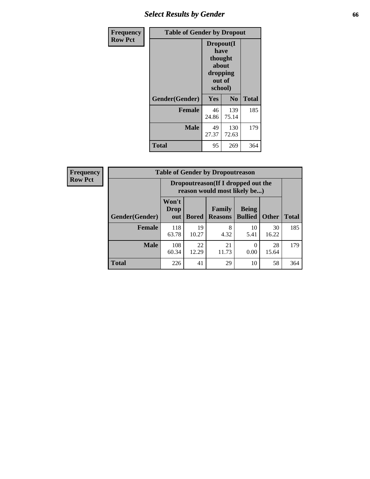# *Select Results by Gender* **66**

| Frequency      | <b>Table of Gender by Dropout</b> |                                                                        |                |              |
|----------------|-----------------------------------|------------------------------------------------------------------------|----------------|--------------|
| <b>Row Pct</b> |                                   | Dropout(I<br>have<br>thought<br>about<br>dropping<br>out of<br>school) |                |              |
|                | Gender(Gender)                    | Yes                                                                    | N <sub>0</sub> | <b>Total</b> |
|                | <b>Female</b>                     | 46<br>24.86                                                            | 139<br>75.14   | 185          |
|                | <b>Male</b>                       | 49<br>27.37                                                            | 130<br>72.63   | 179          |
|                | <b>Total</b>                      | 95                                                                     | 269            | 364          |

| <b>Frequency</b> | <b>Table of Gender by Dropoutreason</b> |                                                                    |              |                                 |                                |              |  |
|------------------|-----------------------------------------|--------------------------------------------------------------------|--------------|---------------------------------|--------------------------------|--------------|--|
| <b>Row Pct</b>   |                                         | Dropoutreason(If I dropped out the<br>reason would most likely be) |              |                                 |                                |              |  |
|                  | <b>Gender</b> (Gender)                  | Won't<br>Drop<br>out                                               | <b>Bored</b> | <b>Family</b><br><b>Reasons</b> | <b>Being</b><br><b>Bullied</b> | <b>Other</b> |  |
|                  | Female                                  | 118<br>63.78                                                       | 19<br>10.27  | 8<br>4.32                       | 10<br>5.41                     | 30<br>16.22  |  |
|                  | <b>Male</b>                             | 108<br>60.34                                                       | 22<br>12.29  | 21<br>11.73                     | 0<br>0.00                      | 28<br>15.64  |  |

**Total** 226 41 29 10 58 364

**Total**

185

179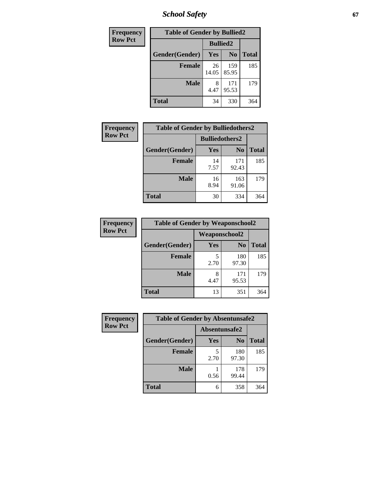*School Safety* **67**

| Frequency      | <b>Table of Gender by Bullied2</b> |                 |                |              |
|----------------|------------------------------------|-----------------|----------------|--------------|
| <b>Row Pct</b> |                                    | <b>Bullied2</b> |                |              |
|                | Gender(Gender)                     | Yes             | N <sub>0</sub> | <b>Total</b> |
|                | <b>Female</b>                      | 26<br>14.05     | 159<br>85.95   | 185          |
|                | <b>Male</b>                        | 4.47            | 171<br>95.53   | 179          |
|                | <b>Total</b>                       | 34              | 330            | 364          |

| <b>Frequency</b> | <b>Table of Gender by Bulliedothers2</b> |                       |                |              |
|------------------|------------------------------------------|-----------------------|----------------|--------------|
| <b>Row Pct</b>   |                                          | <b>Bulliedothers2</b> |                |              |
|                  | Gender(Gender)                           | Yes                   | N <sub>0</sub> | <b>Total</b> |
|                  | <b>Female</b>                            | 14<br>7.57            | 171<br>92.43   | 185          |
|                  | <b>Male</b>                              | 16<br>8.94            | 163<br>91.06   | 179          |
|                  | <b>Total</b>                             | 30                    | 334            | 364          |

| Frequency      | <b>Table of Gender by Weaponschool2</b> |               |                |              |
|----------------|-----------------------------------------|---------------|----------------|--------------|
| <b>Row Pct</b> |                                         | Weaponschool2 |                |              |
|                | Gender(Gender)                          | Yes           | N <sub>0</sub> | <b>Total</b> |
|                | <b>Female</b>                           | 5<br>2.70     | 180<br>97.30   | 185          |
|                | <b>Male</b>                             | 8<br>4.47     | 171<br>95.53   | 179          |
|                | <b>Total</b>                            | 13            | 351            | 364          |

| Frequency      | <b>Table of Gender by Absentunsafe2</b> |               |                |              |
|----------------|-----------------------------------------|---------------|----------------|--------------|
| <b>Row Pct</b> |                                         | Absentunsafe2 |                |              |
|                | Gender(Gender)                          | Yes           | N <sub>0</sub> | <b>Total</b> |
|                | <b>Female</b>                           | 2.70          | 180<br>97.30   | 185          |
|                | <b>Male</b>                             | 0.56          | 178<br>99.44   | 179          |
|                | <b>Total</b>                            | 6             | 358            | 364          |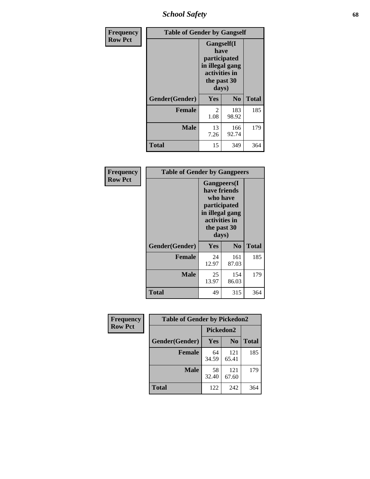*School Safety* **68**

| Frequency      | <b>Table of Gender by Gangself</b> |                                                                                                        |                |              |
|----------------|------------------------------------|--------------------------------------------------------------------------------------------------------|----------------|--------------|
| <b>Row Pct</b> |                                    | <b>Gangself</b> (I<br>have<br>participated<br>in illegal gang<br>activities in<br>the past 30<br>days) |                |              |
|                | Gender(Gender)                     | Yes                                                                                                    | N <sub>0</sub> | <b>Total</b> |
|                | <b>Female</b>                      | 2<br>1.08                                                                                              | 183<br>98.92   | 185          |
|                | <b>Male</b>                        | 13<br>7.26                                                                                             | 166<br>92.74   | 179          |
|                | <b>Total</b>                       | 15                                                                                                     | 349            | 364          |

| Frequency      | <b>Table of Gender by Gangpeers</b> |                                                                                                                             |                |              |
|----------------|-------------------------------------|-----------------------------------------------------------------------------------------------------------------------------|----------------|--------------|
| <b>Row Pct</b> |                                     | <b>Gangpeers</b> (I<br>have friends<br>who have<br>participated<br>in illegal gang<br>activities in<br>the past 30<br>days) |                |              |
|                | Gender(Gender)                      | <b>Yes</b>                                                                                                                  | N <sub>0</sub> | <b>Total</b> |
|                | <b>Female</b>                       | 24<br>12.97                                                                                                                 | 161<br>87.03   | 185          |
|                | <b>Male</b>                         | 25<br>13.97                                                                                                                 | 154<br>86.03   | 179          |
|                | Total                               | 49                                                                                                                          | 315            | 364          |

| Frequency      | <b>Table of Gender by Pickedon2</b> |             |                |              |
|----------------|-------------------------------------|-------------|----------------|--------------|
| <b>Row Pct</b> |                                     | Pickedon2   |                |              |
|                | Gender(Gender)                      | Yes         | N <sub>0</sub> | <b>Total</b> |
|                | <b>Female</b>                       | 64<br>34.59 | 121<br>65.41   | 185          |
|                | <b>Male</b>                         | 58<br>32.40 | 121<br>67.60   | 179          |
|                | <b>Total</b>                        | 122         | 242            | 364          |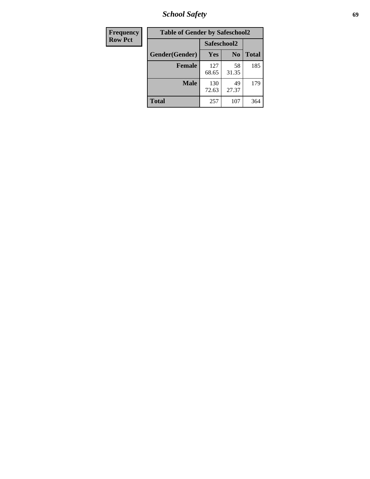*School Safety* **69**

| Frequency      | <b>Table of Gender by Safeschool2</b><br>Safeschool2 |              |                |              |  |
|----------------|------------------------------------------------------|--------------|----------------|--------------|--|
| <b>Row Pct</b> |                                                      |              |                |              |  |
|                | Gender(Gender)                                       | Yes          | N <sub>0</sub> | <b>Total</b> |  |
|                | <b>Female</b>                                        | 127<br>68.65 | 58<br>31.35    | 185          |  |
|                | <b>Male</b>                                          | 130<br>72.63 | 49<br>27.37    | 179          |  |
|                | <b>Total</b>                                         | 257          | 107            | 364          |  |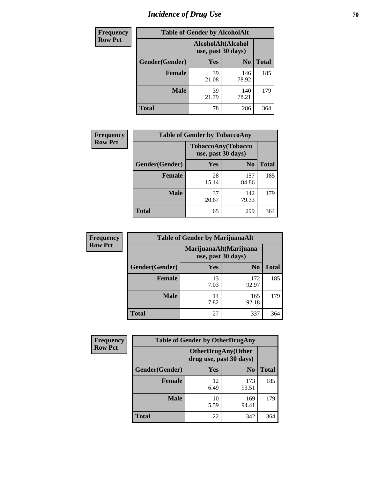# *Incidence of Drug Use* **70**

| <b>Frequency</b> | <b>Table of Gender by AlcoholAlt</b> |                    |                    |              |  |
|------------------|--------------------------------------|--------------------|--------------------|--------------|--|
| <b>Row Pct</b>   |                                      | use, past 30 days) | AlcoholAlt(Alcohol |              |  |
|                  | Gender(Gender)                       | Yes                | N <sub>0</sub>     | <b>Total</b> |  |
|                  | <b>Female</b>                        | 39<br>21.08        | 146<br>78.92       | 185          |  |
|                  | <b>Male</b>                          | 39<br>21.79        | 140<br>78.21       | 179          |  |
|                  | <b>Total</b>                         | 78                 | 286                | 364          |  |

| <b>Frequency</b> | <b>Table of Gender by TobaccoAny</b> |                                          |                |              |  |
|------------------|--------------------------------------|------------------------------------------|----------------|--------------|--|
| <b>Row Pct</b>   |                                      | TobaccoAny(Tobacco<br>use, past 30 days) |                |              |  |
|                  | Gender(Gender)                       | Yes                                      | N <sub>0</sub> | <b>Total</b> |  |
|                  | <b>Female</b>                        | 28<br>15.14                              | 157<br>84.86   | 185          |  |
|                  | <b>Male</b>                          | 37<br>20.67                              | 142<br>79.33   | 179          |  |
|                  | <b>Total</b>                         | 65                                       | 299            | 364          |  |

| <b>Frequency</b> | <b>Table of Gender by MarijuanaAlt</b> |            |                                              |              |  |
|------------------|----------------------------------------|------------|----------------------------------------------|--------------|--|
| <b>Row Pct</b>   |                                        |            | MarijuanaAlt(Marijuana<br>use, past 30 days) |              |  |
|                  | Gender(Gender)                         | <b>Yes</b> | N <sub>0</sub>                               | <b>Total</b> |  |
|                  | <b>Female</b>                          | 13<br>7.03 | 172<br>92.97                                 | 185          |  |
|                  | <b>Male</b>                            | 14<br>7.82 | 165<br>92.18                                 | 179          |  |
|                  | <b>Total</b>                           | 27         | 337                                          | 364          |  |

| <b>Frequency</b> | <b>Table of Gender by OtherDrugAny</b> |                                                      |                |              |
|------------------|----------------------------------------|------------------------------------------------------|----------------|--------------|
| <b>Row Pct</b>   |                                        | <b>OtherDrugAny(Other</b><br>drug use, past 30 days) |                |              |
|                  | Gender(Gender)                         | <b>Yes</b>                                           | N <sub>0</sub> | <b>Total</b> |
|                  | <b>Female</b>                          | 12<br>6.49                                           | 173<br>93.51   | 185          |
|                  | <b>Male</b>                            | 10<br>5.59                                           | 169<br>94.41   | 179          |
|                  | <b>Total</b>                           | 22                                                   | 342            | 364          |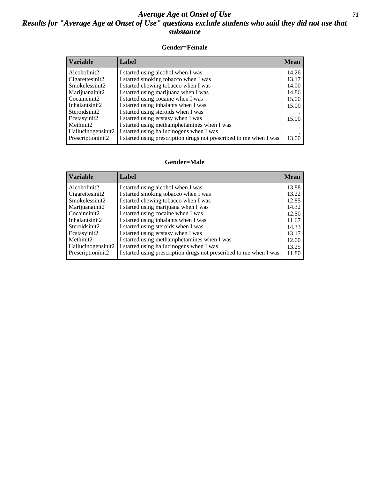### *Average Age at Onset of Use* **71** *Results for "Average Age at Onset of Use" questions exclude students who said they did not use that substance*

#### **Gender=Female**

| <b>Variable</b>                 | Label                                                              | <b>Mean</b> |
|---------------------------------|--------------------------------------------------------------------|-------------|
| Alcoholinit2                    | I started using alcohol when I was                                 | 14.26       |
| Cigarettesinit2                 | I started smoking tobacco when I was                               | 13.17       |
| Smokelessinit2                  | I started chewing tobacco when I was                               | 14.00       |
| Marijuanainit2                  | I started using marijuana when I was                               | 14.86       |
| Cocaineinit2                    | I started using cocaine when I was                                 | 15.00       |
| Inhalantsinit2                  | I started using inhalants when I was                               | 15.00       |
| Steroidsinit2                   | I started using steroids when I was                                |             |
| Ecstasyinit2                    | I started using ecstasy when I was                                 | 15.00       |
| Methinit2                       | I started using methamphetamines when I was                        |             |
| Hallucinogensinit2              | I started using hallucinogens when I was                           |             |
| Prescription in it <sub>2</sub> | I started using prescription drugs not prescribed to me when I was | 13.00       |

#### **Gender=Male**

| <b>Variable</b>       | Label                                                              | <b>Mean</b> |
|-----------------------|--------------------------------------------------------------------|-------------|
| Alcoholinit2          | I started using alcohol when I was                                 | 13.88       |
| Cigarettesinit2       | I started smoking tobacco when I was                               | 13.22       |
| Smokelessinit2        | I started chewing tobacco when I was                               | 12.85       |
| Marijuanainit2        | I started using marijuana when I was                               | 14.32       |
| Cocaineinit2          | I started using cocaine when I was                                 | 12.50       |
| Inhalantsinit2        | I started using inhalants when I was                               | 11.67       |
| Steroidsinit2         | I started using steroids when I was                                | 14.33       |
| Ecstasyinit2          | I started using ecstasy when I was                                 | 13.17       |
| Methinit <sub>2</sub> | I started using methamphetamines when I was                        | 12.00       |
| Hallucinogensinit2    | I started using hallucinogens when I was                           | 13.25       |
| Prescriptioninit2     | I started using prescription drugs not prescribed to me when I was | 11.80       |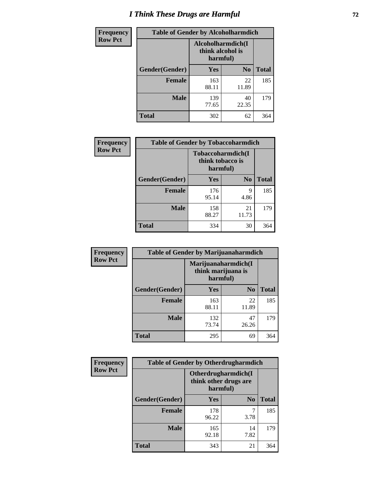# *I Think These Drugs are Harmful* **72**

| Frequency      | <b>Table of Gender by Alcoholharmdich</b> |                                                    |                |              |  |
|----------------|-------------------------------------------|----------------------------------------------------|----------------|--------------|--|
| <b>Row Pct</b> |                                           | Alcoholharmdich(I)<br>think alcohol is<br>harmful) |                |              |  |
|                | Gender(Gender)                            | Yes                                                | N <sub>o</sub> | <b>Total</b> |  |
|                | <b>Female</b>                             | 163<br>88.11                                       | 22<br>11.89    | 185          |  |
|                | <b>Male</b>                               | 139<br>77.65                                       | 40<br>22.35    | 179          |  |
|                | Total                                     | 302                                                | 62             | 364          |  |

| Frequency      | <b>Table of Gender by Tobaccoharmdich</b> |                                                   |                |              |  |
|----------------|-------------------------------------------|---------------------------------------------------|----------------|--------------|--|
| <b>Row Pct</b> |                                           | Tobaccoharmdich(I<br>think tobacco is<br>harmful) |                |              |  |
|                | Gender(Gender)                            | Yes                                               | N <sub>0</sub> | <b>Total</b> |  |
|                | <b>Female</b>                             | 176<br>95.14                                      | 9<br>4.86      | 185          |  |
|                | <b>Male</b>                               | 158<br>88.27                                      | 21<br>11.73    | 179          |  |
|                | <b>Total</b>                              | 334                                               | 30             | 364          |  |

| Frequency      | <b>Table of Gender by Marijuanaharmdich</b> |                                                       |                |              |  |
|----------------|---------------------------------------------|-------------------------------------------------------|----------------|--------------|--|
| <b>Row Pct</b> |                                             | Marijuanaharmdich(I<br>think marijuana is<br>harmful) |                |              |  |
|                | Gender(Gender)                              | <b>Yes</b>                                            | N <sub>0</sub> | <b>Total</b> |  |
|                | <b>Female</b>                               | 163<br>88.11                                          | 22<br>11.89    | 185          |  |
|                | <b>Male</b>                                 | 132<br>73.74                                          | 47<br>26.26    | 179          |  |
|                | <b>Total</b>                                | 295                                                   | 69             | 364          |  |

| Frequency      | <b>Table of Gender by Otherdrugharmdich</b> |                                                          |                |              |  |
|----------------|---------------------------------------------|----------------------------------------------------------|----------------|--------------|--|
| <b>Row Pct</b> |                                             | Otherdrugharmdich(I<br>think other drugs are<br>harmful) |                |              |  |
|                | Gender(Gender)                              | <b>Yes</b>                                               | N <sub>0</sub> | <b>Total</b> |  |
|                | <b>Female</b>                               | 178<br>96.22                                             | 3.78           | 185          |  |
|                | <b>Male</b>                                 | 165<br>92.18                                             | 14<br>7.82     | 179          |  |
|                | <b>Total</b>                                | 343                                                      | 21             | 364          |  |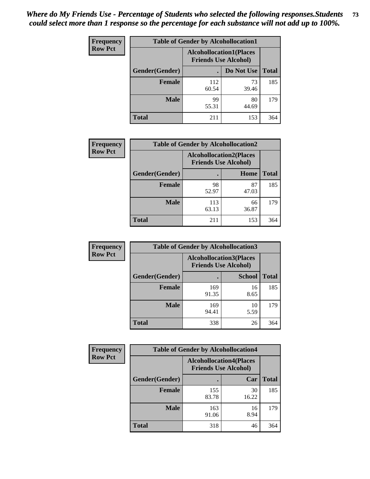| <b>Frequency</b> | <b>Table of Gender by Alcohollocation1</b> |                                                               |             |              |
|------------------|--------------------------------------------|---------------------------------------------------------------|-------------|--------------|
| <b>Row Pct</b>   |                                            | <b>Alcohollocation1(Places</b><br><b>Friends Use Alcohol)</b> |             |              |
|                  | Gender(Gender)                             |                                                               | Do Not Use  | <b>Total</b> |
|                  | <b>Female</b>                              | 112<br>60.54                                                  | 73<br>39.46 | 185          |
|                  | <b>Male</b>                                | 99<br>55.31                                                   | 80<br>44.69 | 179          |
|                  | <b>Total</b>                               | 211                                                           | 153         | 364          |

| <b>Frequency</b> | <b>Table of Gender by Alcohollocation2</b> |              |                                                               |              |
|------------------|--------------------------------------------|--------------|---------------------------------------------------------------|--------------|
| <b>Row Pct</b>   |                                            |              | <b>Alcohollocation2(Places</b><br><b>Friends Use Alcohol)</b> |              |
|                  | Gender(Gender)                             |              | Home                                                          | <b>Total</b> |
|                  | <b>Female</b>                              | 98<br>52.97  | 87<br>47.03                                                   | 185          |
|                  | <b>Male</b>                                | 113<br>63.13 | 66<br>36.87                                                   | 179          |
|                  | <b>Total</b>                               | 211          | 153                                                           | 364          |

| Frequency      | <b>Table of Gender by Alcohollocation3</b> |                             |                                |              |
|----------------|--------------------------------------------|-----------------------------|--------------------------------|--------------|
| <b>Row Pct</b> |                                            | <b>Friends Use Alcohol)</b> | <b>Alcohollocation3(Places</b> |              |
|                | Gender(Gender)                             |                             | <b>School</b>                  | <b>Total</b> |
|                | <b>Female</b>                              | 169<br>91.35                | 16<br>8.65                     | 185          |
|                | <b>Male</b>                                | 169<br>94.41                | 10<br>5.59                     | 179          |
|                | <b>Total</b>                               | 338                         | 26                             | 364          |

| Frequency      | <b>Table of Gender by Alcohollocation4</b> |                                                               |             |              |
|----------------|--------------------------------------------|---------------------------------------------------------------|-------------|--------------|
| <b>Row Pct</b> |                                            | <b>Alcohollocation4(Places</b><br><b>Friends Use Alcohol)</b> |             |              |
|                | Gender(Gender)                             |                                                               | Car         | <b>Total</b> |
|                | <b>Female</b>                              | 155<br>83.78                                                  | 30<br>16.22 | 185          |
|                | <b>Male</b>                                | 163<br>91.06                                                  | 16<br>8.94  | 179          |
|                | <b>Total</b>                               | 318                                                           | 46          | 364          |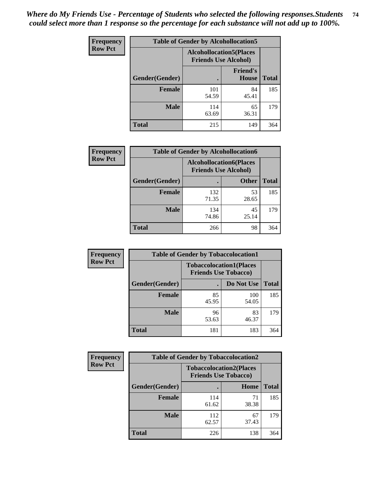| <b>Frequency</b> | <b>Table of Gender by Alcohollocation5</b> |                                                                |                                 |              |
|------------------|--------------------------------------------|----------------------------------------------------------------|---------------------------------|--------------|
| <b>Row Pct</b>   |                                            | <b>Alcohollocation5</b> (Places<br><b>Friends Use Alcohol)</b> |                                 |              |
|                  | Gender(Gender)                             |                                                                | <b>Friend's</b><br><b>House</b> | <b>Total</b> |
|                  | <b>Female</b>                              | 101<br>54.59                                                   | 84<br>45.41                     | 185          |
|                  | <b>Male</b>                                | 114<br>63.69                                                   | 65<br>36.31                     | 179          |
|                  | <b>Total</b>                               | 215                                                            | 149                             | 364          |

| Frequency      | <b>Table of Gender by Alcohollocation6</b> |                                                               |              |              |  |
|----------------|--------------------------------------------|---------------------------------------------------------------|--------------|--------------|--|
| <b>Row Pct</b> |                                            | <b>Alcohollocation6(Places</b><br><b>Friends Use Alcohol)</b> |              |              |  |
|                | Gender(Gender)                             |                                                               | <b>Other</b> | <b>Total</b> |  |
|                | <b>Female</b>                              | 132<br>71.35                                                  | 53<br>28.65  | 185          |  |
|                | <b>Male</b>                                | 134<br>74.86                                                  | 45<br>25.14  | 179          |  |
|                | <b>Total</b>                               | 266                                                           | 98           | 364          |  |

| Frequency      | <b>Table of Gender by Tobaccolocation1</b> |                                                               |              |              |  |
|----------------|--------------------------------------------|---------------------------------------------------------------|--------------|--------------|--|
| <b>Row Pct</b> |                                            | <b>Tobaccolocation1(Places</b><br><b>Friends Use Tobacco)</b> |              |              |  |
|                | Gender(Gender)                             |                                                               | Do Not Use   | <b>Total</b> |  |
|                | <b>Female</b>                              | 85<br>45.95                                                   | 100<br>54.05 | 185          |  |
|                | <b>Male</b>                                | 96<br>53.63                                                   | 83<br>46.37  | 179          |  |
|                | <b>Total</b>                               | 181                                                           | 183          | 364          |  |

| <b>Frequency</b> | <b>Table of Gender by Tobaccolocation2</b> |                                                               |             |              |  |
|------------------|--------------------------------------------|---------------------------------------------------------------|-------------|--------------|--|
| <b>Row Pct</b>   |                                            | <b>Tobaccolocation2(Places</b><br><b>Friends Use Tobacco)</b> |             |              |  |
|                  | Gender(Gender)                             |                                                               | Home        | <b>Total</b> |  |
|                  | Female                                     | 114<br>61.62                                                  | 71<br>38.38 | 185          |  |
|                  | <b>Male</b>                                | 112<br>62.57                                                  | 67<br>37.43 | 179          |  |
|                  | <b>Total</b>                               | 226                                                           | 138         | 364          |  |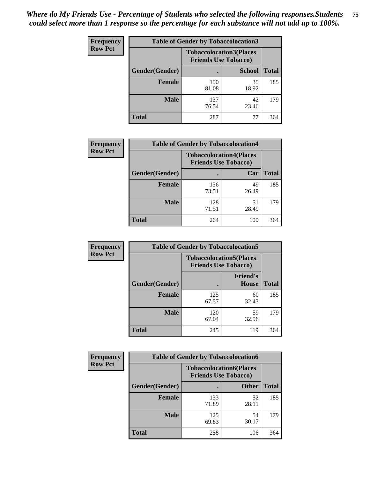| <b>Frequency</b> | <b>Table of Gender by Tobaccolocation3</b> |                             |                                |              |
|------------------|--------------------------------------------|-----------------------------|--------------------------------|--------------|
| <b>Row Pct</b>   |                                            | <b>Friends Use Tobacco)</b> | <b>Tobaccolocation3(Places</b> |              |
|                  | Gender(Gender)                             |                             | <b>School</b>                  | <b>Total</b> |
|                  | <b>Female</b>                              | 150<br>81.08                | 35<br>18.92                    | 185          |
|                  | <b>Male</b>                                | 137<br>76.54                | 42<br>23.46                    | 179          |
|                  | <b>Total</b>                               | 287                         | 77                             | 364          |

| <b>Frequency</b> | <b>Table of Gender by Tobaccolocation4</b> |                             |                                |              |
|------------------|--------------------------------------------|-----------------------------|--------------------------------|--------------|
| <b>Row Pct</b>   |                                            | <b>Friends Use Tobacco)</b> | <b>Tobaccolocation4(Places</b> |              |
|                  | Gender(Gender)                             |                             | Car                            | <b>Total</b> |
|                  | <b>Female</b>                              | 136<br>73.51                | 49<br>26.49                    | 185          |
|                  | <b>Male</b>                                | 128<br>71.51                | 51<br>28.49                    | 179          |
|                  | <b>Total</b>                               | 264                         | 100                            | 364          |

| <b>Frequency</b> | <b>Table of Gender by Tobaccolocation5</b> |                                                               |                          |              |
|------------------|--------------------------------------------|---------------------------------------------------------------|--------------------------|--------------|
| <b>Row Pct</b>   |                                            | <b>Tobaccolocation5(Places</b><br><b>Friends Use Tobacco)</b> |                          |              |
|                  | Gender(Gender)                             |                                                               | <b>Friend's</b><br>House | <b>Total</b> |
|                  | <b>Female</b>                              | 125<br>67.57                                                  | 60<br>32.43              | 185          |
|                  | <b>Male</b>                                | 120<br>67.04                                                  | 59<br>32.96              | 179          |
|                  | <b>Total</b>                               | 245                                                           | 119                      | 364          |

| <b>Frequency</b> | <b>Table of Gender by Tobaccolocation6</b> |                                                               |              |              |
|------------------|--------------------------------------------|---------------------------------------------------------------|--------------|--------------|
| <b>Row Pct</b>   |                                            | <b>Tobaccolocation6(Places</b><br><b>Friends Use Tobacco)</b> |              |              |
|                  | Gender(Gender)                             |                                                               | <b>Other</b> | <b>Total</b> |
|                  | Female                                     | 133<br>71.89                                                  | 52<br>28.11  | 185          |
|                  | <b>Male</b>                                | 125<br>69.83                                                  | 54<br>30.17  | 179          |
|                  | <b>Total</b>                               | 258                                                           | 106          | 364          |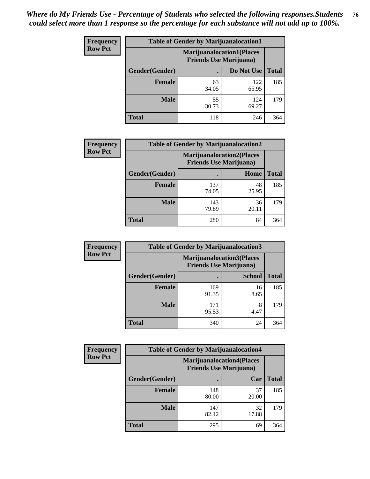| <b>Frequency</b> | <b>Table of Gender by Marijuanalocation1</b> |                                                                    |              |              |
|------------------|----------------------------------------------|--------------------------------------------------------------------|--------------|--------------|
| <b>Row Pct</b>   |                                              | <b>Marijuanalocation1(Places</b><br><b>Friends Use Marijuana</b> ) |              |              |
|                  | Gender(Gender)                               |                                                                    | Do Not Use   | <b>Total</b> |
|                  | <b>Female</b>                                | 63<br>34.05                                                        | 122<br>65.95 | 185          |
|                  | <b>Male</b>                                  | 55<br>30.73                                                        | 124<br>69.27 | 179          |
|                  | <b>Total</b>                                 | 118                                                                | 246          | 364          |

| <b>Frequency</b> | <b>Table of Gender by Marijuanalocation2</b> |                                                                    |             |              |
|------------------|----------------------------------------------|--------------------------------------------------------------------|-------------|--------------|
| <b>Row Pct</b>   |                                              | <b>Marijuanalocation2(Places</b><br><b>Friends Use Marijuana</b> ) |             |              |
|                  | Gender(Gender)                               |                                                                    | Home        | <b>Total</b> |
|                  | <b>Female</b>                                | 137<br>74.05                                                       | 48<br>25.95 | 185          |
|                  | <b>Male</b>                                  | 143<br>79.89                                                       | 36<br>20.11 | 179          |
|                  | <b>Total</b>                                 | 280                                                                | 84          | 364          |

| Frequency      | <b>Table of Gender by Marijuanalocation3</b> |                                |                                  |              |  |
|----------------|----------------------------------------------|--------------------------------|----------------------------------|--------------|--|
| <b>Row Pct</b> |                                              | <b>Friends Use Marijuana</b> ) | <b>Marijuanalocation3(Places</b> |              |  |
|                | Gender(Gender)                               |                                | <b>School</b>                    | <b>Total</b> |  |
|                | Female                                       | 169<br>91.35                   | 16<br>8.65                       | 185          |  |
|                | <b>Male</b>                                  | 171<br>95.53                   | 8<br>4.47                        | 179          |  |
|                | <b>Total</b>                                 | 340                            | 24                               | 364          |  |

| <b>Frequency</b> | <b>Table of Gender by Marijuanalocation4</b> |                                                                    |             |              |
|------------------|----------------------------------------------|--------------------------------------------------------------------|-------------|--------------|
| <b>Row Pct</b>   |                                              | <b>Marijuanalocation4(Places</b><br><b>Friends Use Marijuana</b> ) |             |              |
|                  | Gender(Gender)                               |                                                                    | Car         | <b>Total</b> |
|                  | <b>Female</b>                                | 148<br>80.00                                                       | 37<br>20.00 | 185          |
|                  | <b>Male</b>                                  | 147<br>82.12                                                       | 32<br>17.88 | 179          |
|                  | <b>Total</b>                                 | 295                                                                | 69          | 364          |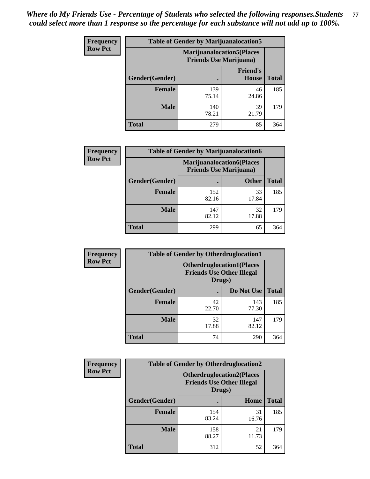| <b>Frequency</b> | <b>Table of Gender by Marijuanalocation5</b> |                                                                     |                          |              |
|------------------|----------------------------------------------|---------------------------------------------------------------------|--------------------------|--------------|
| <b>Row Pct</b>   |                                              | <b>Marijuanalocation5</b> (Places<br><b>Friends Use Marijuana</b> ) |                          |              |
|                  | Gender(Gender)                               |                                                                     | <b>Friend's</b><br>House | <b>Total</b> |
|                  | <b>Female</b>                                | 139<br>75.14                                                        | 46<br>24.86              | 185          |
|                  | <b>Male</b>                                  | 140<br>78.21                                                        | 39<br>21.79              | 179          |
|                  | <b>Total</b>                                 | 279                                                                 | 85                       | 364          |

| Frequency      | <b>Table of Gender by Marijuanalocation6</b> |                                                                    |              |              |  |
|----------------|----------------------------------------------|--------------------------------------------------------------------|--------------|--------------|--|
| <b>Row Pct</b> |                                              | <b>Marijuanalocation6(Places</b><br><b>Friends Use Marijuana</b> ) |              |              |  |
|                | Gender(Gender)                               |                                                                    | <b>Other</b> | <b>Total</b> |  |
|                | <b>Female</b>                                | 152<br>82.16                                                       | 33<br>17.84  | 185          |  |
|                | <b>Male</b>                                  | 147<br>82.12                                                       | 32<br>17.88  | 179          |  |
|                | <b>Total</b>                                 | 299                                                                | 65           | 364          |  |

| <b>Frequency</b> | <b>Table of Gender by Otherdruglocation1</b> |                                            |                                  |              |
|------------------|----------------------------------------------|--------------------------------------------|----------------------------------|--------------|
| <b>Row Pct</b>   |                                              | <b>Friends Use Other Illegal</b><br>Drugs) | <b>Otherdruglocation1(Places</b> |              |
|                  | Gender(Gender)                               |                                            | Do Not Use                       | <b>Total</b> |
|                  | Female                                       | 42<br>22.70                                | 143<br>77.30                     | 185          |
|                  | <b>Male</b>                                  | 32<br>17.88                                | 147<br>82.12                     | 179          |
|                  | <b>Total</b>                                 | 74                                         | 290                              | 364          |

| Frequency      | <b>Table of Gender by Otherdruglocation2</b> |                                                                                |             |              |
|----------------|----------------------------------------------|--------------------------------------------------------------------------------|-------------|--------------|
| <b>Row Pct</b> |                                              | <b>Otherdruglocation2(Places</b><br><b>Friends Use Other Illegal</b><br>Drugs) |             |              |
|                | Gender(Gender)                               |                                                                                | Home        | <b>Total</b> |
|                | <b>Female</b>                                | 154<br>83.24                                                                   | 31<br>16.76 | 185          |
|                | <b>Male</b>                                  | 158<br>88.27                                                                   | 21<br>11.73 | 179          |
|                | <b>Total</b>                                 | 312                                                                            | 52          | 364          |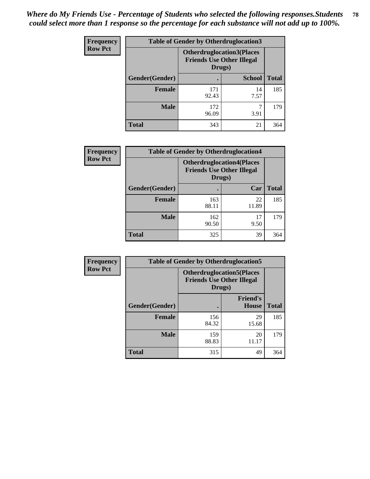| <b>Frequency</b> | <b>Table of Gender by Otherdruglocation3</b> |                                                                                |               |              |
|------------------|----------------------------------------------|--------------------------------------------------------------------------------|---------------|--------------|
| <b>Row Pct</b>   |                                              | <b>Otherdruglocation3(Places</b><br><b>Friends Use Other Illegal</b><br>Drugs) |               |              |
|                  | Gender(Gender)                               |                                                                                | <b>School</b> | <b>Total</b> |
|                  | <b>Female</b>                                | 171<br>92.43                                                                   | 14<br>7.57    | 185          |
|                  | <b>Male</b>                                  | 172<br>96.09                                                                   | 3.91          | 179          |
|                  | <b>Total</b>                                 | 343                                                                            | 21            | 364          |

| <b>Frequency</b> | <b>Table of Gender by Otherdruglocation4</b> |                                                                                |             |              |
|------------------|----------------------------------------------|--------------------------------------------------------------------------------|-------------|--------------|
| <b>Row Pct</b>   |                                              | <b>Otherdruglocation4(Places</b><br><b>Friends Use Other Illegal</b><br>Drugs) |             |              |
|                  | Gender(Gender)                               |                                                                                | Car         | <b>Total</b> |
|                  | <b>Female</b>                                | 163<br>88.11                                                                   | 22<br>11.89 | 185          |
|                  | <b>Male</b>                                  | 162<br>90.50                                                                   | 17<br>9.50  | 179          |
|                  | <b>Total</b>                                 | 325                                                                            | 39          | 364          |

| <b>Frequency</b> | <b>Table of Gender by Otherdruglocation5</b> |              |                                                                      |              |
|------------------|----------------------------------------------|--------------|----------------------------------------------------------------------|--------------|
| <b>Row Pct</b>   |                                              | Drugs)       | <b>Otherdruglocation5(Places</b><br><b>Friends Use Other Illegal</b> |              |
|                  | Gender(Gender)                               |              | <b>Friend's</b><br><b>House</b>                                      | <b>Total</b> |
|                  | <b>Female</b>                                | 156<br>84.32 | 29<br>15.68                                                          | 185          |
|                  | <b>Male</b>                                  | 159<br>88.83 | 20<br>11.17                                                          | 179          |
|                  | <b>Total</b>                                 | 315          | 49                                                                   | 364          |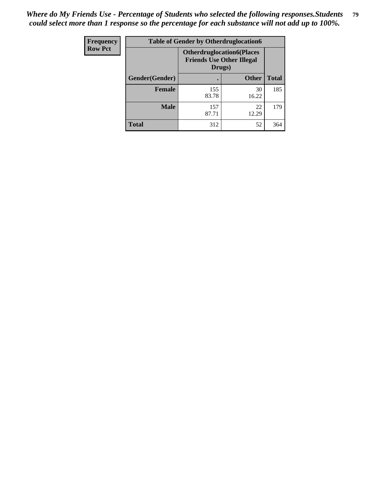| Frequency      | <b>Table of Gender by Otherdruglocation6</b> |                                                                                |              |              |
|----------------|----------------------------------------------|--------------------------------------------------------------------------------|--------------|--------------|
| <b>Row Pct</b> |                                              | <b>Otherdruglocation6(Places</b><br><b>Friends Use Other Illegal</b><br>Drugs) |              |              |
|                | Gender(Gender)                               |                                                                                | <b>Other</b> | <b>Total</b> |
|                | <b>Female</b>                                | 155<br>83.78                                                                   | 30<br>16.22  | 185          |
|                | <b>Male</b>                                  | 157<br>87.71                                                                   | 22<br>12.29  | 179          |
|                | <b>Total</b>                                 | 312                                                                            | 52           | 364          |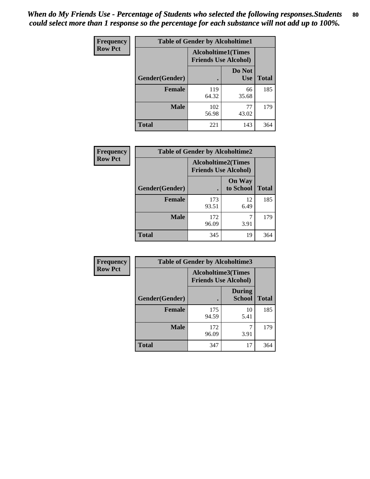| <b>Frequency</b> | <b>Table of Gender by Alcoholtime1</b> |                                                          |                      |              |
|------------------|----------------------------------------|----------------------------------------------------------|----------------------|--------------|
| <b>Row Pct</b>   |                                        | <b>Alcoholtime1(Times</b><br><b>Friends Use Alcohol)</b> |                      |              |
|                  | Gender(Gender)                         | $\bullet$                                                | Do Not<br><b>Use</b> | <b>Total</b> |
|                  | <b>Female</b>                          | 119<br>64.32                                             | 66<br>35.68          | 185          |
|                  | <b>Male</b>                            | 102<br>56.98                                             | 77<br>43.02          | 179          |
|                  | <b>Total</b>                           | 221                                                      | 143                  | 364          |

| Frequency      | <b>Table of Gender by Alcoholtime2</b> |                                                          |                            |              |
|----------------|----------------------------------------|----------------------------------------------------------|----------------------------|--------------|
| <b>Row Pct</b> |                                        | <b>Alcoholtime2(Times</b><br><b>Friends Use Alcohol)</b> |                            |              |
|                | Gender(Gender)                         |                                                          | <b>On Way</b><br>to School | <b>Total</b> |
|                | <b>Female</b>                          | 173<br>93.51                                             | 12<br>6.49                 | 185          |
|                | <b>Male</b>                            | 172<br>96.09                                             | 3.91                       | 179          |
|                | <b>Total</b>                           | 345                                                      | 19                         | 364          |

| Frequency      | <b>Table of Gender by Alcoholtime3</b> |                                                          |                                |              |
|----------------|----------------------------------------|----------------------------------------------------------|--------------------------------|--------------|
| <b>Row Pct</b> |                                        | <b>Alcoholtime3(Times</b><br><b>Friends Use Alcohol)</b> |                                |              |
|                | Gender(Gender)                         |                                                          | <b>During</b><br><b>School</b> | <b>Total</b> |
|                | <b>Female</b>                          | 175<br>94.59                                             | 10<br>5.41                     | 185          |
|                | <b>Male</b>                            | 172<br>96.09                                             | 7<br>3.91                      | 179          |
|                | <b>Total</b>                           | 347                                                      | 17                             | 364          |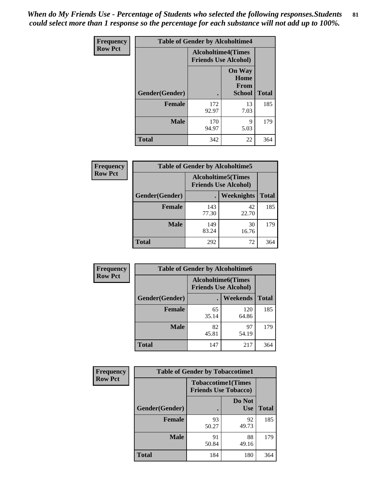*When do My Friends Use - Percentage of Students who selected the following responses.Students could select more than 1 response so the percentage for each substance will not add up to 100%.* **81**

| <b>Frequency</b> | <b>Table of Gender by Alcoholtime4</b> |                                                          |                                                |              |
|------------------|----------------------------------------|----------------------------------------------------------|------------------------------------------------|--------------|
| <b>Row Pct</b>   |                                        | <b>Alcoholtime4(Times</b><br><b>Friends Use Alcohol)</b> |                                                |              |
|                  | Gender(Gender)                         |                                                          | <b>On Way</b><br>Home<br>From<br><b>School</b> | <b>Total</b> |
|                  | <b>Female</b>                          | 172<br>92.97                                             | 13<br>7.03                                     | 185          |
|                  | <b>Male</b>                            | 170<br>94.97                                             | 9<br>5.03                                      | 179          |
|                  | <b>Total</b>                           | 342                                                      | 22                                             | 364          |

| <b>Frequency</b> | <b>Table of Gender by Alcoholtime5</b> |                                                           |             |              |
|------------------|----------------------------------------|-----------------------------------------------------------|-------------|--------------|
| <b>Row Pct</b>   |                                        | <b>Alcoholtime5</b> (Times<br><b>Friends Use Alcohol)</b> |             |              |
|                  | Gender(Gender)                         |                                                           | Weeknights  | <b>Total</b> |
|                  | <b>Female</b>                          | 143<br>77.30                                              | 42<br>22.70 | 185          |
|                  | <b>Male</b>                            | 149<br>83.24                                              | 30<br>16.76 | 179          |
|                  | <b>Total</b>                           | 292                                                       | 72          | 364          |

| <b>Frequency</b> | <b>Table of Gender by Alcoholtime6</b> |             |                                                           |              |
|------------------|----------------------------------------|-------------|-----------------------------------------------------------|--------------|
| <b>Row Pct</b>   |                                        |             | <b>Alcoholtime6</b> (Times<br><b>Friends Use Alcohol)</b> |              |
|                  | Gender(Gender)                         |             | Weekends                                                  | <b>Total</b> |
|                  | Female                                 | 65<br>35.14 | 120<br>64.86                                              | 185          |
|                  | <b>Male</b>                            | 82<br>45.81 | 97<br>54.19                                               | 179          |
|                  | <b>Total</b>                           | 147         | 217                                                       | 364          |

| Frequency      | <b>Table of Gender by Tobaccotime1</b> |                                                          |                      |              |
|----------------|----------------------------------------|----------------------------------------------------------|----------------------|--------------|
| <b>Row Pct</b> |                                        | <b>Tobaccotime1(Times</b><br><b>Friends Use Tobacco)</b> |                      |              |
|                | Gender(Gender)                         |                                                          | Do Not<br><b>Use</b> | <b>Total</b> |
|                | <b>Female</b>                          | 93<br>50.27                                              | 92<br>49.73          | 185          |
|                | <b>Male</b>                            | 91<br>50.84                                              | 88<br>49.16          | 179          |
|                | <b>Total</b>                           | 184                                                      | 180                  | 364          |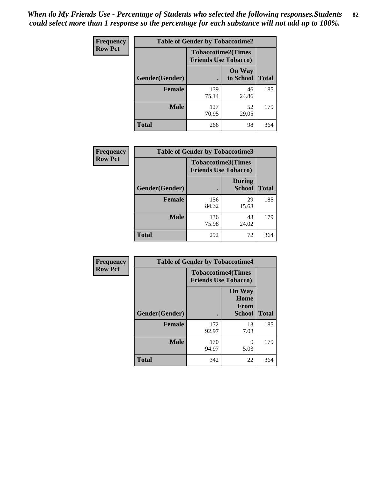*When do My Friends Use - Percentage of Students who selected the following responses.Students could select more than 1 response so the percentage for each substance will not add up to 100%.* **82**

| Frequency      | <b>Table of Gender by Tobaccotime2</b> |                                                          |                            |              |
|----------------|----------------------------------------|----------------------------------------------------------|----------------------------|--------------|
| <b>Row Pct</b> |                                        | <b>Tobaccotime2(Times</b><br><b>Friends Use Tobacco)</b> |                            |              |
|                | Gender(Gender)                         |                                                          | <b>On Way</b><br>to School | <b>Total</b> |
|                | <b>Female</b>                          | 139<br>75.14                                             | 46<br>24.86                | 185          |
|                | <b>Male</b>                            | 127<br>70.95                                             | 52<br>29.05                | 179          |
|                | <b>Total</b>                           | 266                                                      | 98                         | 364          |

| Frequency      | <b>Table of Gender by Tobaccotime3</b> |                                                          |                                |              |
|----------------|----------------------------------------|----------------------------------------------------------|--------------------------------|--------------|
| <b>Row Pct</b> |                                        | <b>Tobaccotime3(Times</b><br><b>Friends Use Tobacco)</b> |                                |              |
|                | Gender(Gender)                         |                                                          | <b>During</b><br><b>School</b> | <b>Total</b> |
|                | Female                                 | 156<br>84.32                                             | 29<br>15.68                    | 185          |
|                | <b>Male</b>                            | 136<br>75.98                                             | 43<br>24.02                    | 179          |
|                | <b>Total</b>                           | 292                                                      | 72                             | 364          |

| Frequency      | <b>Table of Gender by Tobaccotime4</b> |                                                          |                                                |              |
|----------------|----------------------------------------|----------------------------------------------------------|------------------------------------------------|--------------|
| <b>Row Pct</b> |                                        | <b>Tobaccotime4(Times</b><br><b>Friends Use Tobacco)</b> |                                                |              |
|                | Gender(Gender)                         |                                                          | <b>On Way</b><br>Home<br>From<br><b>School</b> | <b>Total</b> |
|                | <b>Female</b>                          | 172<br>92.97                                             | 13<br>7.03                                     | 185          |
|                | <b>Male</b>                            | 170<br>94.97                                             | 9<br>5.03                                      | 179          |
|                | <b>Total</b>                           | 342                                                      | 22                                             | 364          |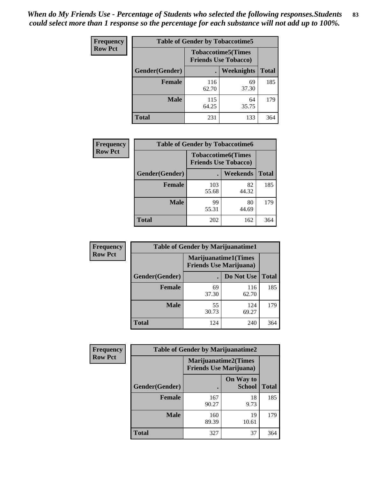| Frequency      | <b>Table of Gender by Tobaccotime5</b> |              |                                                          |              |  |
|----------------|----------------------------------------|--------------|----------------------------------------------------------|--------------|--|
| <b>Row Pct</b> |                                        |              | <b>Tobaccotime5(Times</b><br><b>Friends Use Tobacco)</b> |              |  |
|                | Gender(Gender)                         |              | Weeknights                                               | <b>Total</b> |  |
|                | <b>Female</b>                          | 116<br>62.70 | 69<br>37.30                                              | 185          |  |
|                | <b>Male</b>                            | 115<br>64.25 | 64<br>35.75                                              | 179          |  |
|                | <b>Total</b>                           | 231          | 133                                                      | 364          |  |

| Frequency      | <b>Table of Gender by Tobaccotime6</b> |                                                          |             |              |
|----------------|----------------------------------------|----------------------------------------------------------|-------------|--------------|
| <b>Row Pct</b> |                                        | <b>Tobaccotime6(Times</b><br><b>Friends Use Tobacco)</b> |             |              |
|                | Gender(Gender)                         |                                                          | Weekends    | <b>Total</b> |
|                | Female                                 | 103<br>55.68                                             | 82<br>44.32 | 185          |
|                | <b>Male</b>                            | 99<br>55.31                                              | 80<br>44.69 | 179          |
|                | <b>Total</b>                           | 202                                                      | 162         | 364          |

| <b>Frequency</b> | <b>Table of Gender by Marijuanatime1</b> |                                                               |              |              |
|------------------|------------------------------------------|---------------------------------------------------------------|--------------|--------------|
| <b>Row Pct</b>   |                                          | <b>Marijuanatime1(Times</b><br><b>Friends Use Marijuana</b> ) |              |              |
|                  | Gender(Gender)                           |                                                               | Do Not Use   | <b>Total</b> |
|                  | <b>Female</b>                            | 69<br>37.30                                                   | 116<br>62.70 | 185          |
|                  | <b>Male</b>                              | 55<br>30.73                                                   | 124<br>69.27 | 179          |
|                  | <b>Total</b>                             | 124                                                           | 240          | 364          |

| <b>Frequency</b> | <b>Table of Gender by Marijuanatime2</b> |                                                               |                            |              |
|------------------|------------------------------------------|---------------------------------------------------------------|----------------------------|--------------|
| <b>Row Pct</b>   |                                          | <b>Marijuanatime2(Times</b><br><b>Friends Use Marijuana</b> ) |                            |              |
|                  | Gender(Gender)                           |                                                               | On Way to<br><b>School</b> | <b>Total</b> |
|                  | Female                                   | 167<br>90.27                                                  | 18<br>9.73                 | 185          |
|                  | <b>Male</b>                              | 160<br>89.39                                                  | 19<br>10.61                | 179          |
|                  | <b>Total</b>                             | 327                                                           | 37                         | 364          |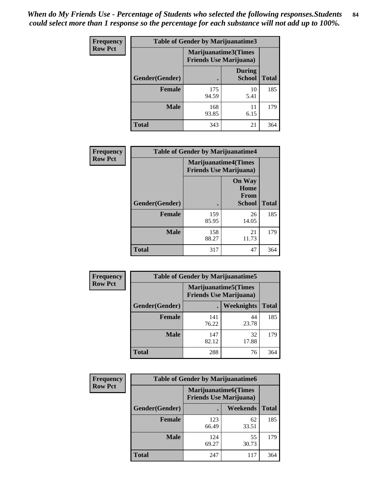| Frequency      | <b>Table of Gender by Marijuanatime3</b> |                                                        |                                |              |
|----------------|------------------------------------------|--------------------------------------------------------|--------------------------------|--------------|
| <b>Row Pct</b> |                                          | Marijuanatime3(Times<br><b>Friends Use Marijuana</b> ) |                                |              |
|                | Gender(Gender)                           |                                                        | <b>During</b><br><b>School</b> | <b>Total</b> |
|                | <b>Female</b>                            | 175<br>94.59                                           | 10<br>5.41                     | 185          |
|                | <b>Male</b>                              | 168<br>93.85                                           | 11<br>6.15                     | 179          |
|                | <b>Total</b>                             | 343                                                    | 21                             | 364          |

| Frequency      | <b>Table of Gender by Marijuanatime4</b> |                                                               |                                                       |              |
|----------------|------------------------------------------|---------------------------------------------------------------|-------------------------------------------------------|--------------|
| <b>Row Pct</b> |                                          | <b>Marijuanatime4(Times</b><br><b>Friends Use Marijuana</b> ) |                                                       |              |
|                | Gender(Gender)                           |                                                               | <b>On Way</b><br>Home<br><b>From</b><br><b>School</b> | <b>Total</b> |
|                | <b>Female</b>                            | 159<br>85.95                                                  | 26<br>14.05                                           | 185          |
|                | <b>Male</b>                              | 158<br>88.27                                                  | 21<br>11.73                                           | 179          |
|                | <b>Total</b>                             | 317                                                           | 47                                                    | 364          |

| Frequency      | <b>Table of Gender by Marijuanatime5</b> |                                                                |                   |              |  |
|----------------|------------------------------------------|----------------------------------------------------------------|-------------------|--------------|--|
| <b>Row Pct</b> |                                          | <b>Marijuanatime5</b> (Times<br><b>Friends Use Marijuana</b> ) |                   |              |  |
|                | Gender(Gender)                           |                                                                | <b>Weeknights</b> | <b>Total</b> |  |
|                | <b>Female</b>                            | 141<br>76.22                                                   | 44<br>23.78       | 185          |  |
|                | <b>Male</b>                              | 147<br>82.12                                                   | 32<br>17.88       | 179          |  |
|                | <b>Total</b>                             | 288                                                            | 76                | 364          |  |

| Frequency      | <b>Table of Gender by Marijuanatime6</b> |                                                               |                 |              |  |
|----------------|------------------------------------------|---------------------------------------------------------------|-----------------|--------------|--|
| <b>Row Pct</b> |                                          | <b>Marijuanatime6(Times</b><br><b>Friends Use Marijuana</b> ) |                 |              |  |
|                | Gender(Gender)                           |                                                               | <b>Weekends</b> | <b>Total</b> |  |
|                | <b>Female</b>                            | 123<br>66.49                                                  | 62<br>33.51     | 185          |  |
|                | <b>Male</b>                              | 124<br>69.27                                                  | 55<br>30.73     | 179          |  |
|                | <b>Total</b>                             | 247                                                           | 117             | 364          |  |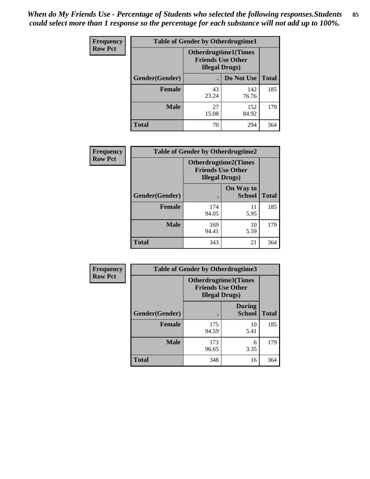*When do My Friends Use - Percentage of Students who selected the following responses.Students could select more than 1 response so the percentage for each substance will not add up to 100%.* **85**

| <b>Frequency</b> | <b>Table of Gender by Otherdrugtime1</b> |                                                                                    |                    |     |
|------------------|------------------------------------------|------------------------------------------------------------------------------------|--------------------|-----|
| <b>Row Pct</b>   |                                          | <b>Otherdrugtime1</b> (Times<br><b>Friends Use Other</b><br><b>Illegal Drugs</b> ) |                    |     |
|                  | Gender(Gender)                           |                                                                                    | Do Not Use   Total |     |
|                  | <b>Female</b>                            | 43<br>23.24                                                                        | 142<br>76.76       | 185 |
|                  | Male                                     | 27<br>15.08                                                                        | 152<br>84.92       | 179 |
|                  | <b>Total</b>                             | 70                                                                                 | 294                | 364 |

| Frequency      | <b>Table of Gender by Otherdrugtime2</b> |                                                                                   |                            |              |
|----------------|------------------------------------------|-----------------------------------------------------------------------------------|----------------------------|--------------|
| <b>Row Pct</b> |                                          | <b>Otherdrugtime2(Times</b><br><b>Friends Use Other</b><br><b>Illegal Drugs</b> ) |                            |              |
|                | Gender(Gender)                           |                                                                                   | On Way to<br><b>School</b> | <b>Total</b> |
|                | <b>Female</b>                            | 174<br>94.05                                                                      | 11<br>5.95                 | 185          |
|                | <b>Male</b>                              | 169<br>94.41                                                                      | 10<br>5.59                 | 179          |
|                | <b>Total</b>                             | 343                                                                               | 21                         | 364          |

| Frequency      | <b>Table of Gender by Otherdrugtime3</b> |                                                    |                                |              |
|----------------|------------------------------------------|----------------------------------------------------|--------------------------------|--------------|
| <b>Row Pct</b> |                                          | <b>Friends Use Other</b><br><b>Illegal Drugs</b> ) | <b>Otherdrugtime3(Times</b>    |              |
|                | Gender(Gender)                           |                                                    | <b>During</b><br><b>School</b> | <b>Total</b> |
|                | <b>Female</b>                            | 175<br>94.59                                       | 10<br>5.41                     | 185          |
|                | <b>Male</b>                              | 173<br>96.65                                       | 6<br>3.35                      | 179          |
|                | <b>Total</b>                             | 348                                                | 16                             | 364          |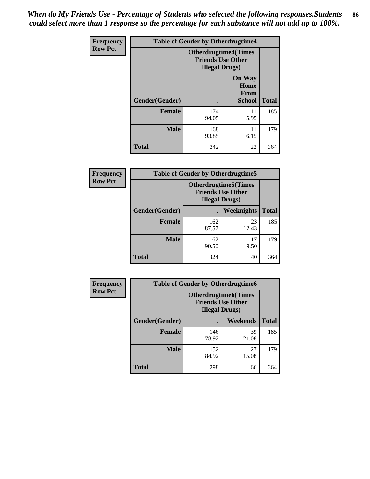*When do My Friends Use - Percentage of Students who selected the following responses.Students could select more than 1 response so the percentage for each substance will not add up to 100%.* **86**

| <b>Frequency</b> | <b>Table of Gender by Otherdrugtime4</b> |                                                    |                                                |              |
|------------------|------------------------------------------|----------------------------------------------------|------------------------------------------------|--------------|
| <b>Row Pct</b>   |                                          | <b>Friends Use Other</b><br><b>Illegal Drugs</b> ) | <b>Otherdrugtime4(Times</b>                    |              |
|                  | Gender(Gender)                           |                                                    | <b>On Way</b><br>Home<br><b>From</b><br>School | <b>Total</b> |
|                  | <b>Female</b>                            | 174<br>94.05                                       | 11<br>5.95                                     | 185          |
|                  | <b>Male</b>                              | 168<br>93.85                                       | 11<br>6.15                                     | 179          |
|                  | <b>Total</b>                             | 342                                                | 22                                             | 364          |

| Frequency      | <b>Table of Gender by Otherdrugtime5</b> |                                                                                    |             |              |
|----------------|------------------------------------------|------------------------------------------------------------------------------------|-------------|--------------|
| <b>Row Pct</b> |                                          | <b>Otherdrugtime5</b> (Times<br><b>Friends Use Other</b><br><b>Illegal Drugs</b> ) |             |              |
|                | Gender(Gender)                           |                                                                                    | Weeknights  | <b>Total</b> |
|                | <b>Female</b>                            | 162<br>87.57                                                                       | 23<br>12.43 | 185          |
|                | <b>Male</b>                              | 162<br>90.50                                                                       | 17<br>9.50  | 179          |
|                | <b>Total</b>                             | 324                                                                                | 40          | 364          |

| <b>Frequency</b> | <b>Table of Gender by Otherdrugtime6</b> |                                                                                   |             |              |  |
|------------------|------------------------------------------|-----------------------------------------------------------------------------------|-------------|--------------|--|
| <b>Row Pct</b>   |                                          | <b>Otherdrugtime6(Times</b><br><b>Friends Use Other</b><br><b>Illegal Drugs</b> ) |             |              |  |
|                  | Gender(Gender)                           |                                                                                   | Weekends    | <b>Total</b> |  |
|                  | <b>Female</b>                            | 146<br>78.92                                                                      | 39<br>21.08 | 185          |  |
|                  | <b>Male</b>                              | 152<br>84.92                                                                      | 27<br>15.08 | 179          |  |
|                  | <b>Total</b>                             | 298                                                                               | 66          | 364          |  |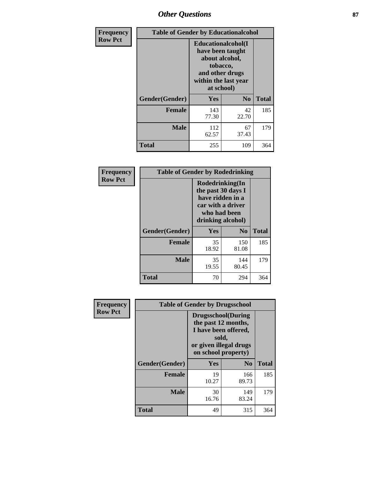# *Other Questions* **87**

| <b>Frequency</b> | <b>Table of Gender by Educationalcohol</b> |                                                                                                                                       |                |              |
|------------------|--------------------------------------------|---------------------------------------------------------------------------------------------------------------------------------------|----------------|--------------|
| <b>Row Pct</b>   |                                            | <b>Educationalcohol</b> (I<br>have been taught<br>about alcohol,<br>tobacco,<br>and other drugs<br>within the last year<br>at school) |                |              |
|                  | Gender(Gender)                             | <b>Yes</b>                                                                                                                            | N <sub>0</sub> | <b>Total</b> |
|                  | <b>Female</b>                              | 143<br>77.30                                                                                                                          | 42<br>22.70    | 185          |
|                  | <b>Male</b>                                | 112<br>62.57                                                                                                                          | 67<br>37.43    | 179          |
|                  | <b>Total</b>                               | 255                                                                                                                                   | 109            | 364          |

| Frequency      | <b>Table of Gender by Rodedrinking</b> |                                                                                                                     |              |              |  |
|----------------|----------------------------------------|---------------------------------------------------------------------------------------------------------------------|--------------|--------------|--|
| <b>Row Pct</b> |                                        | Rodedrinking(In<br>the past 30 days I<br>have ridden in a<br>car with a driver<br>who had been<br>drinking alcohol) |              |              |  |
|                | Gender(Gender)                         | Yes                                                                                                                 | $\bf N_0$    | <b>Total</b> |  |
|                | <b>Female</b>                          | 35<br>18.92                                                                                                         | 150<br>81.08 | 185          |  |
|                | <b>Male</b>                            | 35<br>19.55                                                                                                         | 144<br>80.45 | 179          |  |
|                | <b>Total</b>                           | 70                                                                                                                  | 294          | 364          |  |

| Frequency      | <b>Table of Gender by Drugsschool</b> |                                                                                                                                     |              |              |  |
|----------------|---------------------------------------|-------------------------------------------------------------------------------------------------------------------------------------|--------------|--------------|--|
| <b>Row Pct</b> |                                       | <b>Drugsschool</b> (During<br>the past 12 months,<br>I have been offered,<br>sold,<br>or given illegal drugs<br>on school property) |              |              |  |
|                | Gender(Gender)                        | Yes                                                                                                                                 | $\bf No$     | <b>Total</b> |  |
|                | <b>Female</b>                         | 19<br>10.27                                                                                                                         | 166<br>89.73 | 185          |  |
|                | <b>Male</b>                           | 30<br>16.76                                                                                                                         | 149<br>83.24 | 179          |  |
|                | <b>Total</b>                          | 49                                                                                                                                  | 315          | 364          |  |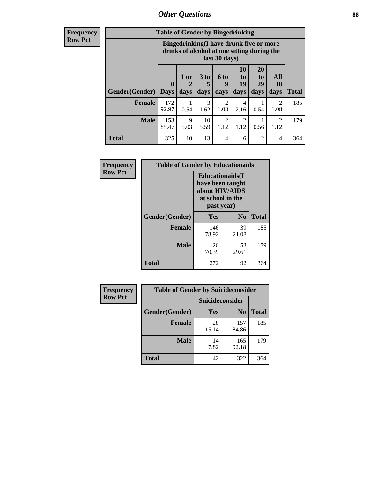# *Other Questions* **88**

**Frequency Row Pct**

| <b>Table of Gender by Bingedrinking</b> |                         |                                                                                                         |                   |                        |                        |                               |                        |              |
|-----------------------------------------|-------------------------|---------------------------------------------------------------------------------------------------------|-------------------|------------------------|------------------------|-------------------------------|------------------------|--------------|
|                                         |                         | Bingedrinking(I have drunk five or more<br>drinks of alcohol at one sitting during the<br>last 30 days) |                   |                        |                        |                               |                        |              |
| <b>Gender</b> (Gender)                  | $\bf{0}$<br><b>Days</b> | $1$ or<br>days                                                                                          | 3 to<br>5<br>days | 6 to<br>9<br>days      | 10<br>to<br>19<br>days | <b>20</b><br>to<br>29<br>days | All<br>30<br>days      | <b>Total</b> |
| <b>Female</b>                           | 172<br>92.97            | 0.54                                                                                                    | 3<br>1.62         | $\overline{c}$<br>1.08 | 4<br>2.16              | 0.54                          | $\mathfrak{D}$<br>1.08 | 185          |
| <b>Male</b>                             | 153<br>85.47            | 9<br>5.03                                                                                               | 10<br>5.59        | $\mathfrak{D}$<br>1.12 | $\overline{2}$<br>1.12 | 0.56                          | $\mathfrak{D}$<br>1.12 | 179          |
| <b>Total</b>                            | 325                     | 10                                                                                                      | 13                | 4                      | 6                      | $\mathfrak{D}$                | 4                      | 364          |

| Frequency      | <b>Table of Gender by Educationaids</b> |                                                                                                 |             |              |  |
|----------------|-----------------------------------------|-------------------------------------------------------------------------------------------------|-------------|--------------|--|
| <b>Row Pct</b> |                                         | <b>Educationaids</b> (I<br>have been taught<br>about HIV/AIDS<br>at school in the<br>past year) |             |              |  |
|                | Gender(Gender)                          | Yes                                                                                             | $\bf N_0$   | <b>Total</b> |  |
|                | <b>Female</b>                           | 146<br>78.92                                                                                    | 39<br>21.08 | 185          |  |
|                | <b>Male</b>                             | 126<br>70.39                                                                                    | 53<br>29.61 | 179          |  |
|                | <b>Total</b>                            | 272                                                                                             | 92          | 364          |  |

| Frequency      | <b>Table of Gender by Suicideconsider</b> |                 |                |       |  |
|----------------|-------------------------------------------|-----------------|----------------|-------|--|
| <b>Row Pct</b> |                                           | Suicideconsider |                |       |  |
|                | Gender(Gender)                            | Yes             | N <sub>0</sub> | Total |  |
|                | <b>Female</b>                             | 28<br>15.14     | 157<br>84.86   | 185   |  |
|                | <b>Male</b>                               | 14<br>7.82      | 165<br>92.18   | 179   |  |
|                | <b>Total</b>                              | 42              | 322            | 364   |  |